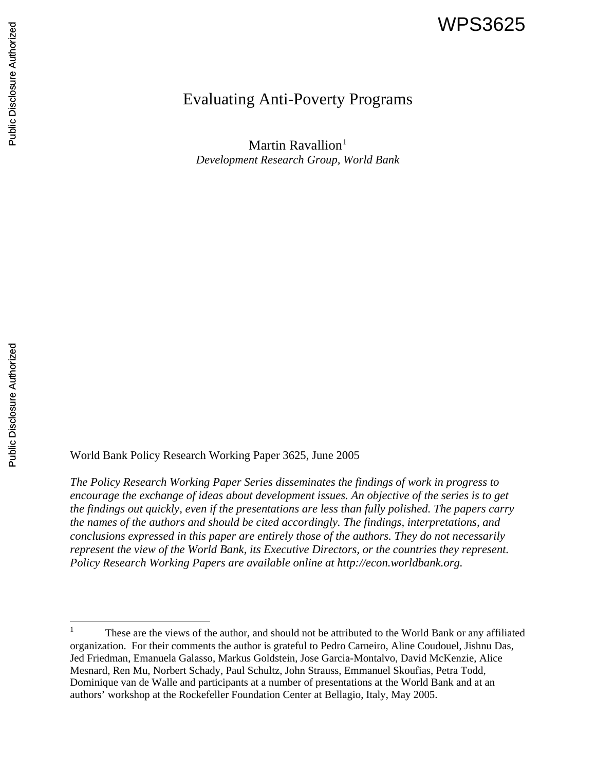# Evaluating Anti-Poverty Programs WPS3625

Martin Ravallion $<sup>1</sup>$  $<sup>1</sup>$  $<sup>1</sup>$ </sup> *Development Research Group, World Bank* 

World Bank Policy Research Working Paper 3625, June 2005

*The Policy Research Working Paper Series disseminates the findings of work in progress to encourage the exchange of ideas about development issues. An objective of the series is to get the findings out quickly, even if the presentations are less than fully polished. The papers carry the names of the authors and should be cited accordingly. The findings, interpretations, and conclusions expressed in this paper are entirely those of the authors. They do not necessarily represent the view of the World Bank, its Executive Directors, or the countries they represent. Policy Research Working Papers are available online at http://econ.worldbank.org.*

 $\overline{a}$ 

<span id="page-0-0"></span><sup>1</sup> These are the views of the author, and should not be attributed to the World Bank or any affiliated organization. For their comments the author is grateful to Pedro Carneiro, Aline Coudouel, Jishnu Das, Jed Friedman, Emanuela Galasso, Markus Goldstein, Jose Garcia-Montalvo, David McKenzie, Alice Mesnard, Ren Mu, Norbert Schady, Paul Schultz, John Strauss, Emmanuel Skoufias, Petra Todd, Dominique van de Walle and participants at a number of presentations at the World Bank and at an authors' workshop at the Rockefeller Foundation Center at Bellagio, Italy, May 2005.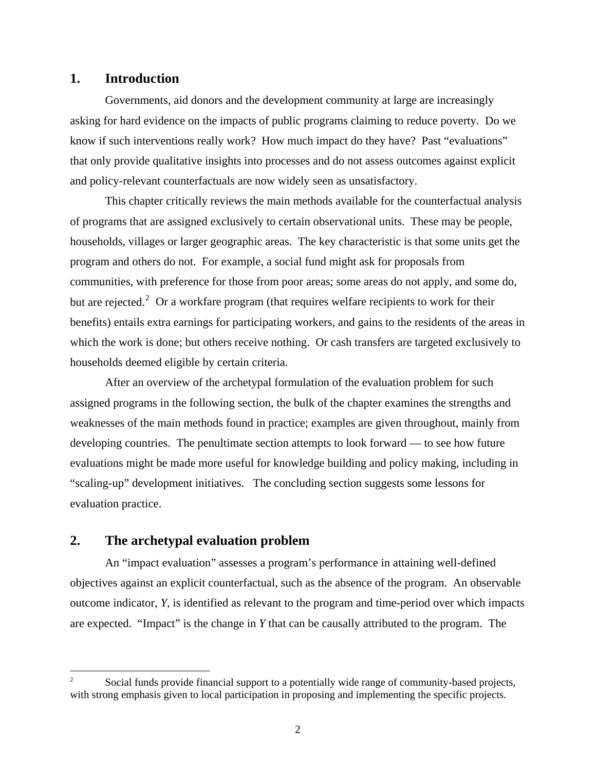# **1. Introduction**

Governments, aid donors and the development community at large are increasingly asking for hard evidence on the impacts of public programs claiming to reduce poverty. Do we know if such interventions really work? How much impact do they have? Past "evaluations" that only provide qualitative insights into processes and do not assess outcomes against explicit and policy-relevant counterfactuals are now widely seen as unsatisfactory.

This chapter critically reviews the main methods available for the counterfactual analysis of programs that are assigned exclusively to certain observational units. These may be people, households, villages or larger geographic areas. The key characteristic is that some units get the program and others do not. For example, a social fund might ask for proposals from communities, with preference for those from poor areas; some areas do not apply, and some do, but are rejected.<sup>[2](#page-1-0)</sup> Or a workfare program (that requires welfare recipients to work for their benefits) entails extra earnings for participating workers, and gains to the residents of the areas in which the work is done; but others receive nothing. Or cash transfers are targeted exclusively to households deemed eligible by certain criteria.

After an overview of the archetypal formulation of the evaluation problem for such assigned programs in the following section, the bulk of the chapter examines the strengths and weaknesses of the main methods found in practice; examples are given throughout, mainly from developing countries. The penultimate section attempts to look forward — to see how future evaluations might be made more useful for knowledge building and policy making, including in "scaling-up" development initiatives. The concluding section suggests some lessons for evaluation practice.

# **2. The archetypal evaluation problem**

An "impact evaluation" assesses a program's performance in attaining well-defined objectives against an explicit counterfactual, such as the absence of the program. An observable outcome indicator, *Y*, is identified as relevant to the program and time-period over which impacts are expected. "Impact" is the change in *Y* that can be causally attributed to the program. The

<span id="page-1-0"></span> $\frac{1}{2}$  Social funds provide financial support to a potentially wide range of community-based projects, with strong emphasis given to local participation in proposing and implementing the specific projects.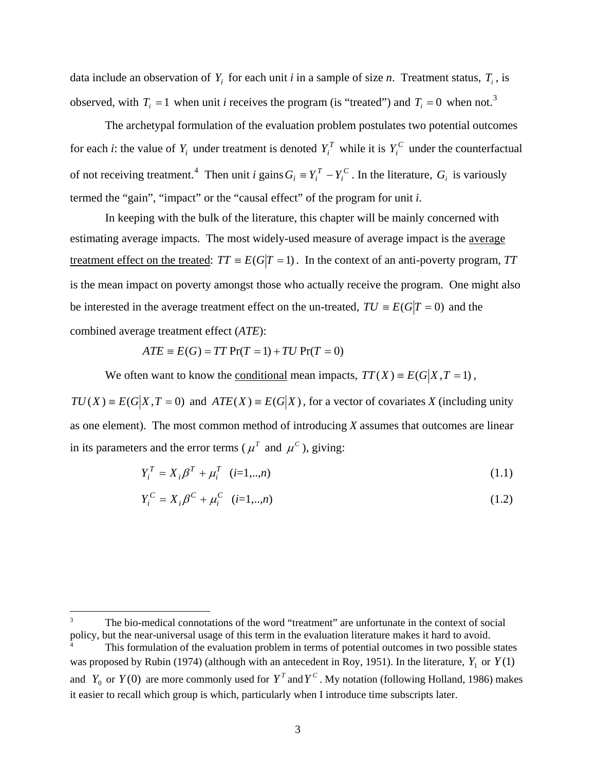data include an observation of  $Y_i$  for each unit *i* in a sample of size *n*. Treatment status,  $T_i$ , is observed, with  $T_i = 1$  when unit *i* receives the program (is "treated") and  $T_i = 0$  when not.<sup>[3](#page-2-0)</sup>

The archetypal formulation of the evaluation problem postulates two potential outcomes for each *i*: the value of  $Y_i$  under treatment is denoted  $Y_i^T$  while it is  $Y_i^C$  under the counterfactual of not receiving treatment.<sup>[4](#page-2-1)</sup> Then unit *i* gains  $G_i = Y_i^T - Y_i^C$ . In the literature,  $G_i$  is variously termed the "gain", "impact" or the "causal effect" of the program for unit *i*.

In keeping with the bulk of the literature, this chapter will be mainly concerned with estimating average impacts. The most widely-used measure of average impact is the average treatment effect on the treated:  $TT \equiv E(G|T=1)$ . In the context of an anti-poverty program,  $TT$ is the mean impact on poverty amongst those who actually receive the program. One might also be interested in the average treatment effect on the un-treated,  $TU \equiv E(G|T=0)$  and the combined average treatment effect (*ATE*):

$$
ATE \equiv E(G) = TT \Pr(T = 1) + TU \Pr(T = 0)
$$

We often want to know the <u>conditional</u> mean impacts,  $TT(X) = E(G|X,T=1)$ ,

 $TU(X) = E(G|X, T = 0)$  and  $ATE(X) = E(G|X)$ , for a vector of covariates *X* (including unity as one element). The most common method of introducing *X* assumes that outcomes are linear in its parameters and the error terms ( $\mu^T$  and  $\mu^C$ ), giving:

$$
Y_i^T = X_i \beta^T + \mu_i^T \quad (i=1,...,n) \tag{1.1}
$$

$$
Y_i^C = X_i \beta^C + \mu_i^C \quad (i=1,...,n) \tag{1.2}
$$

<span id="page-2-0"></span> $\frac{1}{3}$  The bio-medical connotations of the word "treatment" are unfortunate in the context of social policy, but the near-universal usage of this term in the evaluation literature makes it hard to avoid. 4

<span id="page-2-1"></span>was proposed by Rubin (1974) (although with an antecedent in Roy, 1951). In the literature,  $Y_1$  or  $Y(1)$ and  $Y_0$  or  $Y(0)$  are more commonly used for  $Y^T$  and  $Y^C$ . My notation (following Holland, 1986) makes This formulation of the evaluation problem in terms of potential outcomes in two possible states it easier to recall which group is which, particularly when I introduce time subscripts later.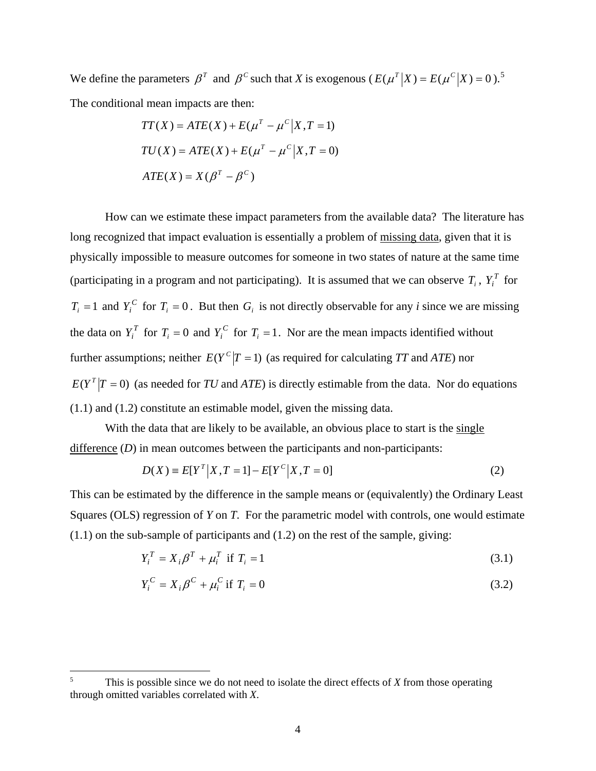We define the parameters  $\beta^T$  and  $\beta^C$  such that *X* is exogenous ( $E(\mu^T|X) = E(\mu^C|X) = 0$ ).<sup>[5](#page-3-0)</sup> The conditional mean impacts are then:

$$
TT(X) = ATE(X) + E(\mu^T - \mu^C | X, T = 1)
$$

$$
TU(X) = ATE(X) + E(\mu^T - \mu^C | X, T = 0)
$$

$$
ATE(X) = X(\beta^T - \beta^C)
$$

 How can we estimate these impact parameters from the available data? The literature has long recognized that impact evaluation is essentially a problem of missing data, given that it is physically impossible to measure outcomes for someone in two states of nature at the same time (participating in a program and not participating). It is assumed that we can observe  $T_i$ ,  $Y_i^T$  for  $T_i = 1$  and  $Y_i^C$  for  $T_i = 0$ . But then  $G_i$  is not directly observable for any *i* since we are missing the data on  $Y_i^T$  for  $T_i = 0$  and  $Y_i^C$  for  $T_i = 1$ . Nor are the mean impacts identified without further assumptions; neither  $E(Y^C|T=1)$  (as required for calculating TT and *ATE*) nor  $E(Y^T|T=0)$  (as needed for *TU* and *ATE*) is directly estimable from the data. Nor do equations (1.1) and (1.2) constitute an estimable model, given the missing data.

With the data that are likely to be available, an obvious place to start is the single difference  $(D)$  in mean outcomes between the participants and non-participants:

$$
D(X) = E[Y^T | X, T = 1] - E[Y^C | X, T = 0]
$$
\n(2)

This can be estimated by the difference in the sample means or (equivalently) the Ordinary Least Squares (OLS) regression of *Y* on *T*. For the parametric model with controls, one would estimate (1.1) on the sub-sample of participants and (1.2) on the rest of the sample, giving:

$$
Y_i^T = X_i \beta^T + \mu_i^T \text{ if } T_i = 1 \tag{3.1}
$$

$$
Y_i^C = X_i \beta^C + \mu_i^C \text{ if } T_i = 0 \tag{3.2}
$$

<span id="page-3-0"></span> $\frac{1}{5}$  This is possible since we do not need to isolate the direct effects of *X* from those operating through omitted variables correlated with *X*.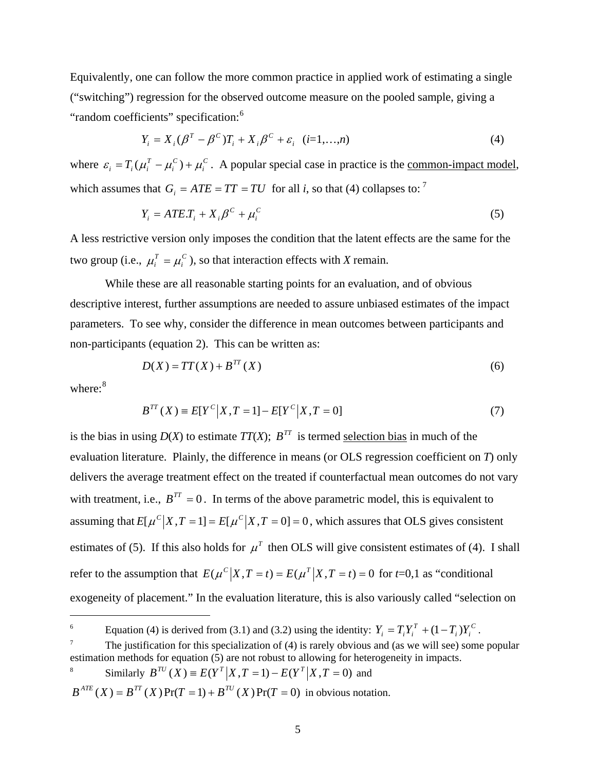Equivalently, one can follow the more common practice in applied work of estimating a single ("switching") regression for the observed outcome measure on the pooled sample, giving a "random coefficients" specification:<sup>[6](#page-4-0)</sup>

$$
Y_i = X_i(\beta^T - \beta^C)T_i + X_i\beta^C + \varepsilon_i \quad (i=1,...,n)
$$
\n
$$
(4)
$$

where  $\varepsilon_i = T_i(\mu_i^T - \mu_i^C) + \mu_i^C$ . A popular special case in practice is the <u>common-impact model</u> *C*  $\varepsilon_i = T_i(\mu_i^T - \mu_i^C) + \mu_i^C$ . A popular special case in practice is the <u>common-impact model</u>, which assumes that  $G_i = ATE = TT = TU$  for all *i*, so that (4) collapses to: <sup>[7](#page-4-1)</sup>

$$
Y_i = ATE \cdot T_i + X_i \beta^C + \mu_i^C \tag{5}
$$

A less restrictive version only imposes the condition that the latent effects are the same for the two group (i.e.,  $\mu_i^T = \mu_i^C$ ), so that interaction effects with *X* remain.  $\mu_i^T = \mu_i$ 

While these are all reasonable starting points for an evaluation, and of obvious descriptive interest, further assumptions are needed to assure unbiased estimates of the impact parameters. To see why, consider the difference in mean outcomes between participants and non-participants (equation 2). This can be written as:

$$
D(X) = TT(X) + B^{TT}(X)
$$
\n<sup>(6)</sup>

where: $8<sup>8</sup>$  $8<sup>8</sup>$ 

1

$$
B^{TT}(X) \equiv E[Y^{C}|X, T=1] - E[Y^{C}|X, T=0]
$$
\n(7)

is the bias in using  $D(X)$  to estimate  $TT(X)$ ;  $B^{TT}$  is termed selection bias in much of the evaluation literature. Plainly, the difference in means (or OLS regression coefficient on *T*) only delivers the average treatment effect on the treated if counterfactual mean outcomes do not vary with treatment, i.e.,  $B^{TT} = 0$ . In terms of the above parametric model, this is equivalent to assuming that  $E[\mu^{c}|X,T=1] = E[\mu^{c}|X,T=0] = 0$ , which assures that OLS gives consistent estimates of (5). If this also holds for  $\mu^T$  then OLS will give consistent estimates of (4). I shall refer to the assumption that  $E(\mu^C | X, T = t) = E(\mu^T | X, T = t) = 0$  for  $t=0,1$  as "conditional exogeneity of placement." In the evaluation literature, this is also variously called "selection on

<span id="page-4-0"></span>*C ii* <sup>6</sup> Equation (4) is derived from (3.1) and (3.2) using the identity:  $Y_i = T_i Y_i^T + (1 - T_i) Y_i^C$ .

<span id="page-4-1"></span><sup>7</sup> The justification for this specialization of (4) is rarely obvious and (as we will see) some popular estimation methods for equation (5) are not robust to allowing for heterogeneity in impacts.

<span id="page-4-2"></span><sup>8</sup> Similarly  $B^{TU}(X) = E(Y^T | X, T = 1) - E(Y^T | X, T = 0)$  and

 $B^{ATE}(X) = B^{TT}(X)Pr(T = 1) + B^{TU}(X)Pr(T = 0)$  in obvious notation.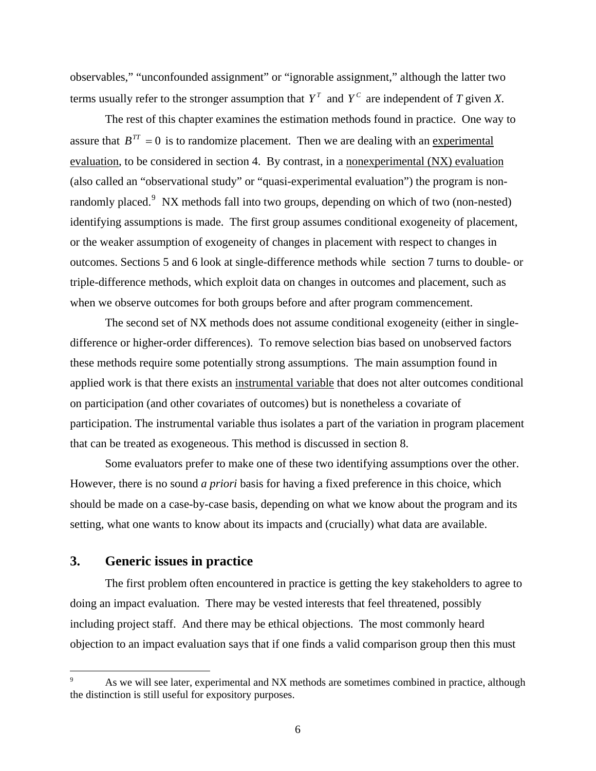observables," "unconfounded assignment" or "ignorable assignment," although the latter two terms usually refer to the stronger assumption that  $Y^T$  and  $Y^C$  are independent of *T* given *X*.

The rest of this chapter examines the estimation methods found in practice. One way to assure that  $B^{TT} = 0$  is to randomize placement. Then we are dealing with an experimental evaluation, to be considered in section 4. By contrast, in a nonexperimental (NX) evaluation (also called an "observational study" or "quasi-experimental evaluation") the program is non-randomly placed.<sup>[9](#page-5-0)</sup> NX methods fall into two groups, depending on which of two (non-nested) identifying assumptions is made. The first group assumes conditional exogeneity of placement, or the weaker assumption of exogeneity of changes in placement with respect to changes in outcomes. Sections 5 and 6 look at single-difference methods while section 7 turns to double- or triple-difference methods, which exploit data on changes in outcomes and placement, such as when we observe outcomes for both groups before and after program commencement.

The second set of NX methods does not assume conditional exogeneity (either in singledifference or higher-order differences). To remove selection bias based on unobserved factors these methods require some potentially strong assumptions. The main assumption found in applied work is that there exists an instrumental variable that does not alter outcomes conditional on participation (and other covariates of outcomes) but is nonetheless a covariate of participation. The instrumental variable thus isolates a part of the variation in program placement that can be treated as exogeneous. This method is discussed in section 8.

Some evaluators prefer to make one of these two identifying assumptions over the other. However, there is no sound *a priori* basis for having a fixed preference in this choice, which should be made on a case-by-case basis, depending on what we know about the program and its setting, what one wants to know about its impacts and (crucially) what data are available.

# **3. Generic issues in practice**

 $\overline{a}$ 

The first problem often encountered in practice is getting the key stakeholders to agree to doing an impact evaluation. There may be vested interests that feel threatened, possibly including project staff. And there may be ethical objections. The most commonly heard objection to an impact evaluation says that if one finds a valid comparison group then this must

<span id="page-5-0"></span><sup>9</sup> As we will see later, experimental and NX methods are sometimes combined in practice, although the distinction is still useful for expository purposes.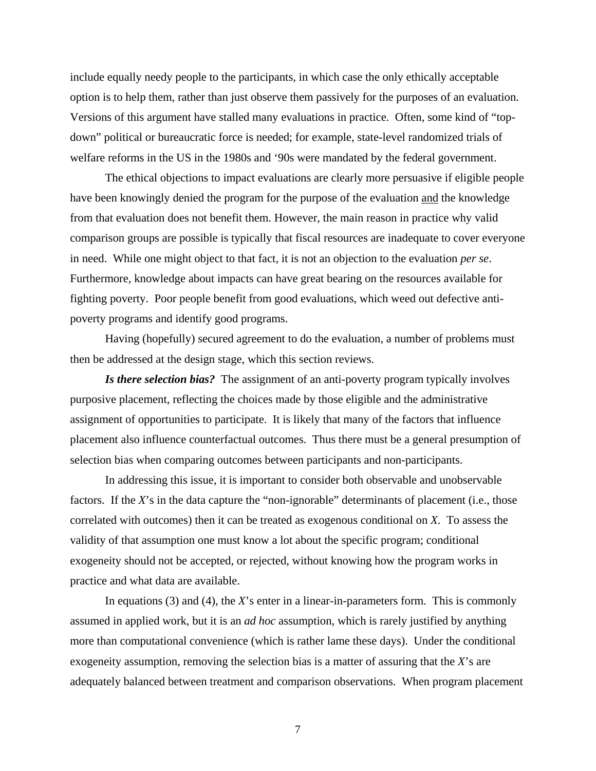include equally needy people to the participants, in which case the only ethically acceptable option is to help them, rather than just observe them passively for the purposes of an evaluation. Versions of this argument have stalled many evaluations in practice. Often, some kind of "topdown" political or bureaucratic force is needed; for example, state-level randomized trials of welfare reforms in the US in the 1980s and '90s were mandated by the federal government.

The ethical objections to impact evaluations are clearly more persuasive if eligible people have been knowingly denied the program for the purpose of the evaluation and the knowledge from that evaluation does not benefit them. However, the main reason in practice why valid comparison groups are possible is typically that fiscal resources are inadequate to cover everyone in need. While one might object to that fact, it is not an objection to the evaluation *per se*. Furthermore, knowledge about impacts can have great bearing on the resources available for fighting poverty. Poor people benefit from good evaluations, which weed out defective antipoverty programs and identify good programs.

Having (hopefully) secured agreement to do the evaluation, a number of problems must then be addressed at the design stage, which this section reviews.

*Is there selection bias?* The assignment of an anti-poverty program typically involves purposive placement, reflecting the choices made by those eligible and the administrative assignment of opportunities to participate. It is likely that many of the factors that influence placement also influence counterfactual outcomes. Thus there must be a general presumption of selection bias when comparing outcomes between participants and non-participants.

 In addressing this issue, it is important to consider both observable and unobservable factors. If the *X*'s in the data capture the "non-ignorable" determinants of placement (i.e., those correlated with outcomes) then it can be treated as exogenous conditional on *X*. To assess the validity of that assumption one must know a lot about the specific program; conditional exogeneity should not be accepted, or rejected, without knowing how the program works in practice and what data are available.

 In equations (3) and (4), the *X*'s enter in a linear-in-parameters form. This is commonly assumed in applied work, but it is an *ad hoc* assumption, which is rarely justified by anything more than computational convenience (which is rather lame these days). Under the conditional exogeneity assumption, removing the selection bias is a matter of assuring that the *X*'s are adequately balanced between treatment and comparison observations. When program placement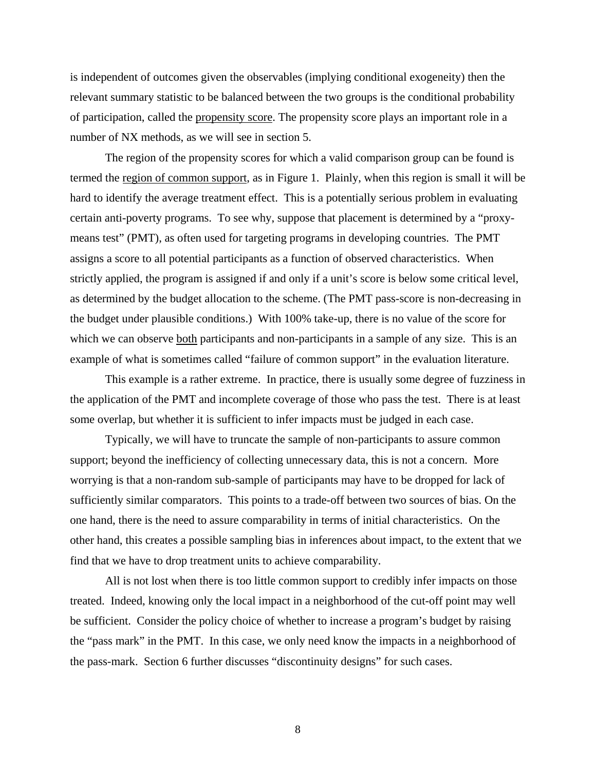is independent of outcomes given the observables (implying conditional exogeneity) then the relevant summary statistic to be balanced between the two groups is the conditional probability of participation, called the propensity score. The propensity score plays an important role in a number of NX methods, as we will see in section 5.

 The region of the propensity scores for which a valid comparison group can be found is termed the region of common support, as in Figure 1. Plainly, when this region is small it will be hard to identify the average treatment effect. This is a potentially serious problem in evaluating certain anti-poverty programs. To see why, suppose that placement is determined by a "proxymeans test" (PMT), as often used for targeting programs in developing countries. The PMT assigns a score to all potential participants as a function of observed characteristics. When strictly applied, the program is assigned if and only if a unit's score is below some critical level, as determined by the budget allocation to the scheme. (The PMT pass-score is non-decreasing in the budget under plausible conditions.) With 100% take-up, there is no value of the score for which we can observe both participants and non-participants in a sample of any size. This is an example of what is sometimes called "failure of common support" in the evaluation literature.

 This example is a rather extreme. In practice, there is usually some degree of fuzziness in the application of the PMT and incomplete coverage of those who pass the test. There is at least some overlap, but whether it is sufficient to infer impacts must be judged in each case.

 Typically, we will have to truncate the sample of non-participants to assure common support; beyond the inefficiency of collecting unnecessary data, this is not a concern. More worrying is that a non-random sub-sample of participants may have to be dropped for lack of sufficiently similar comparators. This points to a trade-off between two sources of bias. On the one hand, there is the need to assure comparability in terms of initial characteristics. On the other hand, this creates a possible sampling bias in inferences about impact, to the extent that we find that we have to drop treatment units to achieve comparability.

 All is not lost when there is too little common support to credibly infer impacts on those treated. Indeed, knowing only the local impact in a neighborhood of the cut-off point may well be sufficient. Consider the policy choice of whether to increase a program's budget by raising the "pass mark" in the PMT. In this case, we only need know the impacts in a neighborhood of the pass-mark. Section 6 further discusses "discontinuity designs" for such cases.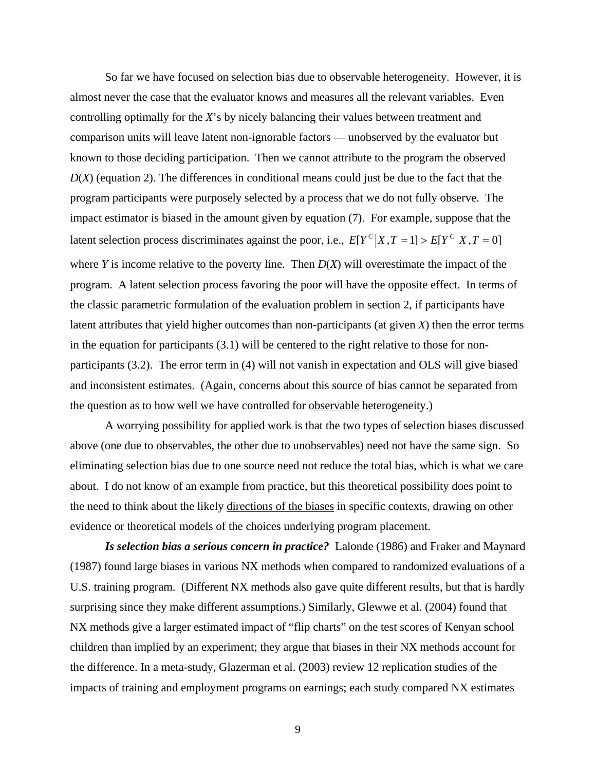So far we have focused on selection bias due to observable heterogeneity. However, it is almost never the case that the evaluator knows and measures all the relevant variables. Even controlling optimally for the *X*'s by nicely balancing their values between treatment and comparison units will leave latent non-ignorable factors — unobserved by the evaluator but known to those deciding participation. Then we cannot attribute to the program the observed *D(X)* (equation 2). The differences in conditional means could just be due to the fact that the program participants were purposely selected by a process that we do not fully observe. The impact estimator is biased in the amount given by equation (7). For example, suppose that the latent selection process discriminates against the poor, i.e.,  $E[Y^C|X,T=1] > E[Y^C|X,T=0]$ where *Y* is income relative to the poverty line. Then *D*(*X*) will overestimate the impact of the program. A latent selection process favoring the poor will have the opposite effect. In terms of the classic parametric formulation of the evaluation problem in section 2, if participants have latent attributes that yield higher outcomes than non-participants (at given *X*) then the error terms in the equation for participants (3.1) will be centered to the right relative to those for nonparticipants (3.2). The error term in (4) will not vanish in expectation and OLS will give biased and inconsistent estimates. (Again, concerns about this source of bias cannot be separated from the question as to how well we have controlled for observable heterogeneity.)

A worrying possibility for applied work is that the two types of selection biases discussed above (one due to observables, the other due to unobservables) need not have the same sign. So eliminating selection bias due to one source need not reduce the total bias, which is what we care about. I do not know of an example from practice, but this theoretical possibility does point to the need to think about the likely directions of the biases in specific contexts, drawing on other evidence or theoretical models of the choices underlying program placement.

*Is selection bias a serious concern in practice?* Lalonde (1986) and Fraker and Maynard (1987) found large biases in various NX methods when compared to randomized evaluations of a U.S. training program. (Different NX methods also gave quite different results, but that is hardly surprising since they make different assumptions.) Similarly, Glewwe et al. (2004) found that NX methods give a larger estimated impact of "flip charts" on the test scores of Kenyan school children than implied by an experiment; they argue that biases in their NX methods account for the difference. In a meta-study, Glazerman et al. (2003) review 12 replication studies of the impacts of training and employment programs on earnings; each study compared NX estimates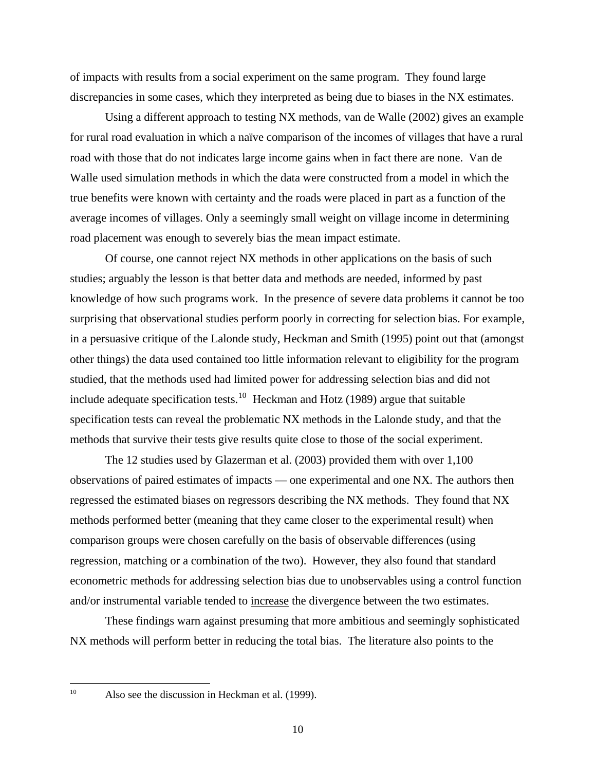of impacts with results from a social experiment on the same program. They found large discrepancies in some cases, which they interpreted as being due to biases in the NX estimates.

 Using a different approach to testing NX methods, van de Walle (2002) gives an example for rural road evaluation in which a naïve comparison of the incomes of villages that have a rural road with those that do not indicates large income gains when in fact there are none. Van de Walle used simulation methods in which the data were constructed from a model in which the true benefits were known with certainty and the roads were placed in part as a function of the average incomes of villages. Only a seemingly small weight on village income in determining road placement was enough to severely bias the mean impact estimate.

 Of course, one cannot reject NX methods in other applications on the basis of such studies; arguably the lesson is that better data and methods are needed, informed by past knowledge of how such programs work. In the presence of severe data problems it cannot be too surprising that observational studies perform poorly in correcting for selection bias. For example, in a persuasive critique of the Lalonde study, Heckman and Smith (1995) point out that (amongst other things) the data used contained too little information relevant to eligibility for the program studied, that the methods used had limited power for addressing selection bias and did not include adequate specification tests.<sup>[10](#page-9-0)</sup> Heckman and Hotz (1989) argue that suitable specification tests can reveal the problematic NX methods in the Lalonde study, and that the methods that survive their tests give results quite close to those of the social experiment.

 The 12 studies used by Glazerman et al. (2003) provided them with over 1,100 observations of paired estimates of impacts — one experimental and one NX. The authors then regressed the estimated biases on regressors describing the NX methods. They found that NX methods performed better (meaning that they came closer to the experimental result) when comparison groups were chosen carefully on the basis of observable differences (using regression, matching or a combination of the two). However, they also found that standard econometric methods for addressing selection bias due to unobservables using a control function and/or instrumental variable tended to increase the divergence between the two estimates.

 These findings warn against presuming that more ambitious and seemingly sophisticated NX methods will perform better in reducing the total bias. The literature also points to the

<u>.</u>

<span id="page-9-0"></span> $10$  Also see the discussion in Heckman et al. (1999).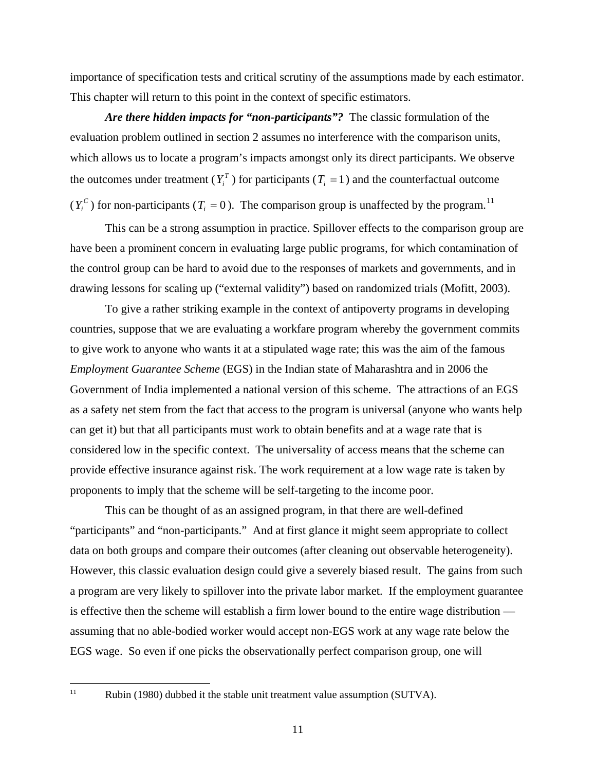importance of specification tests and critical scrutiny of the assumptions made by each estimator. This chapter will return to this point in the context of specific estimators.

*Are there hidden impacts for "non-participants"?* The classic formulation of the evaluation problem outlined in section 2 assumes no interference with the comparison units, which allows us to locate a program's impacts amongst only its direct participants. We observe the outcomes under treatment  $(Y_i^T)$  for participants  $(T_i = 1)$  and the counterfactual outcome  $(Y_i^C)$  for non-participants  $(T_i = 0)$ . The comparison group is unaffected by the program.<sup>[11](#page-10-0)</sup>

This can be a strong assumption in practice. Spillover effects to the comparison group are have been a prominent concern in evaluating large public programs, for which contamination of the control group can be hard to avoid due to the responses of markets and governments, and in drawing lessons for scaling up ("external validity") based on randomized trials (Mofitt, 2003).

 To give a rather striking example in the context of antipoverty programs in developing countries, suppose that we are evaluating a workfare program whereby the government commits to give work to anyone who wants it at a stipulated wage rate; this was the aim of the famous *Employment Guarantee Scheme* (EGS) in the Indian state of Maharashtra and in 2006 the Government of India implemented a national version of this scheme. The attractions of an EGS as a safety net stem from the fact that access to the program is universal (anyone who wants help can get it) but that all participants must work to obtain benefits and at a wage rate that is considered low in the specific context. The universality of access means that the scheme can provide effective insurance against risk. The work requirement at a low wage rate is taken by proponents to imply that the scheme will be self-targeting to the income poor.

This can be thought of as an assigned program, in that there are well-defined "participants" and "non-participants." And at first glance it might seem appropriate to collect data on both groups and compare their outcomes (after cleaning out observable heterogeneity). However, this classic evaluation design could give a severely biased result. The gains from such a program are very likely to spillover into the private labor market. If the employment guarantee is effective then the scheme will establish a firm lower bound to the entire wage distribution assuming that no able-bodied worker would accept non-EGS work at any wage rate below the EGS wage. So even if one picks the observationally perfect comparison group, one will

<span id="page-10-0"></span> $\bar{1}1$ 

Rubin (1980) dubbed it the stable unit treatment value assumption (SUTVA).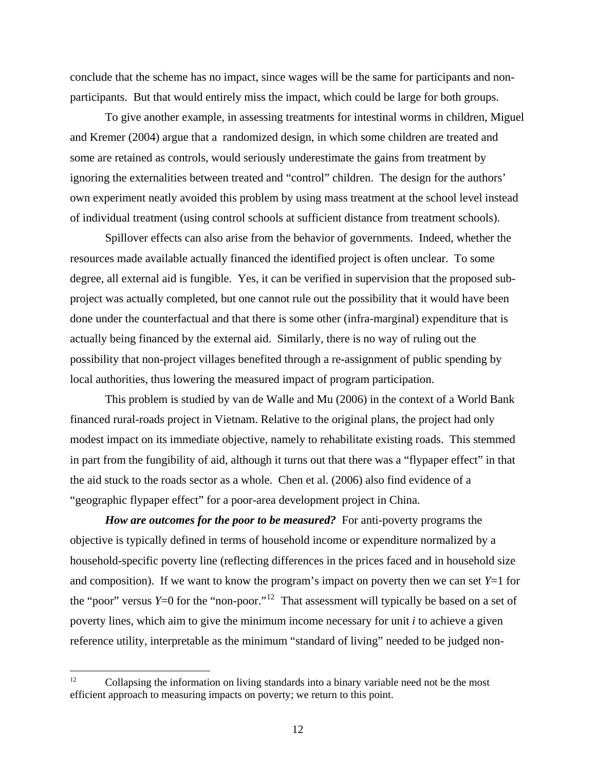conclude that the scheme has no impact, since wages will be the same for participants and nonparticipants. But that would entirely miss the impact, which could be large for both groups.

To give another example, in assessing treatments for intestinal worms in children, Miguel and Kremer (2004) argue that a randomized design, in which some children are treated and some are retained as controls, would seriously underestimate the gains from treatment by ignoring the externalities between treated and "control" children. The design for the authors' own experiment neatly avoided this problem by using mass treatment at the school level instead of individual treatment (using control schools at sufficient distance from treatment schools).

Spillover effects can also arise from the behavior of governments. Indeed, whether the resources made available actually financed the identified project is often unclear. To some degree, all external aid is fungible. Yes, it can be verified in supervision that the proposed subproject was actually completed, but one cannot rule out the possibility that it would have been done under the counterfactual and that there is some other (infra-marginal) expenditure that is actually being financed by the external aid. Similarly, there is no way of ruling out the possibility that non-project villages benefited through a re-assignment of public spending by local authorities, thus lowering the measured impact of program participation.

This problem is studied by van de Walle and Mu (2006) in the context of a World Bank financed rural-roads project in Vietnam. Relative to the original plans, the project had only modest impact on its immediate objective, namely to rehabilitate existing roads. This stemmed in part from the fungibility of aid, although it turns out that there was a "flypaper effect" in that the aid stuck to the roads sector as a whole. Chen et al. (2006) also find evidence of a "geographic flypaper effect" for a poor-area development project in China.

*How are outcomes for the poor to be measured?* For anti-poverty programs the objective is typically defined in terms of household income or expenditure normalized by a household-specific poverty line (reflecting differences in the prices faced and in household size and composition). If we want to know the program's impact on poverty then we can set  $Y=1$  for the "poor" versus  $Y=0$  for the "non-poor."<sup>[12](#page-11-0)</sup> That assessment will typically be based on a set of poverty lines, which aim to give the minimum income necessary for unit *i* to achieve a given reference utility, interpretable as the minimum "standard of living" needed to be judged non-

<span id="page-11-0"></span> $12<sup>12</sup>$ 12 Collapsing the information on living standards into a binary variable need not be the most efficient approach to measuring impacts on poverty; we return to this point.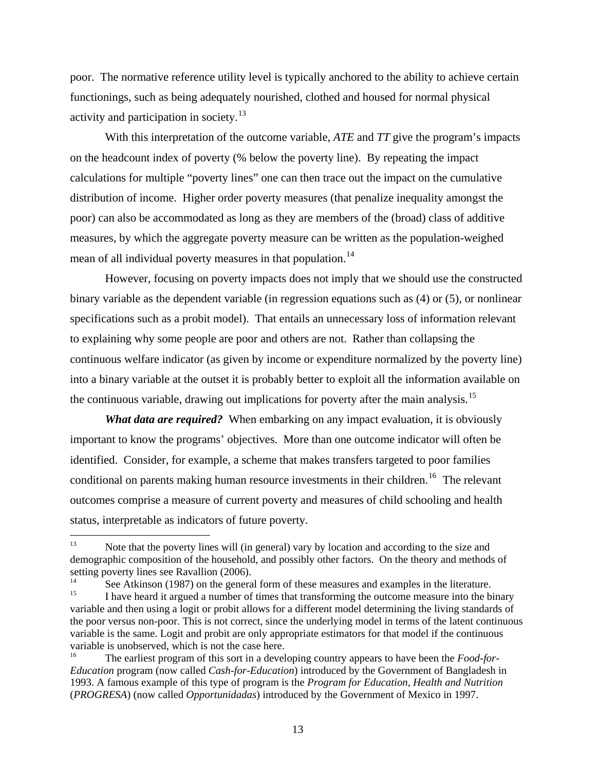poor. The normative reference utility level is typically anchored to the ability to achieve certain functionings, such as being adequately nourished, clothed and housed for normal physical activity and participation in society.<sup>[13](#page-12-0)</sup>

With this interpretation of the outcome variable, *ATE* and *TT* give the program's impacts on the headcount index of poverty (% below the poverty line). By repeating the impact calculations for multiple "poverty lines" one can then trace out the impact on the cumulative distribution of income. Higher order poverty measures (that penalize inequality amongst the poor) can also be accommodated as long as they are members of the (broad) class of additive measures, by which the aggregate poverty measure can be written as the population-weighed mean of all individual poverty measures in that population.<sup>[14](#page-12-1)</sup>

However, focusing on poverty impacts does not imply that we should use the constructed binary variable as the dependent variable (in regression equations such as (4) or (5), or nonlinear specifications such as a probit model). That entails an unnecessary loss of information relevant to explaining why some people are poor and others are not. Rather than collapsing the continuous welfare indicator (as given by income or expenditure normalized by the poverty line) into a binary variable at the outset it is probably better to exploit all the information available on the continuous variable, drawing out implications for poverty after the main analysis.<sup>[15](#page-12-2)</sup>

*What data are required?* When embarking on any impact evaluation, it is obviously important to know the programs' objectives. More than one outcome indicator will often be identified. Consider, for example, a scheme that makes transfers targeted to poor families conditional on parents making human resource investments in their children.<sup>[16](#page-12-3)</sup> The relevant outcomes comprise a measure of current poverty and measures of child schooling and health status, interpretable as indicators of future poverty.

<span id="page-12-0"></span> $13$ Note that the poverty lines will (in general) vary by location and according to the size and demographic composition of the household, and possibly other factors. On the theory and methods of setting poverty lines see Ravallion (2006).<br><sup>14</sup> See Atkinson (1987) on the general form of these measures and examples in the literature.<br><sup>15</sup> I have beed it examples a number of times that transforming the eutresse measu

<span id="page-12-2"></span><span id="page-12-1"></span><sup>15</sup> I have heard it argued a number of times that transforming the outcome measure into the binary variable and then using a logit or probit allows for a different model determining the living standards of the poor versus non-poor. This is not correct, since the underlying model in terms of the latent continuous variable is the same. Logit and probit are only appropriate estimators for that model if the continuous variable is unobserved, which is not the case here.

<span id="page-12-3"></span>The earliest program of this sort in a developing country appears to have been the *Food-for-Education* program (now called *Cash-for-Education*) introduced by the Government of Bangladesh in 1993. A famous example of this type of program is the *Program for Education, Health and Nutrition*  (*PROGRESA*) (now called *Opportunidadas*) introduced by the Government of Mexico in 1997.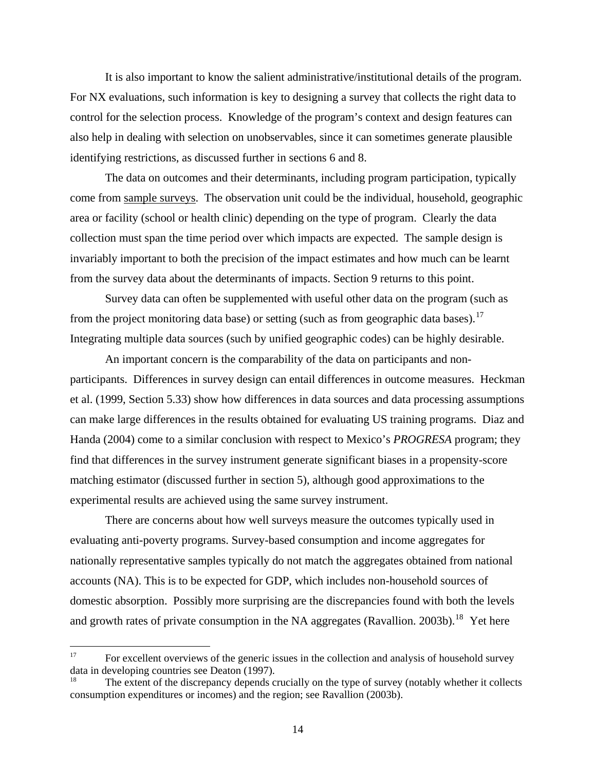It is also important to know the salient administrative/institutional details of the program. For NX evaluations, such information is key to designing a survey that collects the right data to control for the selection process. Knowledge of the program's context and design features can also help in dealing with selection on unobservables, since it can sometimes generate plausible identifying restrictions, as discussed further in sections 6 and 8.

The data on outcomes and their determinants, including program participation, typically come from sample surveys. The observation unit could be the individual, household, geographic area or facility (school or health clinic) depending on the type of program. Clearly the data collection must span the time period over which impacts are expected. The sample design is invariably important to both the precision of the impact estimates and how much can be learnt from the survey data about the determinants of impacts. Section 9 returns to this point.

Survey data can often be supplemented with useful other data on the program (such as from the project monitoring data base) or setting (such as from geographic data bases).<sup>[17](#page-13-0)</sup> Integrating multiple data sources (such by unified geographic codes) can be highly desirable.

An important concern is the comparability of the data on participants and nonparticipants. Differences in survey design can entail differences in outcome measures. Heckman et al. (1999, Section 5.33) show how differences in data sources and data processing assumptions can make large differences in the results obtained for evaluating US training programs. Diaz and Handa (2004) come to a similar conclusion with respect to Mexico's *PROGRESA* program; they find that differences in the survey instrument generate significant biases in a propensity-score matching estimator (discussed further in section 5), although good approximations to the experimental results are achieved using the same survey instrument.

There are concerns about how well surveys measure the outcomes typically used in evaluating anti-poverty programs. Survey-based consumption and income aggregates for nationally representative samples typically do not match the aggregates obtained from national accounts (NA). This is to be expected for GDP, which includes non-household sources of domestic absorption. Possibly more surprising are the discrepancies found with both the levels and growth rates of private consumption in the NA aggregates (Ravallion. 2003b).<sup>[18](#page-14-0)</sup> Yet here

 $\overline{a}$ 

<sup>&</sup>lt;sup>17</sup> For excellent overviews of the generic issues in the collection and analysis of household survey data in developing countries see Deaton (1997).

<span id="page-13-0"></span><sup>&</sup>lt;sup>18</sup> The extent of the discrepancy depends crucially on the type of survey (notably whether it collects consumption expenditures or incomes) and the region; see Ravallion (2003b).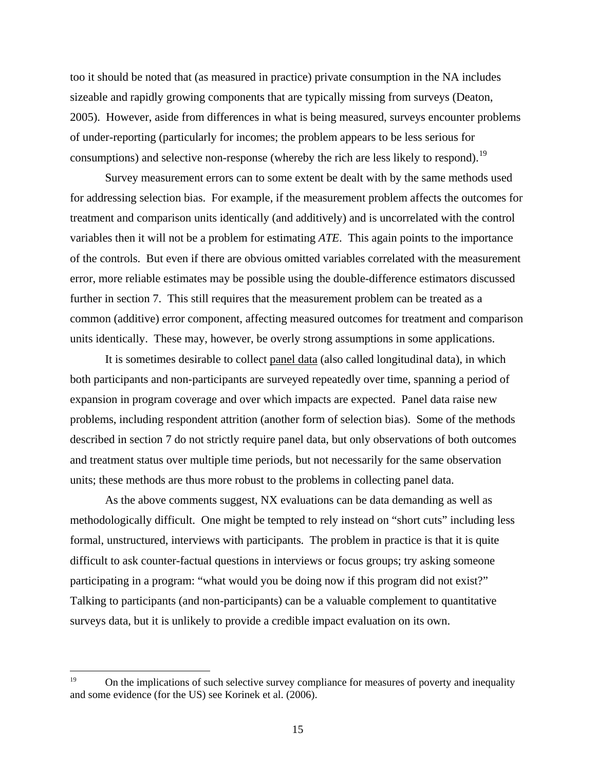too it should be noted that (as measured in practice) private consumption in the NA includes sizeable and rapidly growing components that are typically missing from surveys (Deaton, 2005). However, aside from differences in what is being measured, surveys encounter problems of under-reporting (particularly for incomes; the problem appears to be less serious for consumptions) and selective non-response (whereby the rich are less likely to respond).<sup>[19](#page-14-1)</sup>

Survey measurement errors can to some extent be dealt with by the same methods used for addressing selection bias. For example, if the measurement problem affects the outcomes for treatment and comparison units identically (and additively) and is uncorrelated with the control variables then it will not be a problem for estimating *ATE*. This again points to the importance of the controls. But even if there are obvious omitted variables correlated with the measurement error, more reliable estimates may be possible using the double-difference estimators discussed further in section 7. This still requires that the measurement problem can be treated as a common (additive) error component, affecting measured outcomes for treatment and comparison units identically. These may, however, be overly strong assumptions in some applications.

It is sometimes desirable to collect panel data (also called longitudinal data), in which both participants and non-participants are surveyed repeatedly over time, spanning a period of expansion in program coverage and over which impacts are expected. Panel data raise new problems, including respondent attrition (another form of selection bias). Some of the methods described in section 7 do not strictly require panel data, but only observations of both outcomes and treatment status over multiple time periods, but not necessarily for the same observation units; these methods are thus more robust to the problems in collecting panel data.

As the above comments suggest, NX evaluations can be data demanding as well as methodologically difficult. One might be tempted to rely instead on "short cuts" including less formal, unstructured, interviews with participants. The problem in practice is that it is quite difficult to ask counter-factual questions in interviews or focus groups; try asking someone participating in a program: "what would you be doing now if this program did not exist?" Talking to participants (and non-participants) can be a valuable complement to quantitative surveys data, but it is unlikely to provide a credible impact evaluation on its own.

<span id="page-14-1"></span><span id="page-14-0"></span> $19$ 19 On the implications of such selective survey compliance for measures of poverty and inequality and some evidence (for the US) see Korinek et al. (2006).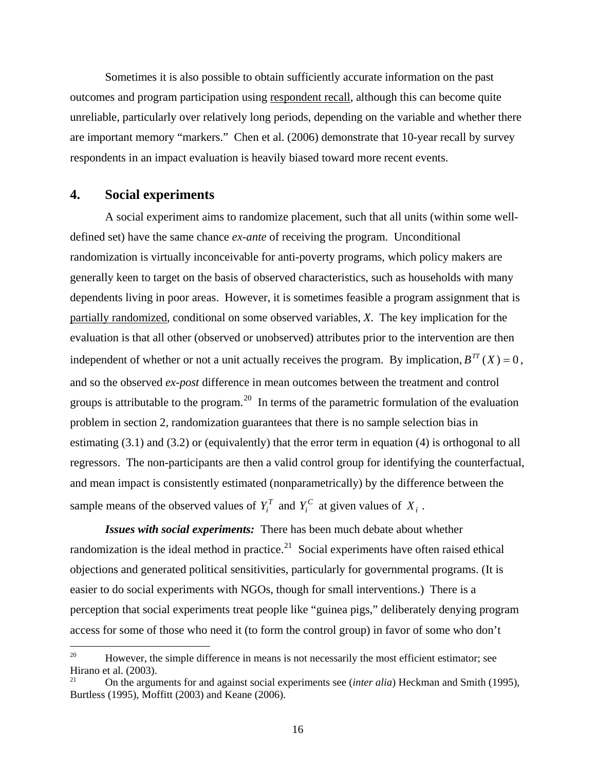Sometimes it is also possible to obtain sufficiently accurate information on the past outcomes and program participation using respondent recall, although this can become quite unreliable, particularly over relatively long periods, depending on the variable and whether there are important memory "markers." Chen et al. (2006) demonstrate that 10-year recall by survey respondents in an impact evaluation is heavily biased toward more recent events.

# **4. Social experiments**

 $\overline{a}$ 

A social experiment aims to randomize placement, such that all units (within some welldefined set) have the same chance *ex-ante* of receiving the program. Unconditional randomization is virtually inconceivable for anti-poverty programs, which policy makers are generally keen to target on the basis of observed characteristics, such as households with many dependents living in poor areas. However, it is sometimes feasible a program assignment that is partially randomized, conditional on some observed variables, *X*. The key implication for the evaluation is that all other (observed or unobserved) attributes prior to the intervention are then independent of whether or not a unit actually receives the program. By implication,  $B^{TT}(X) = 0$ , and so the observed *ex-post* difference in mean outcomes between the treatment and control groups is attributable to the program.<sup>[20](#page-15-0)</sup> In terms of the parametric formulation of the evaluation problem in section 2, randomization guarantees that there is no sample selection bias in estimating (3.1) and (3.2) or (equivalently) that the error term in equation (4) is orthogonal to all regressors. The non-participants are then a valid control group for identifying the counterfactual, and mean impact is consistently estimated (nonparametrically) by the difference between the sample means of the observed values of  $Y_i^T$  and  $Y_i^C$  at given values of  $X_i$ .

*Issues with social experiments:* There has been much debate about whether randomization is the ideal method in practice.<sup>[21](#page-15-1)</sup> Social experiments have often raised ethical objections and generated political sensitivities, particularly for governmental programs. (It is easier to do social experiments with NGOs, though for small interventions.) There is a perception that social experiments treat people like "guinea pigs," deliberately denying program access for some of those who need it (to form the control group) in favor of some who don't

<span id="page-15-0"></span><sup>&</sup>lt;sup>20</sup> However, the simple difference in means is not necessarily the most efficient estimator; see Hirano et al. (2003).

<span id="page-15-1"></span><sup>&</sup>lt;sup>21</sup> On the arguments for and against social experiments see (*inter alia*) Heckman and Smith (1995), Burtless (1995), Moffitt (2003) and Keane (2006).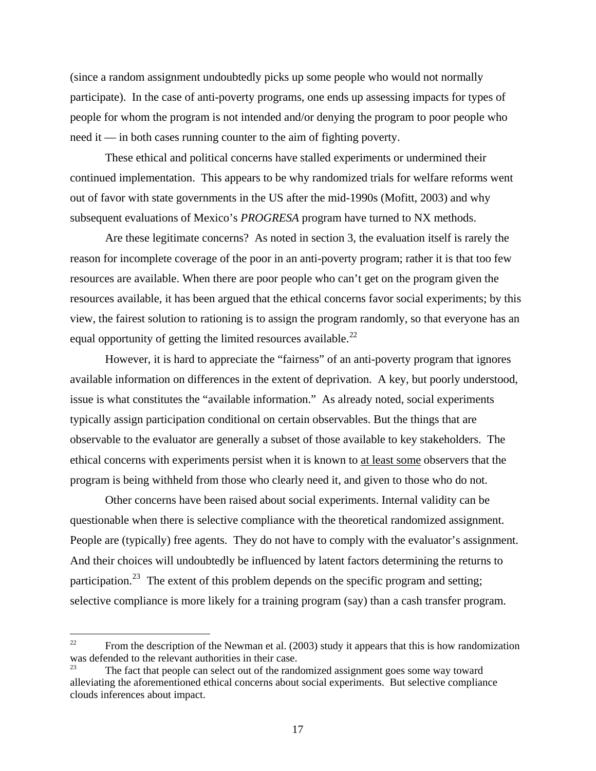(since a random assignment undoubtedly picks up some people who would not normally participate). In the case of anti-poverty programs, one ends up assessing impacts for types of people for whom the program is not intended and/or denying the program to poor people who need it — in both cases running counter to the aim of fighting poverty.

These ethical and political concerns have stalled experiments or undermined their continued implementation. This appears to be why randomized trials for welfare reforms went out of favor with state governments in the US after the mid-1990s (Mofitt, 2003) and why subsequent evaluations of Mexico's *PROGRESA* program have turned to NX methods.

Are these legitimate concerns? As noted in section 3, the evaluation itself is rarely the reason for incomplete coverage of the poor in an anti-poverty program; rather it is that too few resources are available. When there are poor people who can't get on the program given the resources available, it has been argued that the ethical concerns favor social experiments; by this view, the fairest solution to rationing is to assign the program randomly, so that everyone has an equal opportunity of getting the limited resources available.<sup>[22](#page-16-0)</sup>

However, it is hard to appreciate the "fairness" of an anti-poverty program that ignores available information on differences in the extent of deprivation. A key, but poorly understood, issue is what constitutes the "available information." As already noted, social experiments typically assign participation conditional on certain observables. But the things that are observable to the evaluator are generally a subset of those available to key stakeholders. The ethical concerns with experiments persist when it is known to at least some observers that the program is being withheld from those who clearly need it, and given to those who do not.

Other concerns have been raised about social experiments. Internal validity can be questionable when there is selective compliance with the theoretical randomized assignment. People are (typically) free agents. They do not have to comply with the evaluator's assignment. And their choices will undoubtedly be influenced by latent factors determining the returns to participation.<sup>[23](#page-16-1)</sup> The extent of this problem depends on the specific program and setting; selective compliance is more likely for a training program (say) than a cash transfer program.

 $22$ From the description of the Newman et al. (2003) study it appears that this is how randomization was defended to the relevant authorities in their case.

<span id="page-16-1"></span><span id="page-16-0"></span>The fact that people can select out of the randomized assignment goes some way toward alleviating the aforementioned ethical concerns about social experiments. But selective compliance clouds inferences about impact.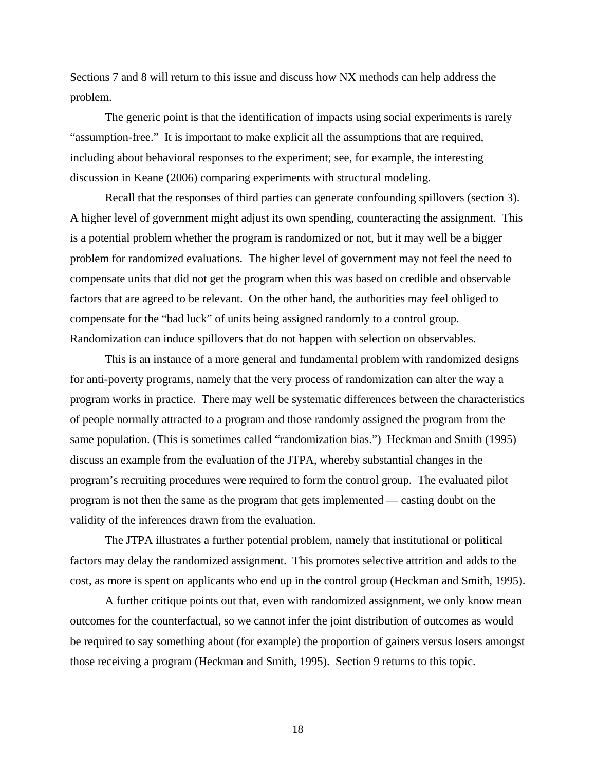Sections 7 and 8 will return to this issue and discuss how NX methods can help address the problem.

The generic point is that the identification of impacts using social experiments is rarely "assumption-free." It is important to make explicit all the assumptions that are required, including about behavioral responses to the experiment; see, for example, the interesting discussion in Keane (2006) comparing experiments with structural modeling.

 Recall that the responses of third parties can generate confounding spillovers (section 3). A higher level of government might adjust its own spending, counteracting the assignment. This is a potential problem whether the program is randomized or not, but it may well be a bigger problem for randomized evaluations. The higher level of government may not feel the need to compensate units that did not get the program when this was based on credible and observable factors that are agreed to be relevant. On the other hand, the authorities may feel obliged to compensate for the "bad luck" of units being assigned randomly to a control group. Randomization can induce spillovers that do not happen with selection on observables.

 This is an instance of a more general and fundamental problem with randomized designs for anti-poverty programs, namely that the very process of randomization can alter the way a program works in practice. There may well be systematic differences between the characteristics of people normally attracted to a program and those randomly assigned the program from the same population. (This is sometimes called "randomization bias.") Heckman and Smith (1995) discuss an example from the evaluation of the JTPA, whereby substantial changes in the program's recruiting procedures were required to form the control group. The evaluated pilot program is not then the same as the program that gets implemented — casting doubt on the validity of the inferences drawn from the evaluation.

 The JTPA illustrates a further potential problem, namely that institutional or political factors may delay the randomized assignment. This promotes selective attrition and adds to the cost, as more is spent on applicants who end up in the control group (Heckman and Smith, 1995).

 A further critique points out that, even with randomized assignment, we only know mean outcomes for the counterfactual, so we cannot infer the joint distribution of outcomes as would be required to say something about (for example) the proportion of gainers versus losers amongst those receiving a program (Heckman and Smith, 1995). Section 9 returns to this topic.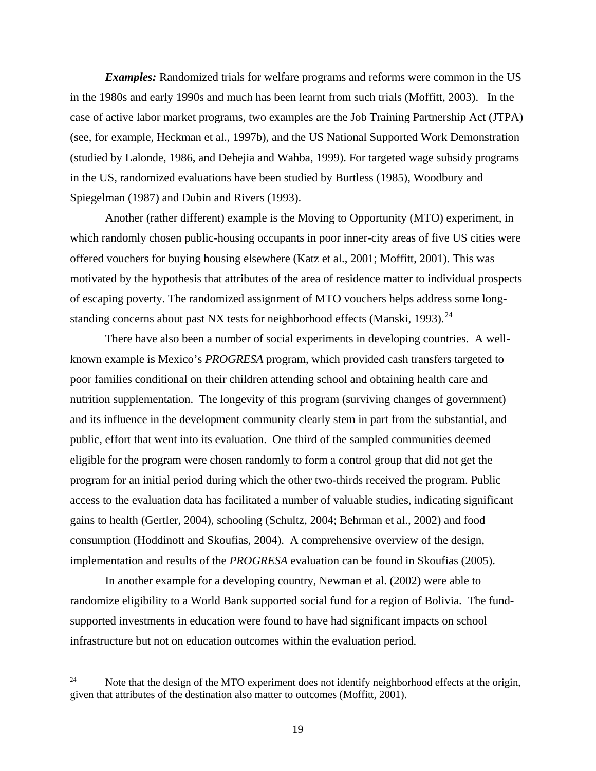*Examples:* Randomized trials for welfare programs and reforms were common in the US in the 1980s and early 1990s and much has been learnt from such trials (Moffitt, 2003). In the case of active labor market programs, two examples are the Job Training Partnership Act (JTPA) (see, for example, Heckman et al., 1997b), and the US National Supported Work Demonstration (studied by Lalonde, 1986, and Dehejia and Wahba, 1999). For targeted wage subsidy programs in the US, randomized evaluations have been studied by Burtless (1985), Woodbury and Spiegelman (1987) and Dubin and Rivers (1993).

Another (rather different) example is the Moving to Opportunity (MTO) experiment, in which randomly chosen public-housing occupants in poor inner-city areas of five US cities were offered vouchers for buying housing elsewhere (Katz et al., 2001; Moffitt, 2001). This was motivated by the hypothesis that attributes of the area of residence matter to individual prospects of escaping poverty. The randomized assignment of MTO vouchers helps address some long-standing concerns about past NX tests for neighborhood effects (Manski, 1993).<sup>[24](#page-18-0)</sup>

There have also been a number of social experiments in developing countries. A wellknown example is Mexico's *PROGRESA* program, which provided cash transfers targeted to poor families conditional on their children attending school and obtaining health care and nutrition supplementation. The longevity of this program (surviving changes of government) and its influence in the development community clearly stem in part from the substantial, and public, effort that went into its evaluation. One third of the sampled communities deemed eligible for the program were chosen randomly to form a control group that did not get the program for an initial period during which the other two-thirds received the program. Public access to the evaluation data has facilitated a number of valuable studies, indicating significant gains to health (Gertler, 2004), schooling (Schultz, 2004; Behrman et al., 2002) and food consumption (Hoddinott and Skoufias, 2004). A comprehensive overview of the design, implementation and results of the *PROGRESA* evaluation can be found in Skoufias (2005).

In another example for a developing country, Newman et al. (2002) were able to randomize eligibility to a World Bank supported social fund for a region of Bolivia. The fundsupported investments in education were found to have had significant impacts on school infrastructure but not on education outcomes within the evaluation period.

<span id="page-18-0"></span> $\overline{24}$ Note that the design of the MTO experiment does not identify neighborhood effects at the origin, given that attributes of the destination also matter to outcomes (Moffitt, 2001).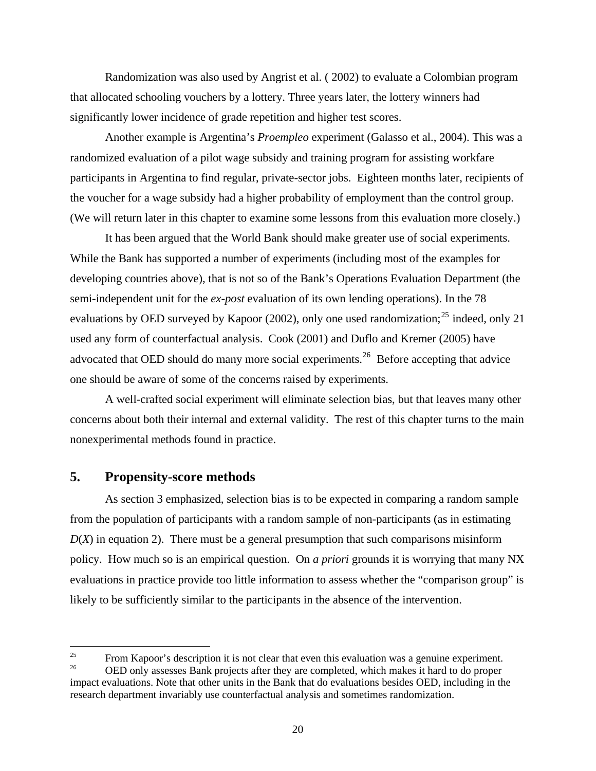Randomization was also used by Angrist et al. ( 2002) to evaluate a Colombian program that allocated schooling vouchers by a lottery. Three years later, the lottery winners had significantly lower incidence of grade repetition and higher test scores.

Another example is Argentina's *Proempleo* experiment (Galasso et al., 2004). This was a randomized evaluation of a pilot wage subsidy and training program for assisting workfare participants in Argentina to find regular, private-sector jobs. Eighteen months later, recipients of the voucher for a wage subsidy had a higher probability of employment than the control group. (We will return later in this chapter to examine some lessons from this evaluation more closely.)

 It has been argued that the World Bank should make greater use of social experiments. While the Bank has supported a number of experiments (including most of the examples for developing countries above), that is not so of the Bank's Operations Evaluation Department (the semi-independent unit for the *ex-post* evaluation of its own lending operations). In the 78 evaluations by OED surveyed by Kapoor (2002), only one used randomization;<sup>[25](#page-19-0)</sup> indeed, only 21 used any form of counterfactual analysis. Cook (2001) and Duflo and Kremer (2005) have advocated that OED should do many more social experiments.<sup>[26](#page-19-1)</sup> Before accepting that advice one should be aware of some of the concerns raised by experiments.

A well-crafted social experiment will eliminate selection bias, but that leaves many other concerns about both their internal and external validity. The rest of this chapter turns to the main nonexperimental methods found in practice.

## **5. Propensity-score methods**

As section 3 emphasized, selection bias is to be expected in comparing a random sample from the population of participants with a random sample of non-participants (as in estimating *D(X)* in equation 2). There must be a general presumption that such comparisons misinform policy. How much so is an empirical question. On *a priori* grounds it is worrying that many NX evaluations in practice provide too little information to assess whether the "comparison group" is likely to be sufficiently similar to the participants in the absence of the intervention.

<span id="page-19-0"></span><sup>&</sup>lt;sup>25</sup> From Kapoor's description it is not clear that even this evaluation was a genuine experiment.

<span id="page-19-1"></span><sup>26</sup> OED only assesses Bank projects after they are completed, which makes it hard to do proper impact evaluations. Note that other units in the Bank that do evaluations besides OED, including in the research department invariably use counterfactual analysis and sometimes randomization.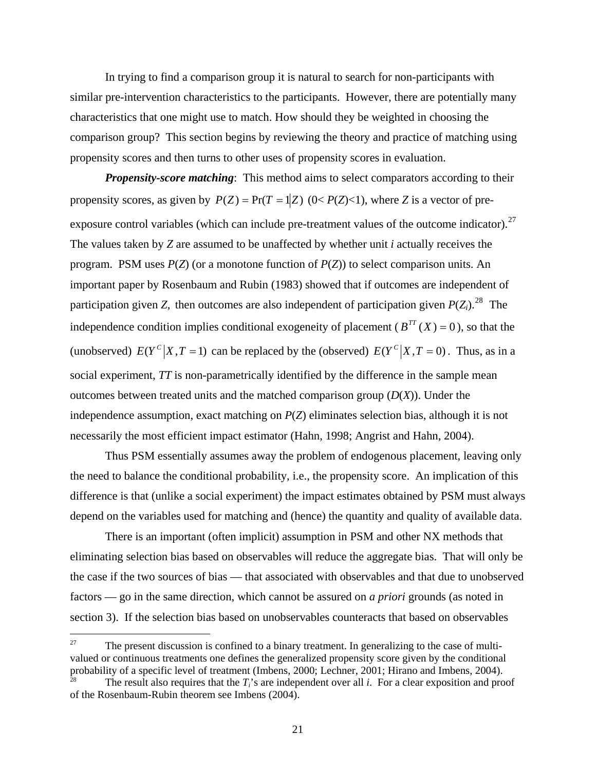In trying to find a comparison group it is natural to search for non-participants with similar pre-intervention characteristics to the participants. However, there are potentially many characteristics that one might use to match. How should they be weighted in choosing the comparison group? This section begins by reviewing the theory and practice of matching using propensity scores and then turns to other uses of propensity scores in evaluation.

*Propensity-score matching*: This method aims to select comparators according to their propensity scores, as given by  $P(Z) = Pr(T = 1|Z)$  ( $0 < P(Z) < 1$ ), where *Z* is a vector of pre-exposure control variables (which can include pre-treatment values of the outcome indicator).<sup>[27](#page-20-0)</sup> The values taken by *Z* are assumed to be unaffected by whether unit *i* actually receives the program. PSM uses *P*(*Z*) (or a monotone function of *P*(*Z*)) to select comparison units. An important paper by Rosenbaum and Rubin (1983) showed that if outcomes are independent of participation given *Z*, then outcomes are also independent of participation given  $P(Z_i)$ .<sup>[28](#page-20-1)</sup> The independence condition implies conditional exogeneity of placement ( $B^{TT}(X) = 0$ ), so that the (unobserved)  $E(Y^c | X, T = 1)$  can be replaced by the (observed)  $E(Y^c | X, T = 0)$ . Thus, as in a social experiment, *TT* is non-parametrically identified by the difference in the sample mean outcomes between treated units and the matched comparison group  $(D(X))$ . Under the independence assumption, exact matching on *P*(*Z*) eliminates selection bias, although it is not necessarily the most efficient impact estimator (Hahn, 1998; Angrist and Hahn, 2004).

Thus PSM essentially assumes away the problem of endogenous placement, leaving only the need to balance the conditional probability, i.e., the propensity score. An implication of this difference is that (unlike a social experiment) the impact estimates obtained by PSM must always depend on the variables used for matching and (hence) the quantity and quality of available data.

There is an important (often implicit) assumption in PSM and other NX methods that eliminating selection bias based on observables will reduce the aggregate bias. That will only be the case if the two sources of bias — that associated with observables and that due to unobserved factors — go in the same direction, which cannot be assured on *a priori* grounds (as noted in section 3). If the selection bias based on unobservables counteracts that based on observables

<span id="page-20-0"></span><sup>27</sup> The present discussion is confined to a binary treatment. In generalizing to the case of multivalued or continuous treatments one defines the generalized propensity score given by the conditional probability of a specific level of treatment (Imbens, 2000; Lechner, 2001; Hirano and Imbens, 2004).<br><sup>28</sup> The result also requires that the *T<sub>i</sub>*'s are independent over all *i*. For a clear exposition and proof

<span id="page-20-1"></span>of the Rosenbaum-Rubin theorem see Imbens (2004).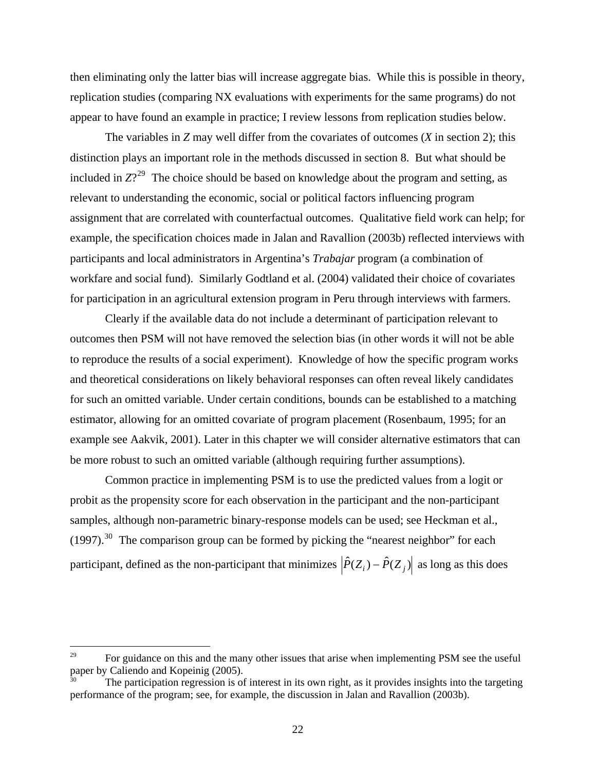then eliminating only the latter bias will increase aggregate bias. While this is possible in theory, replication studies (comparing NX evaluations with experiments for the same programs) do not appear to have found an example in practice; I review lessons from replication studies below.

The variables in *Z* may well differ from the covariates of outcomes (*X* in section 2); this distinction plays an important role in the methods discussed in section 8. But what should be included in  $Z<sup>29</sup>$  $Z<sup>29</sup>$  $Z<sup>29</sup>$  The choice should be based on knowledge about the program and setting, as relevant to understanding the economic, social or political factors influencing program assignment that are correlated with counterfactual outcomes. Qualitative field work can help; for example, the specification choices made in Jalan and Ravallion (2003b) reflected interviews with participants and local administrators in Argentina's *Trabajar* program (a combination of workfare and social fund). Similarly Godtland et al. (2004) validated their choice of covariates for participation in an agricultural extension program in Peru through interviews with farmers.

Clearly if the available data do not include a determinant of participation relevant to outcomes then PSM will not have removed the selection bias (in other words it will not be able to reproduce the results of a social experiment). Knowledge of how the specific program works and theoretical considerations on likely behavioral responses can often reveal likely candidates for such an omitted variable. Under certain conditions, bounds can be established to a matching estimator, allowing for an omitted covariate of program placement (Rosenbaum, 1995; for an example see Aakvik, 2001). Later in this chapter we will consider alternative estimators that can be more robust to such an omitted variable (although requiring further assumptions).

Common practice in implementing PSM is to use the predicted values from a logit or probit as the propensity score for each observation in the participant and the non-participant samples, although non-parametric binary-response models can be used; see Heckman et al.,  $(1997).$ <sup>[30](#page-21-1)</sup> The comparison group can be formed by picking the "nearest neighbor" for each participant, defined as the non-participant that minimizes  $|\hat{P}(Z_i) - \hat{P}(Z_j)|$  as long as this does

 $\overline{a}$ 

<span id="page-21-0"></span><sup>&</sup>lt;sup>29</sup> For guidance on this and the many other issues that arise when implementing PSM see the useful paper by Caliendo and Kopeinig (2005).

<span id="page-21-1"></span>The participation regression is of interest in its own right, as it provides insights into the targeting performance of the program; see, for example, the discussion in Jalan and Ravallion (2003b).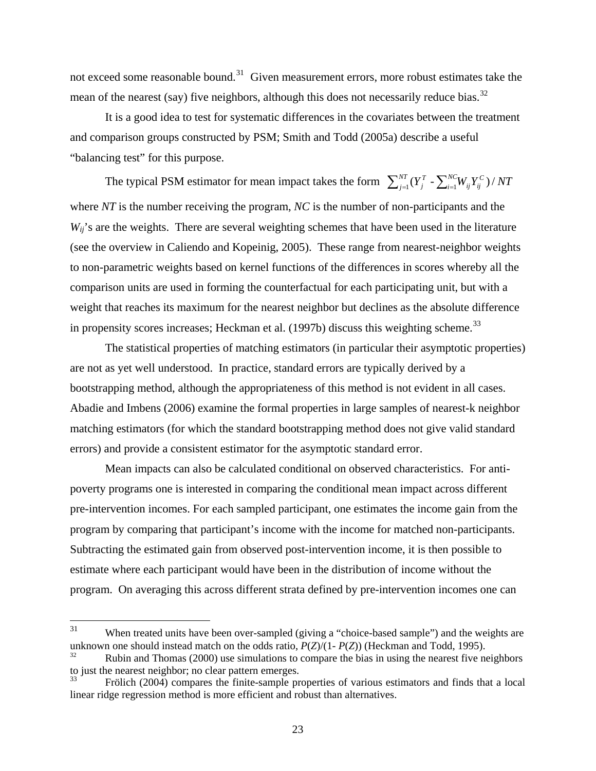not exceed some reasonable bound.<sup>[31](#page-22-0)</sup> Given measurement errors, more robust estimates take the mean of the nearest (say) five neighbors, although this does not necessarily reduce bias.<sup>[32](#page-22-1)</sup>

It is a good idea to test for systematic differences in the covariates between the treatment and comparison groups constructed by PSM; Smith and Todd (2005a) describe a useful "balancing test" for this purpose.

The typical PSM estimator for mean impact takes the form  $\sum_{j=1}^{NT} (Y_j^T - \sum_{i=1}^{NC} W_{ij} Y_{ij}^C) / NT$ where *NT* is the number receiving the program, *NC* is the number of non-participants and the *W<sub>ii</sub>*'s are the weights. There are several weighting schemes that have been used in the literature (see the overview in Caliendo and Kopeinig, 2005). These range from nearest-neighbor weights to non-parametric weights based on kernel functions of the differences in scores whereby all the comparison units are used in forming the counterfactual for each participating unit, but with a weight that reaches its maximum for the nearest neighbor but declines as the absolute difference in propensity scores increases; Heckman et al. (1997b) discuss this weighting scheme. [33](#page-22-2) *C ijij NT j*  $\sum_{j=1}^{NT} (Y_j^T$  -  $\sum_{i=1}^{NC} \! W_{ij} Y_{ij}^C)$  /

 The statistical properties of matching estimators (in particular their asymptotic properties) are not as yet well understood. In practice, standard errors are typically derived by a bootstrapping method, although the appropriateness of this method is not evident in all cases. Abadie and Imbens (2006) examine the formal properties in large samples of nearest-k neighbor matching estimators (for which the standard bootstrapping method does not give valid standard errors) and provide a consistent estimator for the asymptotic standard error.

 Mean impacts can also be calculated conditional on observed characteristics. For antipoverty programs one is interested in comparing the conditional mean impact across different pre-intervention incomes. For each sampled participant, one estimates the income gain from the program by comparing that participant's income with the income for matched non-participants. Subtracting the estimated gain from observed post-intervention income, it is then possible to estimate where each participant would have been in the distribution of income without the program. On averaging this across different strata defined by pre-intervention incomes one can

<span id="page-22-0"></span><sup>31</sup> When treated units have been over-sampled (giving a "choice-based sample") and the weights are unknown one should instead match on the odds ratio, *P*(*Z*)/(1- *P*(*Z*)) (Heckman and Todd, 1995).

<span id="page-22-1"></span>Rubin and Thomas (2000) use simulations to compare the bias in using the nearest five neighbors to just the nearest neighbor; no clear pattern emerges.

<span id="page-22-2"></span><sup>33</sup> Frölich (2004) compares the finite-sample properties of various estimators and finds that a local linear ridge regression method is more efficient and robust than alternatives.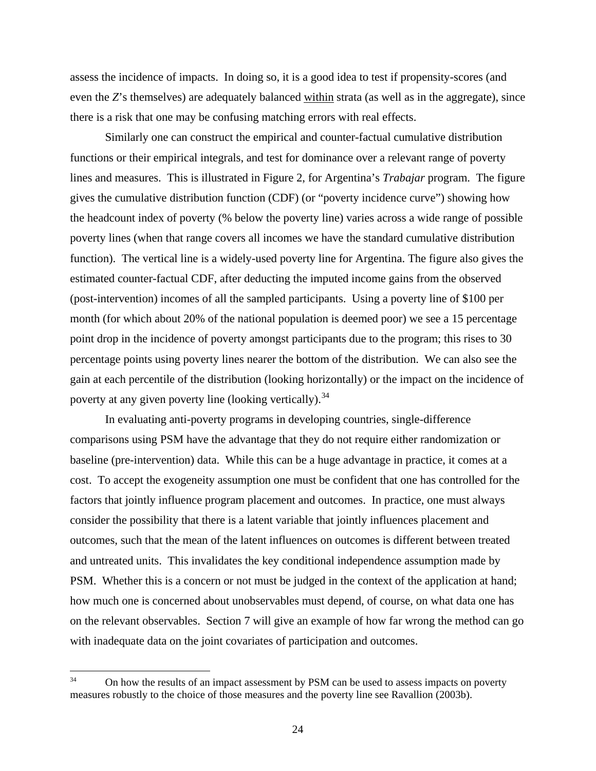assess the incidence of impacts. In doing so, it is a good idea to test if propensity-scores (and even the *Z*'s themselves) are adequately balanced within strata (as well as in the aggregate), since there is a risk that one may be confusing matching errors with real effects.

 Similarly one can construct the empirical and counter-factual cumulative distribution functions or their empirical integrals, and test for dominance over a relevant range of poverty lines and measures. This is illustrated in Figure 2, for Argentina's *Trabajar* program. The figure gives the cumulative distribution function (CDF) (or "poverty incidence curve") showing how the headcount index of poverty (% below the poverty line) varies across a wide range of possible poverty lines (when that range covers all incomes we have the standard cumulative distribution function). The vertical line is a widely-used poverty line for Argentina. The figure also gives the estimated counter-factual CDF, after deducting the imputed income gains from the observed (post-intervention) incomes of all the sampled participants. Using a poverty line of \$100 per month (for which about 20% of the national population is deemed poor) we see a 15 percentage point drop in the incidence of poverty amongst participants due to the program; this rises to 30 percentage points using poverty lines nearer the bottom of the distribution. We can also see the gain at each percentile of the distribution (looking horizontally) or the impact on the incidence of poverty at any given poverty line (looking vertically).  $34$ 

In evaluating anti-poverty programs in developing countries, single-difference comparisons using PSM have the advantage that they do not require either randomization or baseline (pre-intervention) data. While this can be a huge advantage in practice, it comes at a cost. To accept the exogeneity assumption one must be confident that one has controlled for the factors that jointly influence program placement and outcomes. In practice, one must always consider the possibility that there is a latent variable that jointly influences placement and outcomes, such that the mean of the latent influences on outcomes is different between treated and untreated units. This invalidates the key conditional independence assumption made by PSM. Whether this is a concern or not must be judged in the context of the application at hand; how much one is concerned about unobservables must depend, of course, on what data one has on the relevant observables. Section 7 will give an example of how far wrong the method can go with inadequate data on the joint covariates of participation and outcomes.

<span id="page-23-0"></span> $34$ 34 On how the results of an impact assessment by PSM can be used to assess impacts on poverty measures robustly to the choice of those measures and the poverty line see Ravallion (2003b).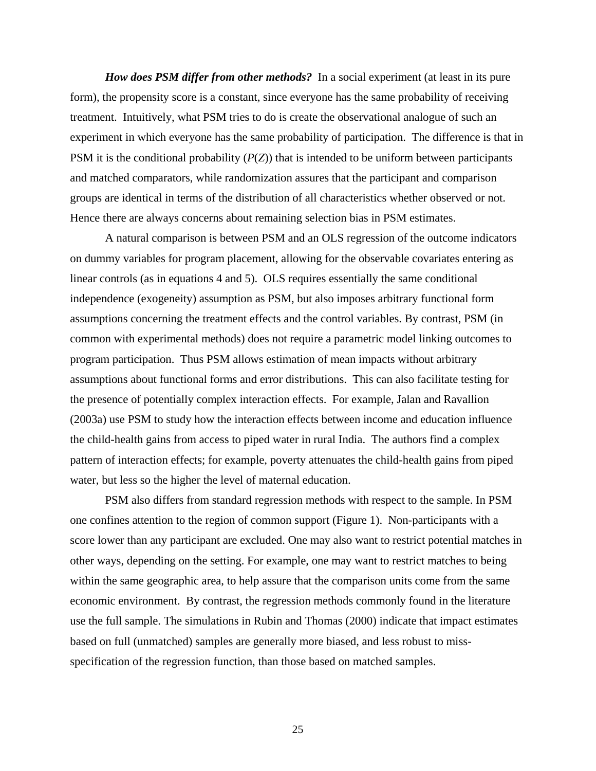*How does PSM differ from other methods?* In a social experiment (at least in its pure form), the propensity score is a constant, since everyone has the same probability of receiving treatment. Intuitively, what PSM tries to do is create the observational analogue of such an experiment in which everyone has the same probability of participation. The difference is that in PSM it is the conditional probability (*P*(*Z*)) that is intended to be uniform between participants and matched comparators, while randomization assures that the participant and comparison groups are identical in terms of the distribution of all characteristics whether observed or not. Hence there are always concerns about remaining selection bias in PSM estimates.

 A natural comparison is between PSM and an OLS regression of the outcome indicators on dummy variables for program placement, allowing for the observable covariates entering as linear controls (as in equations 4 and 5). OLS requires essentially the same conditional independence (exogeneity) assumption as PSM, but also imposes arbitrary functional form assumptions concerning the treatment effects and the control variables. By contrast, PSM (in common with experimental methods) does not require a parametric model linking outcomes to program participation. Thus PSM allows estimation of mean impacts without arbitrary assumptions about functional forms and error distributions. This can also facilitate testing for the presence of potentially complex interaction effects. For example, Jalan and Ravallion (2003a) use PSM to study how the interaction effects between income and education influence the child-health gains from access to piped water in rural India. The authors find a complex pattern of interaction effects; for example, poverty attenuates the child-health gains from piped water, but less so the higher the level of maternal education.

 PSM also differs from standard regression methods with respect to the sample. In PSM one confines attention to the region of common support (Figure 1). Non-participants with a score lower than any participant are excluded. One may also want to restrict potential matches in other ways, depending on the setting. For example, one may want to restrict matches to being within the same geographic area, to help assure that the comparison units come from the same economic environment. By contrast, the regression methods commonly found in the literature use the full sample. The simulations in Rubin and Thomas (2000) indicate that impact estimates based on full (unmatched) samples are generally more biased, and less robust to missspecification of the regression function, than those based on matched samples.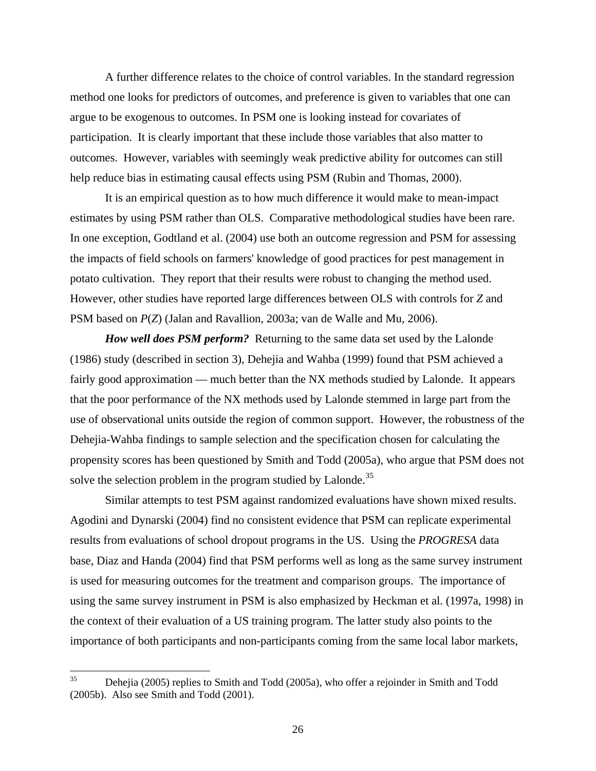A further difference relates to the choice of control variables. In the standard regression method one looks for predictors of outcomes, and preference is given to variables that one can argue to be exogenous to outcomes. In PSM one is looking instead for covariates of participation. It is clearly important that these include those variables that also matter to outcomes. However, variables with seemingly weak predictive ability for outcomes can still help reduce bias in estimating causal effects using PSM (Rubin and Thomas, 2000).

 It is an empirical question as to how much difference it would make to mean-impact estimates by using PSM rather than OLS. Comparative methodological studies have been rare. In one exception, Godtland et al. (2004) use both an outcome regression and PSM for assessing the impacts of field schools on farmers' knowledge of good practices for pest management in potato cultivation. They report that their results were robust to changing the method used. However, other studies have reported large differences between OLS with controls for *Z* and PSM based on *P*(*Z*) (Jalan and Ravallion, 2003a; van de Walle and Mu, 2006).

*How well does PSM perform?* Returning to the same data set used by the Lalonde (1986) study (described in section 3), Dehejia and Wahba (1999) found that PSM achieved a fairly good approximation — much better than the NX methods studied by Lalonde. It appears that the poor performance of the NX methods used by Lalonde stemmed in large part from the use of observational units outside the region of common support. However, the robustness of the Dehejia-Wahba findings to sample selection and the specification chosen for calculating the propensity scores has been questioned by Smith and Todd (2005a), who argue that PSM does not solve the selection problem in the program studied by Lalonde.<sup>[35](#page-25-0)</sup>

 Similar attempts to test PSM against randomized evaluations have shown mixed results. Agodini and Dynarski (2004) find no consistent evidence that PSM can replicate experimental results from evaluations of school dropout programs in the US. Using the *PROGRESA* data base, Diaz and Handa (2004) find that PSM performs well as long as the same survey instrument is used for measuring outcomes for the treatment and comparison groups. The importance of using the same survey instrument in PSM is also emphasized by Heckman et al. (1997a, 1998) in the context of their evaluation of a US training program. The latter study also points to the importance of both participants and non-participants coming from the same local labor markets,

<span id="page-25-0"></span><sup>35</sup> 35 Dehejia (2005) replies to Smith and Todd (2005a), who offer a rejoinder in Smith and Todd (2005b). Also see Smith and Todd (2001).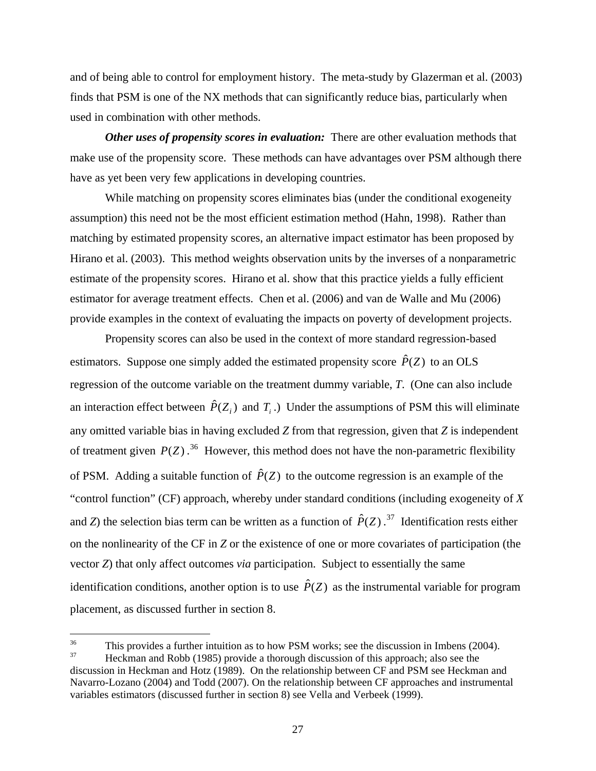and of being able to control for employment history. The meta-study by Glazerman et al. (2003) finds that PSM is one of the NX methods that can significantly reduce bias, particularly when used in combination with other methods.

*Other uses of propensity scores in evaluation: There are other evaluation methods that* make use of the propensity score. These methods can have advantages over PSM although there have as yet been very few applications in developing countries.

While matching on propensity scores eliminates bias (under the conditional exogeneity assumption) this need not be the most efficient estimation method (Hahn, 1998). Rather than matching by estimated propensity scores, an alternative impact estimator has been proposed by Hirano et al. (2003). This method weights observation units by the inverses of a nonparametric estimate of the propensity scores. Hirano et al. show that this practice yields a fully efficient estimator for average treatment effects. Chen et al. (2006) and van de Walle and Mu (2006) provide examples in the context of evaluating the impacts on poverty of development projects.

Propensity scores can also be used in the context of more standard regression-based estimators. Suppose one simply added the estimated propensity score  $\hat{P}(Z)$  to an OLS regression of the outcome variable on the treatment dummy variable, *T*. (One can also include an interaction effect between  $\hat{P}(Z_i)$  and  $T_i$ .) Under the assumptions of PSM this will eliminate any omitted variable bias in having excluded *Z* from that regression, given that *Z* is independent of treatment given  $P(Z)$ .<sup>[36](#page-26-0)</sup> However, this method does not have the non-parametric flexibility of PSM. Adding a suitable function of  $\hat{P}(Z)$  to the outcome regression is an example of the "control function" (CF) approach, whereby under standard conditions (including exogeneity of *X* and *Z*) the selection bias term can be written as a function of  $\hat{P}(Z)$ .<sup>[37](#page-26-1)</sup> Identification rests either on the nonlinearity of the CF in *Z* or the existence of one or more covariates of participation (the vector *Z*) that only affect outcomes *via* participation. Subject to essentially the same identification conditions, another option is to use  $\hat{P}(Z)$  as the instrumental variable for program placement, as discussed further in section 8.

<span id="page-26-1"></span><span id="page-26-0"></span><sup>36</sup> <sup>36</sup> This provides a further intuition as to how PSM works; see the discussion in Imbens (2004).<br><sup>37</sup> Heckman and Pobb (1985) provide a thorough discussion of this approach; also see the 37 Heckman and Robb (1985) provide a thorough discussion of this approach; also see the discussion in Heckman and Hotz (1989). On the relationship between CF and PSM see Heckman and Navarro-Lozano (2004) and Todd (2007). On the relationship between CF approaches and instrumental variables estimators (discussed further in section 8) see Vella and Verbeek (1999).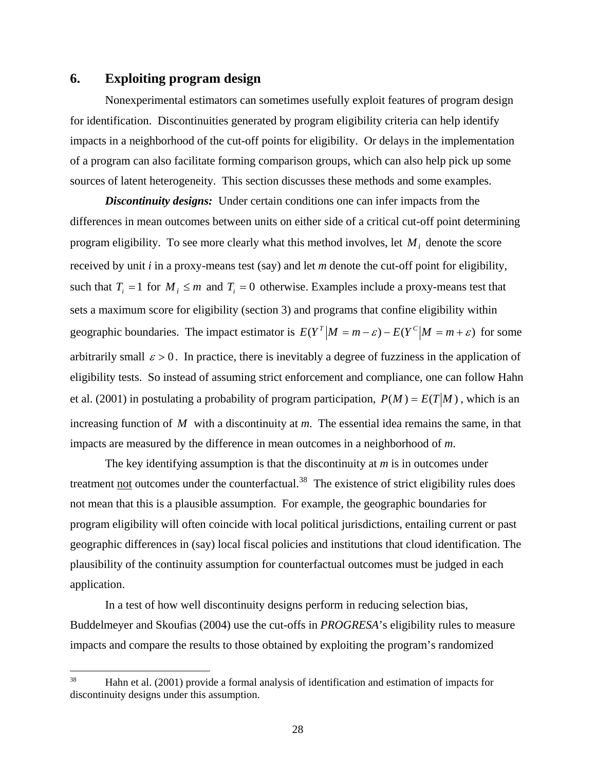### **6. Exploiting program design**

 Nonexperimental estimators can sometimes usefully exploit features of program design for identification. Discontinuities generated by program eligibility criteria can help identify impacts in a neighborhood of the cut-off points for eligibility. Or delays in the implementation of a program can also facilitate forming comparison groups, which can also help pick up some sources of latent heterogeneity. This section discusses these methods and some examples.

*Discontinuity designs:* Under certain conditions one can infer impacts from the differences in mean outcomes between units on either side of a critical cut-off point determining program eligibility. To see more clearly what this method involves, let  $M_i$  denote the score received by unit *i* in a proxy-means test (say) and let *m* denote the cut-off point for eligibility, such that  $T_i = 1$  for  $M_i \le m$  and  $T_i = 0$  otherwise. Examples include a proxy-means test that sets a maximum score for eligibility (section 3) and programs that confine eligibility within geographic boundaries. The impact estimator is  $E(Y^T|M=m-\varepsilon) - E(Y^C|M=m+\varepsilon)$  for some arbitrarily small  $\varepsilon > 0$ . In practice, there is inevitably a degree of fuzziness in the application of eligibility tests. So instead of assuming strict enforcement and compliance, one can follow Hahn et al. (2001) in postulating a probability of program participation,  $P(M) = E(T|M)$ , which is an increasing function of *M* with a discontinuity at *m*. The essential idea remains the same, in that impacts are measured by the difference in mean outcomes in a neighborhood of *m*.

 The key identifying assumption is that the discontinuity at *m* is in outcomes under treatment not outcomes under the counterfactual.<sup>[38](#page-27-0)</sup> The existence of strict eligibility rules does not mean that this is a plausible assumption. For example, the geographic boundaries for program eligibility will often coincide with local political jurisdictions, entailing current or past geographic differences in (say) local fiscal policies and institutions that cloud identification. The plausibility of the continuity assumption for counterfactual outcomes must be judged in each application.

 In a test of how well discontinuity designs perform in reducing selection bias, Buddelmeyer and Skoufias (2004) use the cut-offs in *PROGRESA*'s eligibility rules to measure impacts and compare the results to those obtained by exploiting the program's randomized

<span id="page-27-0"></span><sup>38</sup> Hahn et al. (2001) provide a formal analysis of identification and estimation of impacts for discontinuity designs under this assumption.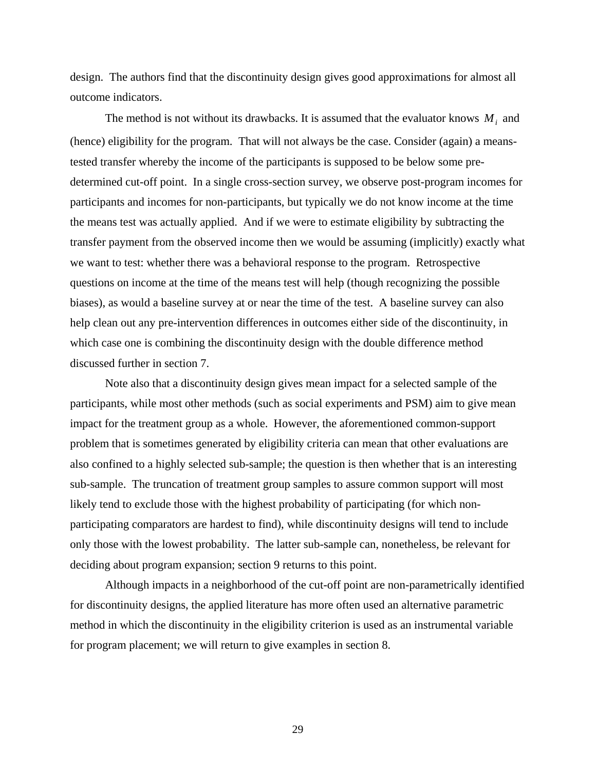design. The authors find that the discontinuity design gives good approximations for almost all outcome indicators.

The method is not without its drawbacks. It is assumed that the evaluator knows  $M_i$  and (hence) eligibility for the program. That will not always be the case. Consider (again) a meanstested transfer whereby the income of the participants is supposed to be below some predetermined cut-off point. In a single cross-section survey, we observe post-program incomes for participants and incomes for non-participants, but typically we do not know income at the time the means test was actually applied. And if we were to estimate eligibility by subtracting the transfer payment from the observed income then we would be assuming (implicitly) exactly what we want to test: whether there was a behavioral response to the program. Retrospective questions on income at the time of the means test will help (though recognizing the possible biases), as would a baseline survey at or near the time of the test. A baseline survey can also help clean out any pre-intervention differences in outcomes either side of the discontinuity, in which case one is combining the discontinuity design with the double difference method discussed further in section 7.

 Note also that a discontinuity design gives mean impact for a selected sample of the participants, while most other methods (such as social experiments and PSM) aim to give mean impact for the treatment group as a whole. However, the aforementioned common-support problem that is sometimes generated by eligibility criteria can mean that other evaluations are also confined to a highly selected sub-sample; the question is then whether that is an interesting sub-sample. The truncation of treatment group samples to assure common support will most likely tend to exclude those with the highest probability of participating (for which nonparticipating comparators are hardest to find), while discontinuity designs will tend to include only those with the lowest probability. The latter sub-sample can, nonetheless, be relevant for deciding about program expansion; section 9 returns to this point.

 Although impacts in a neighborhood of the cut-off point are non-parametrically identified for discontinuity designs, the applied literature has more often used an alternative parametric method in which the discontinuity in the eligibility criterion is used as an instrumental variable for program placement; we will return to give examples in section 8.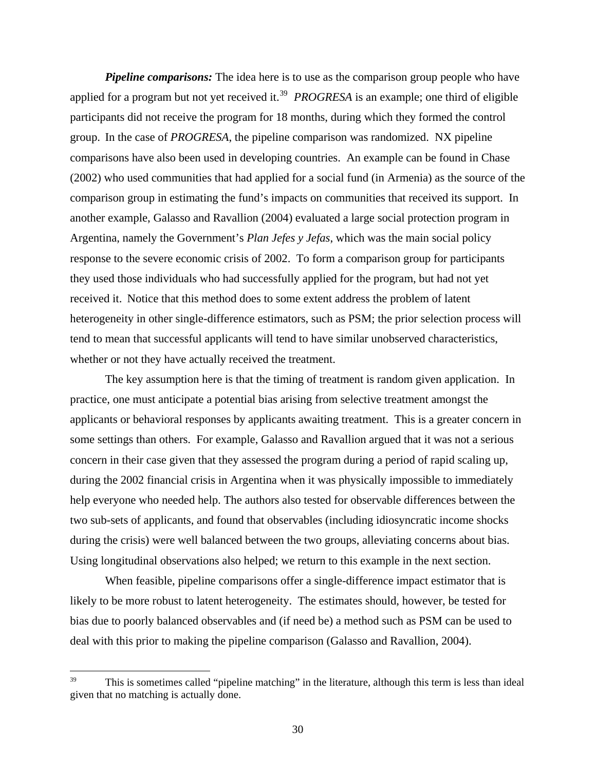*Pipeline comparisons:* The idea here is to use as the comparison group people who have applied for a program but not yet received it.<sup>[39](#page-29-0)</sup> *PROGRESA* is an example; one third of eligible participants did not receive the program for 18 months, during which they formed the control group. In the case of *PROGRESA*, the pipeline comparison was randomized. NX pipeline comparisons have also been used in developing countries. An example can be found in Chase (2002) who used communities that had applied for a social fund (in Armenia) as the source of the comparison group in estimating the fund's impacts on communities that received its support. In another example, Galasso and Ravallion (2004) evaluated a large social protection program in Argentina, namely the Government's *Plan Jefes y Jefas*, which was the main social policy response to the severe economic crisis of 2002. To form a comparison group for participants they used those individuals who had successfully applied for the program, but had not yet received it. Notice that this method does to some extent address the problem of latent heterogeneity in other single-difference estimators, such as PSM; the prior selection process will tend to mean that successful applicants will tend to have similar unobserved characteristics, whether or not they have actually received the treatment.

 The key assumption here is that the timing of treatment is random given application. In practice, one must anticipate a potential bias arising from selective treatment amongst the applicants or behavioral responses by applicants awaiting treatment. This is a greater concern in some settings than others. For example, Galasso and Ravallion argued that it was not a serious concern in their case given that they assessed the program during a period of rapid scaling up, during the 2002 financial crisis in Argentina when it was physically impossible to immediately help everyone who needed help. The authors also tested for observable differences between the two sub-sets of applicants, and found that observables (including idiosyncratic income shocks during the crisis) were well balanced between the two groups, alleviating concerns about bias. Using longitudinal observations also helped; we return to this example in the next section.

 When feasible, pipeline comparisons offer a single-difference impact estimator that is likely to be more robust to latent heterogeneity. The estimates should, however, be tested for bias due to poorly balanced observables and (if need be) a method such as PSM can be used to deal with this prior to making the pipeline comparison (Galasso and Ravallion, 2004).

<span id="page-29-0"></span> $39$ This is sometimes called "pipeline matching" in the literature, although this term is less than ideal given that no matching is actually done.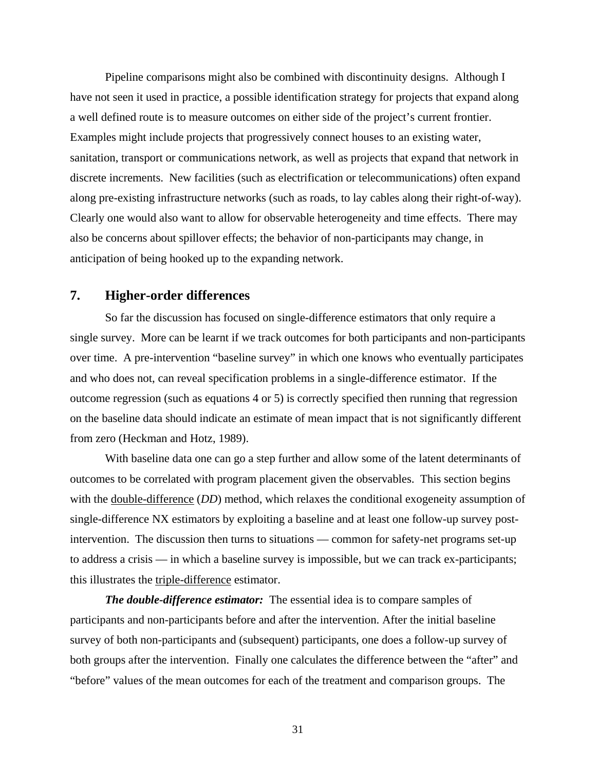Pipeline comparisons might also be combined with discontinuity designs. Although I have not seen it used in practice, a possible identification strategy for projects that expand along a well defined route is to measure outcomes on either side of the project's current frontier. Examples might include projects that progressively connect houses to an existing water, sanitation, transport or communications network, as well as projects that expand that network in discrete increments. New facilities (such as electrification or telecommunications) often expand along pre-existing infrastructure networks (such as roads, to lay cables along their right-of-way). Clearly one would also want to allow for observable heterogeneity and time effects. There may also be concerns about spillover effects; the behavior of non-participants may change, in anticipation of being hooked up to the expanding network.

# **7. Higher-order differences**

So far the discussion has focused on single-difference estimators that only require a single survey. More can be learnt if we track outcomes for both participants and non-participants over time. A pre-intervention "baseline survey" in which one knows who eventually participates and who does not, can reveal specification problems in a single-difference estimator. If the outcome regression (such as equations 4 or 5) is correctly specified then running that regression on the baseline data should indicate an estimate of mean impact that is not significantly different from zero (Heckman and Hotz, 1989).

With baseline data one can go a step further and allow some of the latent determinants of outcomes to be correlated with program placement given the observables. This section begins with the <u>double-difference</u> (*DD*) method, which relaxes the conditional exogeneity assumption of single-difference NX estimators by exploiting a baseline and at least one follow-up survey postintervention. The discussion then turns to situations — common for safety-net programs set-up to address a crisis — in which a baseline survey is impossible, but we can track ex-participants; this illustrates the triple-difference estimator.

*The double-difference estimator:* The essential idea is to compare samples of participants and non-participants before and after the intervention. After the initial baseline survey of both non-participants and (subsequent) participants, one does a follow-up survey of both groups after the intervention. Finally one calculates the difference between the "after" and "before" values of the mean outcomes for each of the treatment and comparison groups. The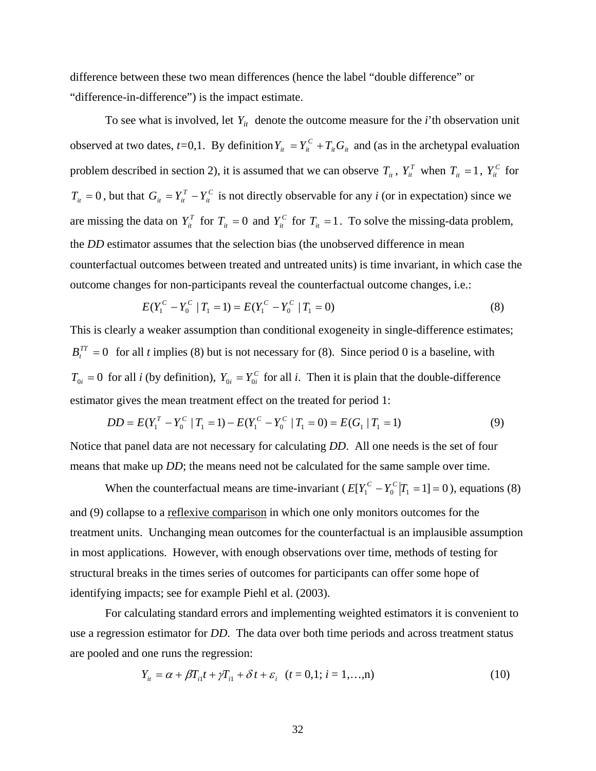difference between these two mean differences (hence the label "double difference" or "difference-in-difference") is the impact estimate.

To see what is involved, let  $Y_{it}$  denote the outcome measure for the *i*'th observation unit observed at two dates,  $t=0,1$ . By definition  $Y_{it} = Y_{it}^C + T_{it} G_{it}$  and (as in the archetypal evaluation problem described in section 2), it is assumed that we can observe  $T_{it}$ ,  $Y_{it}^T$  when  $T_{it} = 1$ ,  $Y_{it}^C$  for  $T_{it} = 0$ , but that  $G_{it} = Y_{it}^T - Y_{it}^C$  is not directly observable for any *i* (or in expectation) since we are missing the data on  $Y_i^T$  for  $T_i = 0$  and  $Y_i^C$  for  $T_i = 1$ . To solve the missing-data problem,  $Y_{it} = Y_{it}^C + T_{it}G$  $G_{it} = Y_{it}^T - Y_{it}^T$ the *DD* estimator assumes that the selection bias (the unobserved difference in mean counterfactual outcomes between treated and untreated units) is time invariant, in which case the outcome changes for non-participants reveal the counterfactual outcome changes, i.e.:

$$
E(Y_1^C - Y_0^C \mid T_1 = 1) = E(Y_1^C - Y_0^C \mid T_1 = 0)
$$
\n(8)

This is clearly a weaker assumption than conditional exogeneity in single-difference estimates;  $B_t^{TT} = 0$  for all *t* implies (8) but is not necessary for (8). Since period 0 is a baseline, with  $T_{0i} = 0$  for all *i* (by definition),  $Y_{0i} = Y_{0i}^C$  for all *i*. Then it is plain that the double-difference estimator gives the mean treatment effect on the treated for period 1:

$$
DD = E(Y_1^T - Y_0^C | T_1 = 1) - E(Y_1^C - Y_0^C | T_1 = 0) = E(G_1 | T_1 = 1)
$$
\n(9)

Notice that panel data are not necessary for calculating *DD*. All one needs is the set of four means that make up *DD*; the means need not be calculated for the same sample over time.

When the counterfactual means are time-invariant ( $E[Y_1^C - Y_0^C | T_1 = 1] = 0$ ), equations (8) and (9) collapse to a reflexive comparison in which one only monitors outcomes for the treatment units. Unchanging mean outcomes for the counterfactual is an implausible assumption in most applications. However, with enough observations over time, methods of testing for structural breaks in the times series of outcomes for participants can offer some hope of identifying impacts; see for example Piehl et al. (2003).

For calculating standard errors and implementing weighted estimators it is convenient to use a regression estimator for *DD*. The data over both time periods and across treatment status are pooled and one runs the regression:

$$
Y_{it} = \alpha + \beta T_{it} t + \gamma T_{it} + \delta t + \varepsilon_i \quad (t = 0, 1; i = 1, ..., n)
$$
 (10)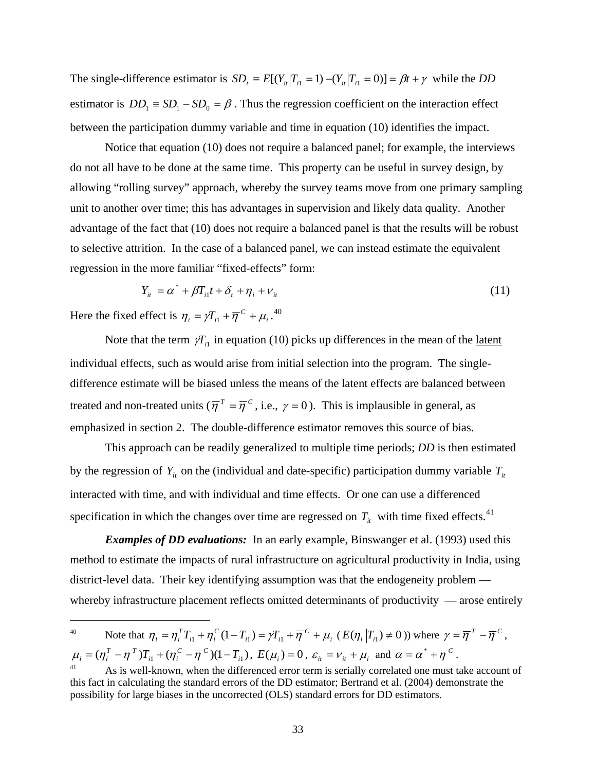The single-difference estimator is  $SD_t \equiv E[(Y_{ti} | T_{ti} = 1) - (Y_{ti} | T_{ti} = 0)] = \beta t + \gamma$  while the *DD* estimator is  $DD_1 = SD_1 - SD_0 = \beta$ . Thus the regression coefficient on the interaction effect between the participation dummy variable and time in equation (10) identifies the impact.

Notice that equation (10) does not require a balanced panel; for example, the interviews do not all have to be done at the same time. This property can be useful in survey design, by allowing "rolling survey" approach, whereby the survey teams move from one primary sampling unit to another over time; this has advantages in supervision and likely data quality. Another advantage of the fact that (10) does not require a balanced panel is that the results will be robust to selective attrition. In the case of a balanced panel, we can instead estimate the equivalent regression in the more familiar "fixed-effects" form:

$$
Y_{it} = \alpha^* + \beta T_{it} t + \delta_t + \eta_i + \nu_{it}
$$
\n<sup>(11)</sup>

Here the fixed effect is  $\eta_i = \gamma T_{i1} + \overline{\eta}^c + \mu_i$ .<sup>40</sup>

1

Note that the term  $\mathcal{T}_{i1}$  in equation (10) picks up differences in the mean of the <u>latent</u> individual effects, such as would arise from initial selection into the program. The singledifference estimate will be biased unless the means of the latent effects are balanced between treated and non-treated units ( $\overline{\eta}^T = \overline{\eta}^C$ , i.e.,  $\gamma = 0$ ). This is implausible in general, as emphasized in section 2. The double-difference estimator removes this source of bias.

This approach can be readily generalized to multiple time periods; *DD* is then estimated by the regression of  $Y_{it}$  on the (individual and date-specific) participation dummy variable  $T_{it}$ interacted with time, and with individual and time effects. Or one can use a differenced specification in which the changes over time are regressed on  $T_{it}$  with time fixed effects.<sup>[41](#page-32-1)</sup>

*Examples of DD evaluations:* In an early example, Binswanger et al. (1993) used this method to estimate the impacts of rural infrastructure on agricultural productivity in India, using district-level data. Their key identifying assumption was that the endogeneity problem whereby infrastructure placement reflects omitted determinants of productivity — arose entirely

<span id="page-32-0"></span><sup>40</sup> Note that  $\eta_i = \eta_i^T T_{i1} + \eta_i^C (1 - T_{i1}) = \gamma T_{i1} + \overline{\eta}^C + \mu_i^C$  $i^{1}$  /  $-i^{1}$  *i C*  $i1$ <sup> $I$ </sup> $i$  $\eta_i = \eta_i^T T_{i1} + \eta_i^C (1 - T_{i1}) = \gamma T_{i1} + \overline{\eta}^C + \mu_i (E(\eta_i | T_{i1}) \neq 0)$ ) where  $\gamma = \overline{\eta}^T - \overline{\eta}^C$ ,  $(\eta_i^T - \overline{\eta}^T)T_{i1} + (\eta_i^C - \overline{\eta}^C)(1 - T_{i1})$  $_{i1}$  +  $V$  $V_i$  $\mu_i = (\eta_i^T - \overline{\eta}^T)T_{i1} + (\eta_i^C - \overline{\eta}^C)(1 - T_{i1}), E(\mu_i) = 0, \ \varepsilon_{i} = \nu_{i} + \mu_i \text{ and } \alpha = \alpha^* + \overline{\eta}^C.$ 

<span id="page-32-1"></span>As is well-known, when the differenced error term is serially correlated one must take account of this fact in calculating the standard errors of the DD estimator; Bertrand et al. (2004) demonstrate the possibility for large biases in the uncorrected (OLS) standard errors for DD estimators.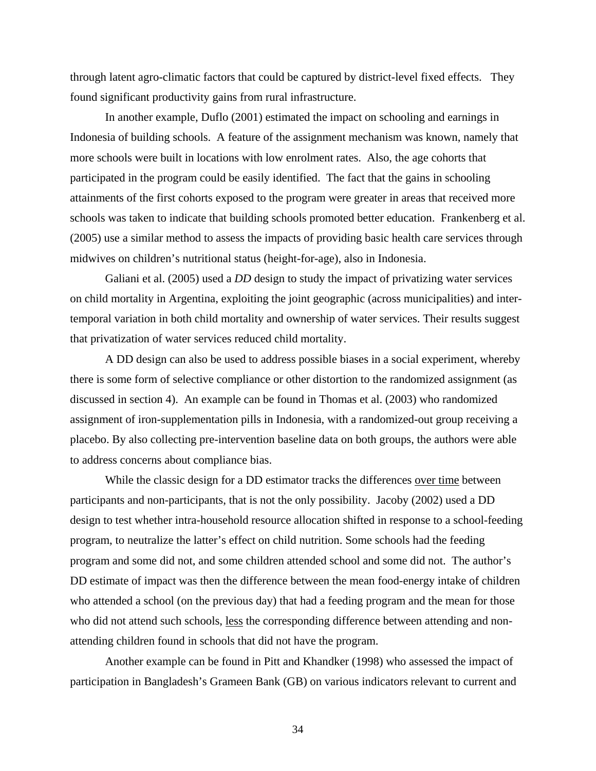through latent agro-climatic factors that could be captured by district-level fixed effects. They found significant productivity gains from rural infrastructure.

In another example, Duflo (2001) estimated the impact on schooling and earnings in Indonesia of building schools. A feature of the assignment mechanism was known, namely that more schools were built in locations with low enrolment rates. Also, the age cohorts that participated in the program could be easily identified. The fact that the gains in schooling attainments of the first cohorts exposed to the program were greater in areas that received more schools was taken to indicate that building schools promoted better education. Frankenberg et al. (2005) use a similar method to assess the impacts of providing basic health care services through midwives on children's nutritional status (height-for-age), also in Indonesia.

Galiani et al. (2005) used a *DD* design to study the impact of privatizing water services on child mortality in Argentina, exploiting the joint geographic (across municipalities) and intertemporal variation in both child mortality and ownership of water services. Their results suggest that privatization of water services reduced child mortality.

A DD design can also be used to address possible biases in a social experiment, whereby there is some form of selective compliance or other distortion to the randomized assignment (as discussed in section 4). An example can be found in Thomas et al. (2003) who randomized assignment of iron-supplementation pills in Indonesia, with a randomized-out group receiving a placebo. By also collecting pre-intervention baseline data on both groups, the authors were able to address concerns about compliance bias.

While the classic design for a DD estimator tracks the differences over time between participants and non-participants, that is not the only possibility. Jacoby (2002) used a DD design to test whether intra-household resource allocation shifted in response to a school-feeding program, to neutralize the latter's effect on child nutrition. Some schools had the feeding program and some did not, and some children attended school and some did not. The author's DD estimate of impact was then the difference between the mean food-energy intake of children who attended a school (on the previous day) that had a feeding program and the mean for those who did not attend such schools, less the corresponding difference between attending and nonattending children found in schools that did not have the program.

Another example can be found in Pitt and Khandker (1998) who assessed the impact of participation in Bangladesh's Grameen Bank (GB) on various indicators relevant to current and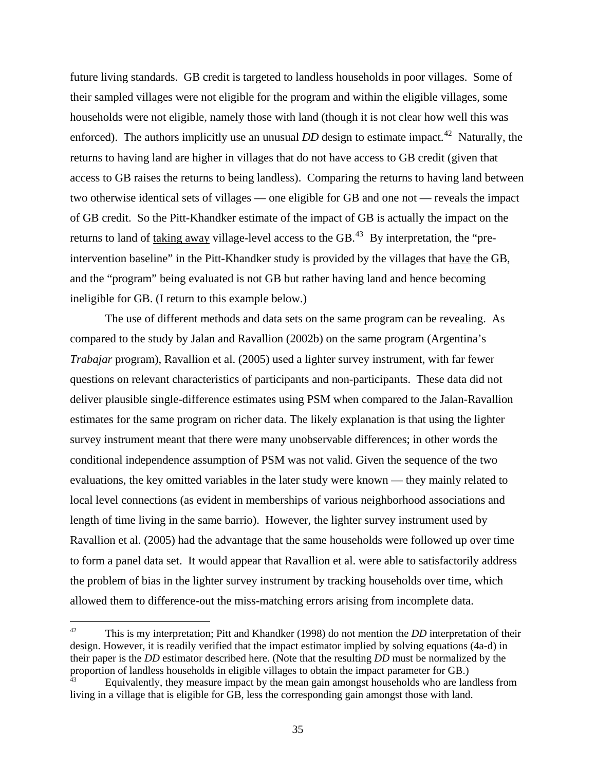future living standards. GB credit is targeted to landless households in poor villages. Some of their sampled villages were not eligible for the program and within the eligible villages, some households were not eligible, namely those with land (though it is not clear how well this was enforced). The authors implicitly use an unusual *DD* design to estimate impact.<sup>[42](#page-34-0)</sup> Naturally, the returns to having land are higher in villages that do not have access to GB credit (given that access to GB raises the returns to being landless). Comparing the returns to having land between two otherwise identical sets of villages — one eligible for GB and one not — reveals the impact of GB credit. So the Pitt-Khandker estimate of the impact of GB is actually the impact on the returns to land of taking away village-level access to the  $GB<sup>43</sup>$  $GB<sup>43</sup>$  $GB<sup>43</sup>$  By interpretation, the "preintervention baseline" in the Pitt-Khandker study is provided by the villages that have the GB, and the "program" being evaluated is not GB but rather having land and hence becoming ineligible for GB. (I return to this example below.)

The use of different methods and data sets on the same program can be revealing. As compared to the study by Jalan and Ravallion (2002b) on the same program (Argentina's *Trabajar* program), Ravallion et al. (2005) used a lighter survey instrument, with far fewer questions on relevant characteristics of participants and non-participants. These data did not deliver plausible single-difference estimates using PSM when compared to the Jalan-Ravallion estimates for the same program on richer data. The likely explanation is that using the lighter survey instrument meant that there were many unobservable differences; in other words the conditional independence assumption of PSM was not valid. Given the sequence of the two evaluations, the key omitted variables in the later study were known — they mainly related to local level connections (as evident in memberships of various neighborhood associations and length of time living in the same barrio). However, the lighter survey instrument used by Ravallion et al. (2005) had the advantage that the same households were followed up over time to form a panel data set. It would appear that Ravallion et al. were able to satisfactorily address the problem of bias in the lighter survey instrument by tracking households over time, which allowed them to difference-out the miss-matching errors arising from incomplete data.

<span id="page-34-0"></span> $42$ 42 This is my interpretation; Pitt and Khandker (1998) do not mention the *DD* interpretation of their design. However, it is readily verified that the impact estimator implied by solving equations (4a-d) in their paper is the *DD* estimator described here. (Note that the resulting *DD* must be normalized by the proportion of landless households in eligible villages to obtain the impact parameter for GB.)<br><sup>43</sup> Equivalently, they measure impact by the mean gain amongst households who are landless from

<span id="page-34-1"></span>living in a village that is eligible for GB, less the corresponding gain amongst those with land.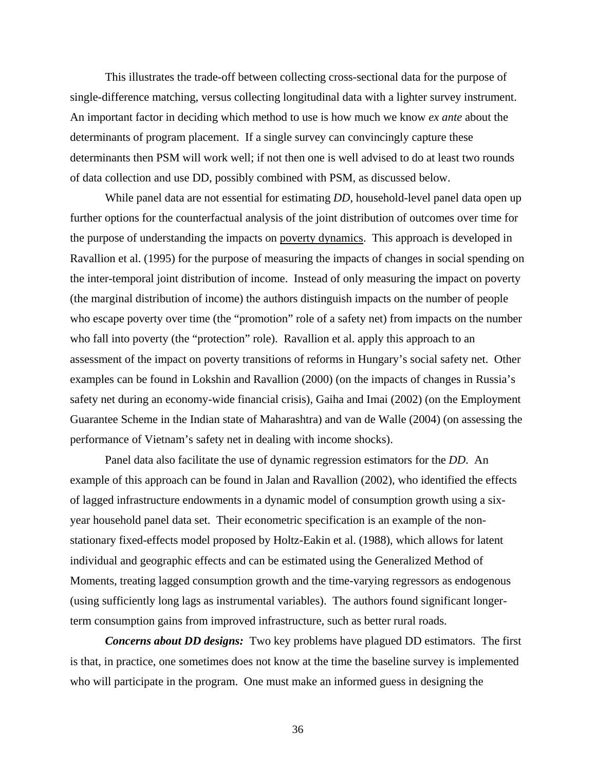This illustrates the trade-off between collecting cross-sectional data for the purpose of single-difference matching, versus collecting longitudinal data with a lighter survey instrument. An important factor in deciding which method to use is how much we know *ex ante* about the determinants of program placement. If a single survey can convincingly capture these determinants then PSM will work well; if not then one is well advised to do at least two rounds of data collection and use DD, possibly combined with PSM, as discussed below.

While panel data are not essential for estimating *DD*, household-level panel data open up further options for the counterfactual analysis of the joint distribution of outcomes over time for the purpose of understanding the impacts on poverty dynamics. This approach is developed in Ravallion et al. (1995) for the purpose of measuring the impacts of changes in social spending on the inter-temporal joint distribution of income. Instead of only measuring the impact on poverty (the marginal distribution of income) the authors distinguish impacts on the number of people who escape poverty over time (the "promotion" role of a safety net) from impacts on the number who fall into poverty (the "protection" role). Ravallion et al. apply this approach to an assessment of the impact on poverty transitions of reforms in Hungary's social safety net. Other examples can be found in Lokshin and Ravallion (2000) (on the impacts of changes in Russia's safety net during an economy-wide financial crisis), Gaiha and Imai (2002) (on the Employment Guarantee Scheme in the Indian state of Maharashtra) and van de Walle (2004) (on assessing the performance of Vietnam's safety net in dealing with income shocks).

Panel data also facilitate the use of dynamic regression estimators for the *DD*. An example of this approach can be found in Jalan and Ravallion (2002), who identified the effects of lagged infrastructure endowments in a dynamic model of consumption growth using a sixyear household panel data set. Their econometric specification is an example of the nonstationary fixed-effects model proposed by Holtz-Eakin et al. (1988), which allows for latent individual and geographic effects and can be estimated using the Generalized Method of Moments, treating lagged consumption growth and the time-varying regressors as endogenous (using sufficiently long lags as instrumental variables). The authors found significant longerterm consumption gains from improved infrastructure, such as better rural roads.

*Concerns about DD designs:* Two key problems have plagued DD estimators. The first is that, in practice, one sometimes does not know at the time the baseline survey is implemented who will participate in the program. One must make an informed guess in designing the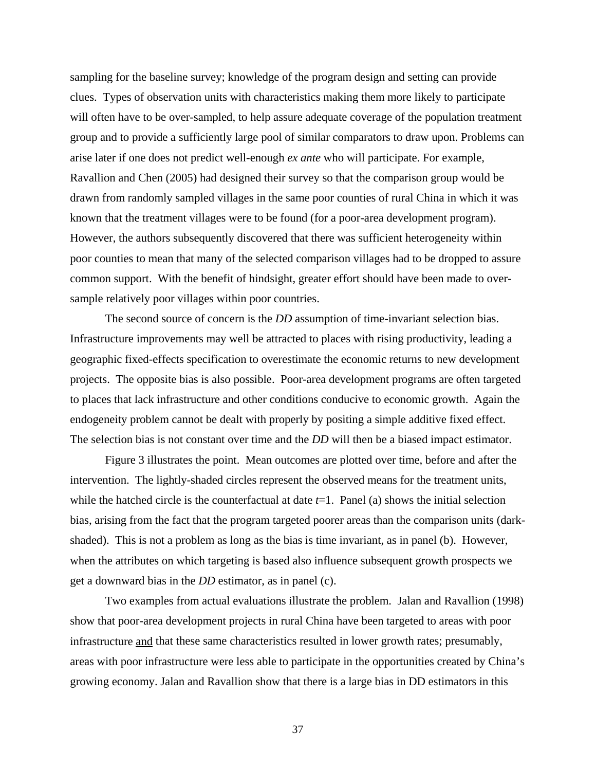sampling for the baseline survey; knowledge of the program design and setting can provide clues. Types of observation units with characteristics making them more likely to participate will often have to be over-sampled, to help assure adequate coverage of the population treatment group and to provide a sufficiently large pool of similar comparators to draw upon. Problems can arise later if one does not predict well-enough *ex ante* who will participate. For example, Ravallion and Chen (2005) had designed their survey so that the comparison group would be drawn from randomly sampled villages in the same poor counties of rural China in which it was known that the treatment villages were to be found (for a poor-area development program). However, the authors subsequently discovered that there was sufficient heterogeneity within poor counties to mean that many of the selected comparison villages had to be dropped to assure common support. With the benefit of hindsight, greater effort should have been made to oversample relatively poor villages within poor countries.

The second source of concern is the *DD* assumption of time-invariant selection bias. Infrastructure improvements may well be attracted to places with rising productivity, leading a geographic fixed-effects specification to overestimate the economic returns to new development projects. The opposite bias is also possible. Poor-area development programs are often targeted to places that lack infrastructure and other conditions conducive to economic growth. Again the endogeneity problem cannot be dealt with properly by positing a simple additive fixed effect. The selection bias is not constant over time and the *DD* will then be a biased impact estimator.

Figure 3 illustrates the point. Mean outcomes are plotted over time, before and after the intervention. The lightly-shaded circles represent the observed means for the treatment units, while the hatched circle is the counterfactual at date  $t=1$ . Panel (a) shows the initial selection bias, arising from the fact that the program targeted poorer areas than the comparison units (darkshaded). This is not a problem as long as the bias is time invariant, as in panel (b). However, when the attributes on which targeting is based also influence subsequent growth prospects we get a downward bias in the *DD* estimator, as in panel (c).

Two examples from actual evaluations illustrate the problem. Jalan and Ravallion (1998) show that poor-area development projects in rural China have been targeted to areas with poor infrastructure and that these same characteristics resulted in lower growth rates; presumably, areas with poor infrastructure were less able to participate in the opportunities created by China's growing economy. Jalan and Ravallion show that there is a large bias in DD estimators in this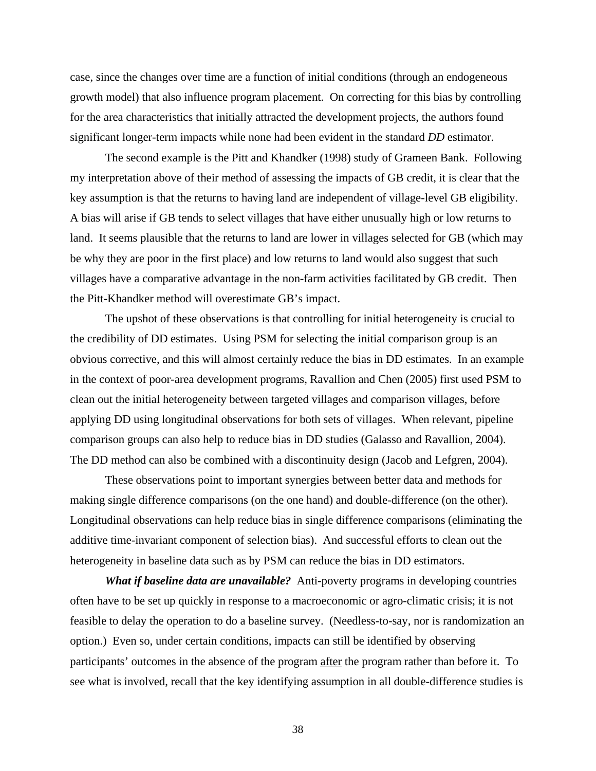case, since the changes over time are a function of initial conditions (through an endogeneous growth model) that also influence program placement. On correcting for this bias by controlling for the area characteristics that initially attracted the development projects, the authors found significant longer-term impacts while none had been evident in the standard *DD* estimator.

The second example is the Pitt and Khandker (1998) study of Grameen Bank. Following my interpretation above of their method of assessing the impacts of GB credit, it is clear that the key assumption is that the returns to having land are independent of village-level GB eligibility. A bias will arise if GB tends to select villages that have either unusually high or low returns to land. It seems plausible that the returns to land are lower in villages selected for GB (which may be why they are poor in the first place) and low returns to land would also suggest that such villages have a comparative advantage in the non-farm activities facilitated by GB credit. Then the Pitt-Khandker method will overestimate GB's impact.

The upshot of these observations is that controlling for initial heterogeneity is crucial to the credibility of DD estimates. Using PSM for selecting the initial comparison group is an obvious corrective, and this will almost certainly reduce the bias in DD estimates. In an example in the context of poor-area development programs, Ravallion and Chen (2005) first used PSM to clean out the initial heterogeneity between targeted villages and comparison villages, before applying DD using longitudinal observations for both sets of villages. When relevant, pipeline comparison groups can also help to reduce bias in DD studies (Galasso and Ravallion, 2004). The DD method can also be combined with a discontinuity design (Jacob and Lefgren, 2004).

These observations point to important synergies between better data and methods for making single difference comparisons (on the one hand) and double-difference (on the other). Longitudinal observations can help reduce bias in single difference comparisons (eliminating the additive time-invariant component of selection bias). And successful efforts to clean out the heterogeneity in baseline data such as by PSM can reduce the bias in DD estimators.

*What if baseline data are unavailable?* Anti-poverty programs in developing countries often have to be set up quickly in response to a macroeconomic or agro-climatic crisis; it is not feasible to delay the operation to do a baseline survey. (Needless-to-say, nor is randomization an option.) Even so, under certain conditions, impacts can still be identified by observing participants' outcomes in the absence of the program after the program rather than before it. To see what is involved, recall that the key identifying assumption in all double-difference studies is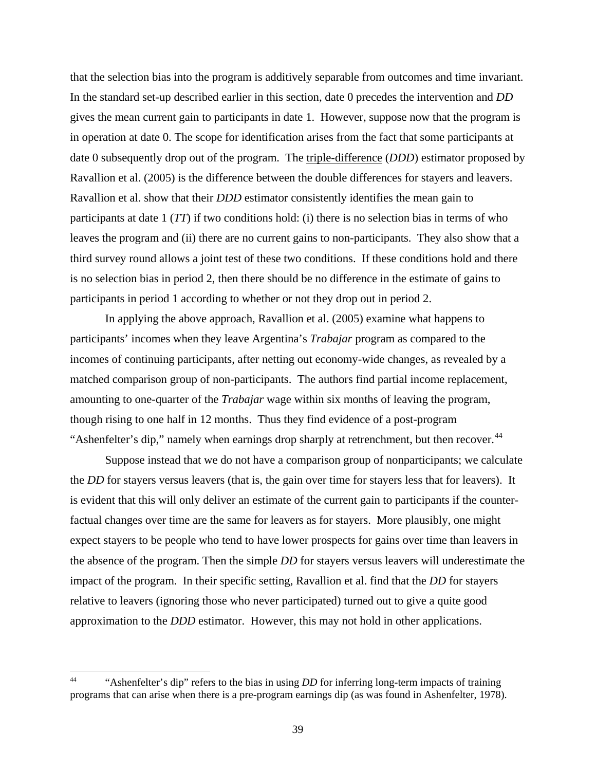that the selection bias into the program is additively separable from outcomes and time invariant. In the standard set-up described earlier in this section, date 0 precedes the intervention and *DD* gives the mean current gain to participants in date 1. However, suppose now that the program is in operation at date 0. The scope for identification arises from the fact that some participants at date 0 subsequently drop out of the program. The triple-difference (*DDD*) estimator proposed by Ravallion et al. (2005) is the difference between the double differences for stayers and leavers. Ravallion et al. show that their *DDD* estimator consistently identifies the mean gain to participants at date 1 (*TT*) if two conditions hold: (i) there is no selection bias in terms of who leaves the program and (ii) there are no current gains to non-participants. They also show that a third survey round allows a joint test of these two conditions. If these conditions hold and there is no selection bias in period 2, then there should be no difference in the estimate of gains to participants in period 1 according to whether or not they drop out in period 2.

In applying the above approach, Ravallion et al. (2005) examine what happens to participants' incomes when they leave Argentina's *Trabajar* program as compared to the incomes of continuing participants, after netting out economy-wide changes, as revealed by a matched comparison group of non-participants. The authors find partial income replacement, amounting to one-quarter of the *Trabajar* wage within six months of leaving the program, though rising to one half in 12 months. Thus they find evidence of a post-program "Ashenfelter's dip," namely when earnings drop sharply at retrenchment, but then recover.<sup>[44](#page-38-0)</sup>

Suppose instead that we do not have a comparison group of nonparticipants; we calculate the *DD* for stayers versus leavers (that is, the gain over time for stayers less that for leavers). It is evident that this will only deliver an estimate of the current gain to participants if the counterfactual changes over time are the same for leavers as for stayers. More plausibly, one might expect stayers to be people who tend to have lower prospects for gains over time than leavers in the absence of the program. Then the simple *DD* for stayers versus leavers will underestimate the impact of the program. In their specific setting, Ravallion et al. find that the *DD* for stayers relative to leavers (ignoring those who never participated) turned out to give a quite good approximation to the *DDD* estimator. However, this may not hold in other applications.

<span id="page-38-0"></span> $44$ 44 "Ashenfelter's dip" refers to the bias in using *DD* for inferring long-term impacts of training programs that can arise when there is a pre-program earnings dip (as was found in Ashenfelter, 1978).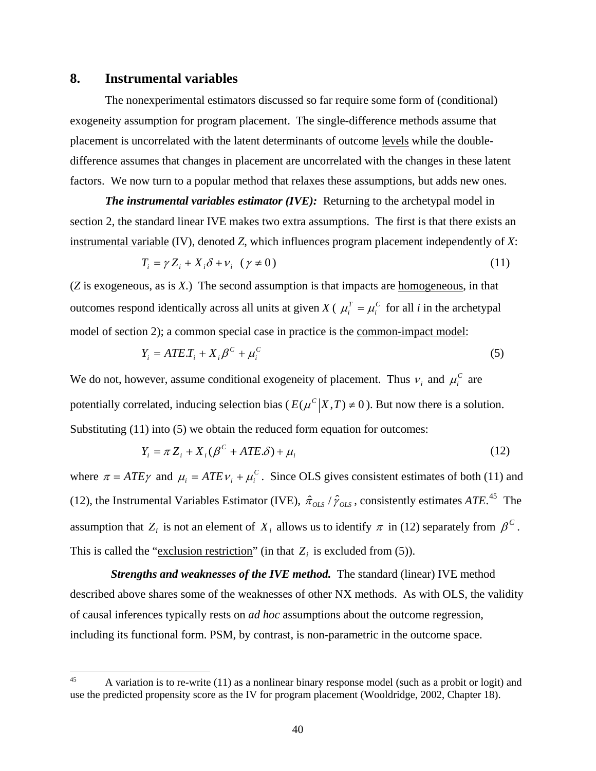## **8. Instrumental variables**

The nonexperimental estimators discussed so far require some form of (conditional) exogeneity assumption for program placement. The single-difference methods assume that placement is uncorrelated with the latent determinants of outcome levels while the doubledifference assumes that changes in placement are uncorrelated with the changes in these latent factors. We now turn to a popular method that relaxes these assumptions, but adds new ones.

*The instrumental variables estimator (IVE):* Returning to the archetypal model in section 2, the standard linear IVE makes two extra assumptions. The first is that there exists an instrumental variable (IV), denoted *Z*, which influences program placement independently of *X*:

$$
T_i = \gamma Z_i + X_i \delta + \nu_i \quad (\gamma \neq 0)
$$
\n<sup>(11)</sup>

(*Z* is exogeneous, as is *X*.) The second assumption is that impacts are homogeneous, in that outcomes respond identically across all units at given *X* ( $\mu_i^T = \mu_i^C$  for all *i* in the archetypal model of section 2); a common special case in practice is the common-impact model: *i*  $\mu_i^T = \mu_i$ 

$$
Y_i = ATE \cdot T_i + X_i \beta^C + \mu_i^C \tag{5}
$$

We do not, however, assume conditional exogeneity of placement. Thus  $v_i$  and  $\mu_i^c$  are potentially correlated, inducing selection bias ( $E(\mu^C | X, T) \neq 0$ ). But now there is a solution. Substituting (11) into (5) we obtain the reduced form equation for outcomes:

$$
Y_i = \pi Z_i + X_i (\beta^C + ATE \delta) + \mu_i
$$
\n(12)

where  $\pi = ATE\gamma$  and  $\mu_i = ATEv_i + \mu_i^C$ . Since OLS gives consistent estimates of both (11) and (12), the Instrumental Variables Estimator (IVE),  $\hat{\pi}_{OLS}$  /  $\hat{\gamma}_{OLS}$ , consistently estimates *ATE*.<sup>[45](#page-39-0)</sup> The assumption that  $Z_i$  is not an element of  $X_i$  allows us to identify  $\pi$  in (12) separately from  $\beta^C$ . This is called the "<u>exclusion restriction</u>" (in that  $Z_i$  is excluded from (5)).

 *Strengths and weaknesses of the IVE method.* The standard (linear) IVE method described above shares some of the weaknesses of other NX methods. As with OLS, the validity of causal inferences typically rests on *ad hoc* assumptions about the outcome regression, including its functional form. PSM, by contrast, is non-parametric in the outcome space.

<span id="page-39-0"></span><sup>45</sup> 45 A variation is to re-write (11) as a nonlinear binary response model (such as a probit or logit) and use the predicted propensity score as the IV for program placement (Wooldridge, 2002, Chapter 18).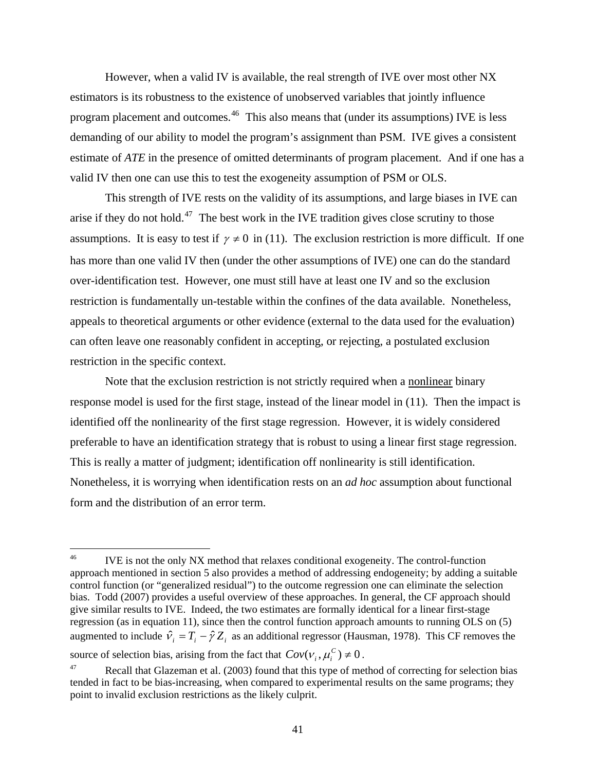However, when a valid IV is available, the real strength of IVE over most other NX estimators is its robustness to the existence of unobserved variables that jointly influence program placement and outcomes.[46](#page-40-0) This also means that (under its assumptions) IVE is less demanding of our ability to model the program's assignment than PSM. IVE gives a consistent estimate of *ATE* in the presence of omitted determinants of program placement. And if one has a valid IV then one can use this to test the exogeneity assumption of PSM or OLS.

 This strength of IVE rests on the validity of its assumptions, and large biases in IVE can arise if they do not hold.<sup>[47](#page-40-1)</sup> The best work in the IVE tradition gives close scrutiny to those assumptions. It is easy to test if  $\gamma \neq 0$  in (11). The exclusion restriction is more difficult. If one has more than one valid IV then (under the other assumptions of IVE) one can do the standard over-identification test. However, one must still have at least one IV and so the exclusion restriction is fundamentally un-testable within the confines of the data available. Nonetheless, appeals to theoretical arguments or other evidence (external to the data used for the evaluation) can often leave one reasonably confident in accepting, or rejecting, a postulated exclusion restriction in the specific context.

Note that the exclusion restriction is not strictly required when a nonlinear binary response model is used for the first stage, instead of the linear model in (11). Then the impact is identified off the nonlinearity of the first stage regression. However, it is widely considered preferable to have an identification strategy that is robust to using a linear first stage regression. This is really a matter of judgment; identification off nonlinearity is still identification. Nonetheless, it is worrying when identification rests on an *ad hoc* assumption about functional form and the distribution of an error term.

 $\overline{a}$ 

<span id="page-40-0"></span>augmented to include  $\hat{v}_i = T_i - \hat{\gamma} Z_i$  as an additional regressor (Hausman, 1978). This CF removes the <sup>46</sup> IVE is not the only NX method that relaxes conditional exogeneity. The control-function approach mentioned in section 5 also provides a method of addressing endogeneity; by adding a suitable control function (or "generalized residual") to the outcome regression one can eliminate the selection bias. Todd (2007) provides a useful overview of these approaches. In general, the CF approach should give similar results to IVE. Indeed, the two estimates are formally identical for a linear first-stage regression (as in equation 11), since then the control function approach amounts to running OLS on (5) source of selection bias, arising from the fact that  $Cov(V_i, \mu_i^C) \neq 0$ .

<span id="page-40-1"></span>Recall that Glazeman et al. (2003) found that this type of method of correcting for selection bias tended in fact to be bias-increasing, when compared to experimental results on the same programs; they point to invalid exclusion restrictions as the likely culprit.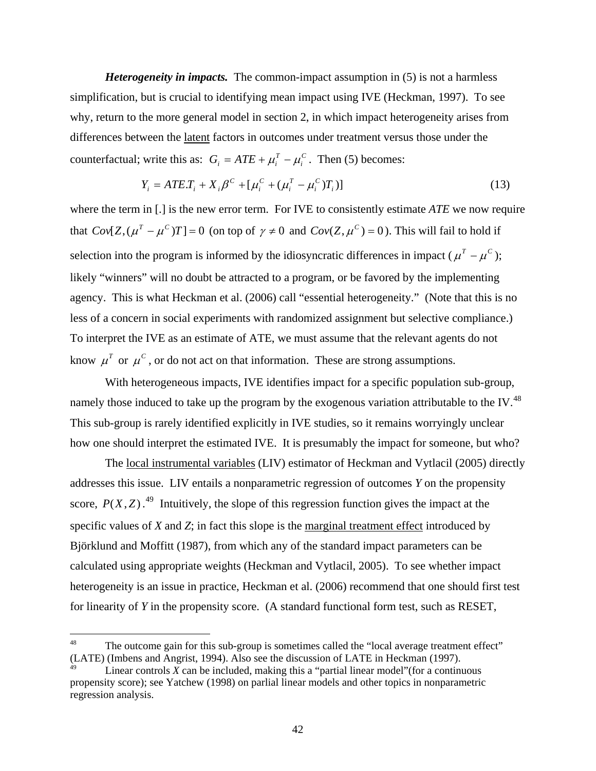*Heterogeneity in impacts.* The common-impact assumption in (5) is not a harmless simplification, but is crucial to identifying mean impact using IVE (Heckman, 1997). To see why, return to the more general model in section 2, in which impact heterogeneity arises from differences between the latent factors in outcomes under treatment versus those under the counterfactual; write this as:  $G_i = ATE + \mu_i^T - \mu_i^C$ . Then (5) becomes:  $G_i = ATE + \mu_i^T - \mu_i^T$ 

$$
Y_i = ATE.T_i + X_i\beta^C + [\mu_i^C + (\mu_i^T - \mu_i^C)T_i)]
$$
\n(13)

where the term in [.] is the new error term. For IVE to consistently estimate *ATE* we now require that  $Cov[Z,(\mu^T - \mu^C)T] = 0$  (on top of  $\gamma \neq 0$  and  $Cov(Z, \mu^C) = 0$ ). This will fail to hold if selection into the program is informed by the idiosyncratic differences in impact ( $\mu^T - \mu^C$ ); likely "winners" will no doubt be attracted to a program, or be favored by the implementing agency. This is what Heckman et al. (2006) call "essential heterogeneity." (Note that this is no less of a concern in social experiments with randomized assignment but selective compliance.) To interpret the IVE as an estimate of ATE, we must assume that the relevant agents do not know  $\mu^T$  or  $\mu^C$ , or do not act on that information. These are strong assumptions.

With heterogeneous impacts, IVE identifies impact for a specific population sub-group, namely those induced to take up the program by the exogenous variation attributable to the IV.<sup>[48](#page-41-0)</sup> This sub-group is rarely identified explicitly in IVE studies, so it remains worryingly unclear how one should interpret the estimated IVE. It is presumably the impact for someone, but who?

 The local instrumental variables (LIV) estimator of Heckman and Vytlacil (2005) directly addresses this issue. LIV entails a nonparametric regression of outcomes *Y* on the propensity score,  $P(X, Z)$ .<sup>[49](#page-41-1)</sup> Intuitively, the slope of this regression function gives the impact at the specific values of *X* and *Z*; in fact this slope is the marginal treatment effect introduced by Björklund and Moffitt (1987), from which any of the standard impact parameters can be calculated using appropriate weights (Heckman and Vytlacil, 2005). To see whether impact heterogeneity is an issue in practice, Heckman et al. (2006) recommend that one should first test for linearity of *Y* in the propensity score. (A standard functional form test, such as RESET,

<span id="page-41-0"></span> $48\,$ The outcome gain for this sub-group is sometimes called the "local average treatment effect" (LATE) (Imbens and Angrist, 1994). Also see the discussion of LATE in Heckman (1997).

<span id="page-41-1"></span><sup>49</sup> Linear controls *X* can be included, making this a "partial linear model"(for a continuous propensity score); see Yatchew (1998) on parlial linear models and other topics in nonparametric regression analysis.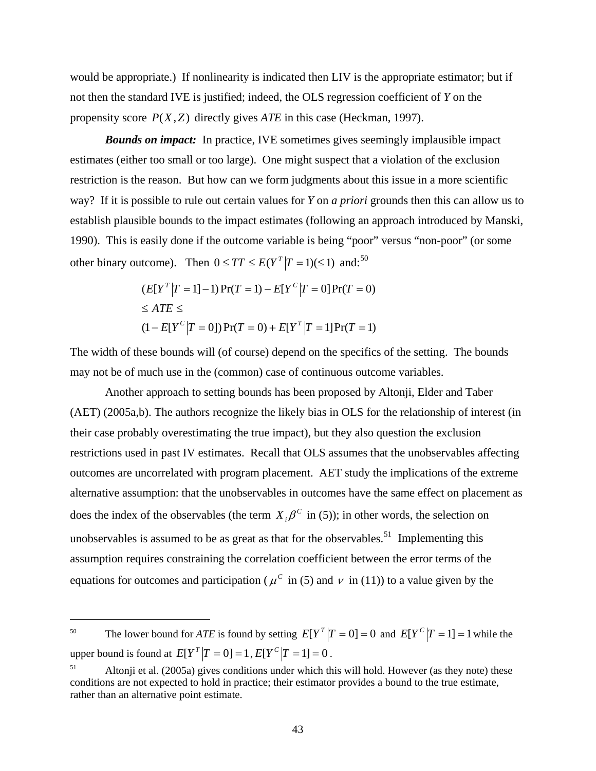would be appropriate.) If nonlinearity is indicated then LIV is the appropriate estimator; but if not then the standard IVE is justified; indeed, the OLS regression coefficient of *Y* on the propensity score  $P(X, Z)$  directly gives *ATE* in this case (Heckman, 1997).

 *Bounds on impact:* In practice, IVE sometimes gives seemingly implausible impact estimates (either too small or too large). One might suspect that a violation of the exclusion restriction is the reason. But how can we form judgments about this issue in a more scientific way? If it is possible to rule out certain values for *Y* on *a priori* grounds then this can allow us to establish plausible bounds to the impact estimates (following an approach introduced by Manski, 1990). This is easily done if the outcome variable is being "poor" versus "non-poor" (or some other binary outcome). Then  $0 \leq TT \leq E(Y^T | T = 1) \leq 1$  and:<sup>[50](#page-42-0)</sup>

$$
(E[YT | T = 1] - 1) Pr(T = 1) - E[YC | T = 0] Pr(T = 0)
$$
  
\n
$$
\leq ATE \leq
$$
  
\n
$$
(1 - E[YC | T = 0]) Pr(T = 0) + E[YT | T = 1] Pr(T = 1)
$$

The width of these bounds will (of course) depend on the specifics of the setting. The bounds may not be of much use in the (common) case of continuous outcome variables.

Another approach to setting bounds has been proposed by Altonji, Elder and Taber (AET) (2005a,b). The authors recognize the likely bias in OLS for the relationship of interest (in their case probably overestimating the true impact), but they also question the exclusion restrictions used in past IV estimates. Recall that OLS assumes that the unobservables affecting outcomes are uncorrelated with program placement. AET study the implications of the extreme alternative assumption: that the unobservables in outcomes have the same effect on placement as does the index of the observables (the term  $X_i \beta^C$  in (5)); in other words, the selection on unobservables is assumed to be as great as that for the observables.<sup>[51](#page-42-1)</sup> Implementing this equations for outcomes and participation ( $\mu^c$  in (5) and v in (11)) to a value given by the assumption requires constraining the correlation coefficient between the error terms of the

<span id="page-42-0"></span><sup>&</sup>lt;sup>50</sup> The lower bound for *ATE* is found by setting  $E[Y^T | T = 0] = 0$  and  $E[Y^C | T = 1] = 1$  while the upper bound is found at  $E[Y^T | T = 0] = 1$ ,  $E[Y^C | T = 1] = 0$ .

<span id="page-42-1"></span>Altonji et al. (2005a) gives conditions under which this will hold. However (as they note) these conditions are not expected to hold in practice; their estimator provides a bound to the true estimate, rather than an alternative point estimate.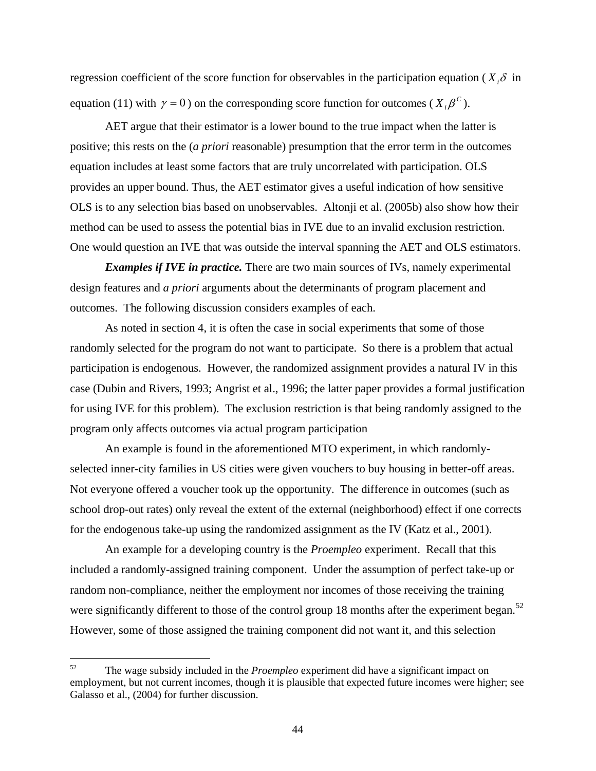regression coefficient of the score function for observables in the participation equation ( $X_i \delta$  in equation (11) with  $\gamma = 0$ ) on the corresponding score function for outcomes ( $X_i \beta^C$ ).

 AET argue that their estimator is a lower bound to the true impact when the latter is positive; this rests on the (*a priori* reasonable) presumption that the error term in the outcomes equation includes at least some factors that are truly uncorrelated with participation. OLS provides an upper bound. Thus, the AET estimator gives a useful indication of how sensitive OLS is to any selection bias based on unobservables. Altonji et al. (2005b) also show how their method can be used to assess the potential bias in IVE due to an invalid exclusion restriction. One would question an IVE that was outside the interval spanning the AET and OLS estimators.

*Examples if IVE in practice.* There are two main sources of IVs, namely experimental design features and *a priori* arguments about the determinants of program placement and outcomes. The following discussion considers examples of each.

As noted in section 4, it is often the case in social experiments that some of those randomly selected for the program do not want to participate. So there is a problem that actual participation is endogenous. However, the randomized assignment provides a natural IV in this case (Dubin and Rivers, 1993; Angrist et al., 1996; the latter paper provides a formal justification for using IVE for this problem). The exclusion restriction is that being randomly assigned to the program only affects outcomes via actual program participation

An example is found in the aforementioned MTO experiment, in which randomlyselected inner-city families in US cities were given vouchers to buy housing in better-off areas. Not everyone offered a voucher took up the opportunity. The difference in outcomes (such as school drop-out rates) only reveal the extent of the external (neighborhood) effect if one corrects for the endogenous take-up using the randomized assignment as the IV (Katz et al., 2001).

An example for a developing country is the *Proempleo* experiment. Recall that this included a randomly-assigned training component. Under the assumption of perfect take-up or random non-compliance, neither the employment nor incomes of those receiving the training were significantly different to those of the control group 18 months after the experiment began.<sup>[52](#page-43-0)</sup> However, some of those assigned the training component did not want it, and this selection

<span id="page-43-0"></span><sup>52</sup> 52 The wage subsidy included in the *Proempleo* experiment did have a significant impact on employment, but not current incomes, though it is plausible that expected future incomes were higher; see Galasso et al., (2004) for further discussion.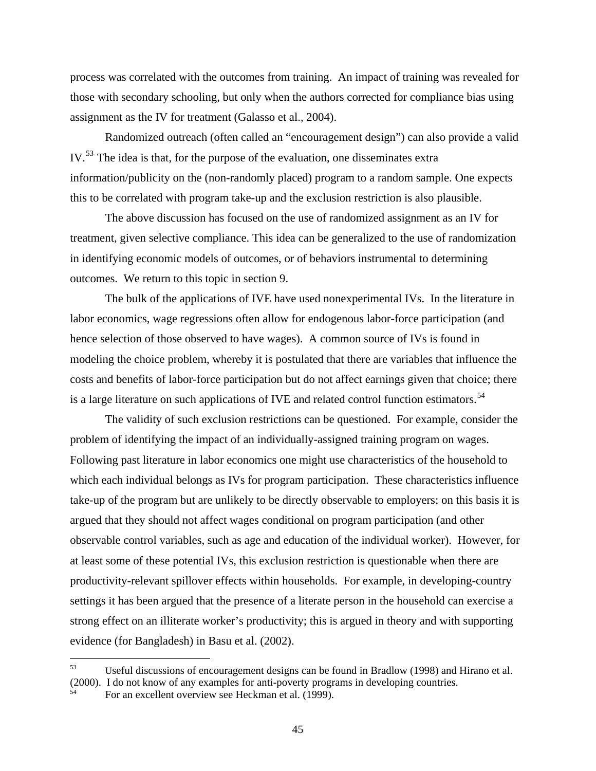process was correlated with the outcomes from training. An impact of training was revealed for those with secondary schooling, but only when the authors corrected for compliance bias using assignment as the IV for treatment (Galasso et al., 2004).

Randomized outreach (often called an "encouragement design") can also provide a valid IV.[53](#page-44-0) The idea is that, for the purpose of the evaluation, one disseminates extra information/publicity on the (non-randomly placed) program to a random sample. One expects this to be correlated with program take-up and the exclusion restriction is also plausible.

The above discussion has focused on the use of randomized assignment as an IV for treatment, given selective compliance. This idea can be generalized to the use of randomization in identifying economic models of outcomes, or of behaviors instrumental to determining outcomes. We return to this topic in section 9.

The bulk of the applications of IVE have used nonexperimental IVs. In the literature in labor economics, wage regressions often allow for endogenous labor-force participation (and hence selection of those observed to have wages). A common source of IVs is found in modeling the choice problem, whereby it is postulated that there are variables that influence the costs and benefits of labor-force participation but do not affect earnings given that choice; there is a large literature on such applications of IVE and related control function estimators.<sup>[54](#page-44-1)</sup>

The validity of such exclusion restrictions can be questioned. For example, consider the problem of identifying the impact of an individually-assigned training program on wages. Following past literature in labor economics one might use characteristics of the household to which each individual belongs as IVs for program participation. These characteristics influence take-up of the program but are unlikely to be directly observable to employers; on this basis it is argued that they should not affect wages conditional on program participation (and other observable control variables, such as age and education of the individual worker). However, for at least some of these potential IVs, this exclusion restriction is questionable when there are productivity-relevant spillover effects within households. For example, in developing-country settings it has been argued that the presence of a literate person in the household can exercise a strong effect on an illiterate worker's productivity; this is argued in theory and with supporting evidence (for Bangladesh) in Basu et al. (2002).

<span id="page-44-0"></span><sup>53</sup> Useful discussions of encouragement designs can be found in Bradlow (1998) and Hirano et al. (2000). I do not know of any examples for anti-poverty programs in developing countries.

<span id="page-44-1"></span>For an excellent overview see Heckman et al. (1999).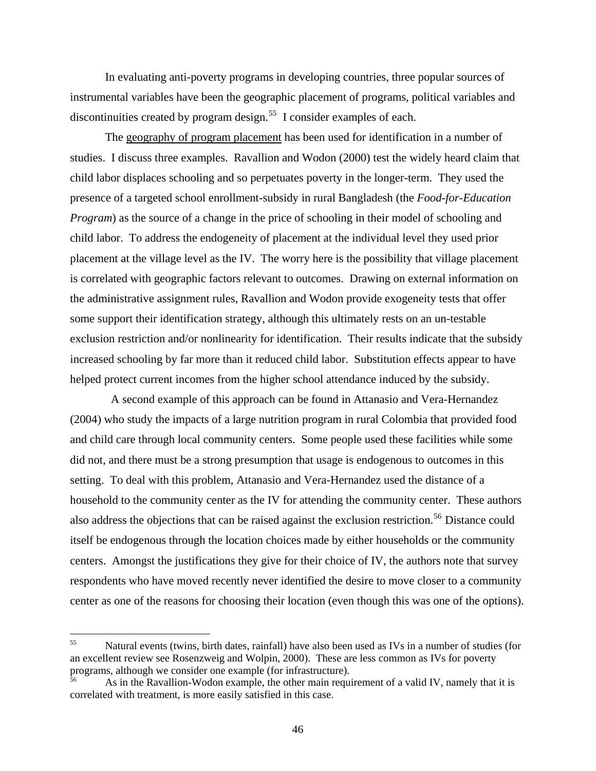In evaluating anti-poverty programs in developing countries, three popular sources of instrumental variables have been the geographic placement of programs, political variables and discontinuities created by program design.<sup>[55](#page-45-0)</sup> I consider examples of each.

The geography of program placement has been used for identification in a number of studies. I discuss three examples. Ravallion and Wodon (2000) test the widely heard claim that child labor displaces schooling and so perpetuates poverty in the longer-term. They used the presence of a targeted school enrollment-subsidy in rural Bangladesh (the *Food-for-Education Program*) as the source of a change in the price of schooling in their model of schooling and child labor. To address the endogeneity of placement at the individual level they used prior placement at the village level as the IV. The worry here is the possibility that village placement is correlated with geographic factors relevant to outcomes. Drawing on external information on the administrative assignment rules, Ravallion and Wodon provide exogeneity tests that offer some support their identification strategy, although this ultimately rests on an un-testable exclusion restriction and/or nonlinearity for identification. Their results indicate that the subsidy increased schooling by far more than it reduced child labor. Substitution effects appear to have helped protect current incomes from the higher school attendance induced by the subsidy.

 A second example of this approach can be found in Attanasio and Vera-Hernandez (2004) who study the impacts of a large nutrition program in rural Colombia that provided food and child care through local community centers. Some people used these facilities while some did not, and there must be a strong presumption that usage is endogenous to outcomes in this setting. To deal with this problem, Attanasio and Vera-Hernandez used the distance of a household to the community center as the IV for attending the community center. These authors also address the objections that can be raised against the exclusion restriction.<sup>[56](#page-45-1)</sup> Distance could itself be endogenous through the location choices made by either households or the community centers. Amongst the justifications they give for their choice of IV, the authors note that survey respondents who have moved recently never identified the desire to move closer to a community center as one of the reasons for choosing their location (even though this was one of the options).

<span id="page-45-0"></span> $55$ 55 Natural events (twins, birth dates, rainfall) have also been used as IVs in a number of studies (for an excellent review see Rosenzweig and Wolpin, 2000). These are less common as IVs for poverty programs, although we consider one example (for infrastructure).<br><sup>56</sup> As in the Ravallion-Wodon example, the other main requirement of a valid IV, namely that it is

<span id="page-45-1"></span>correlated with treatment, is more easily satisfied in this case.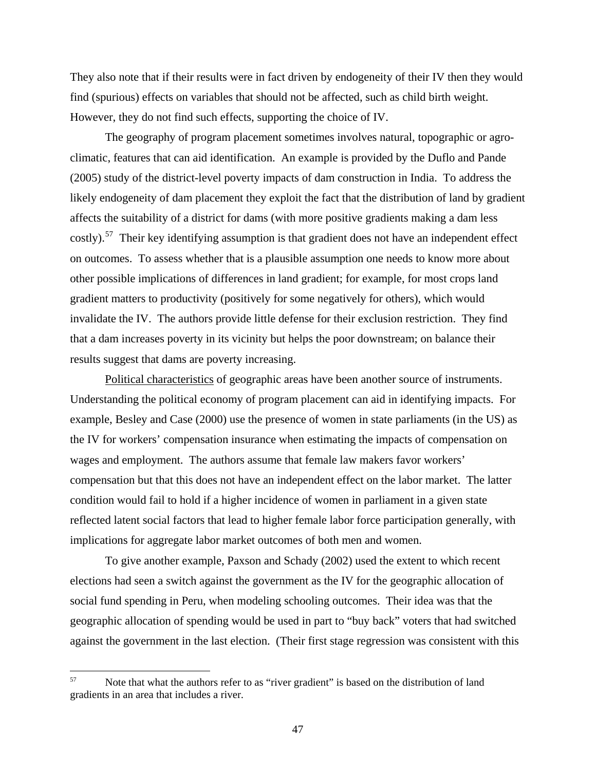They also note that if their results were in fact driven by endogeneity of their IV then they would find (spurious) effects on variables that should not be affected, such as child birth weight. However, they do not find such effects, supporting the choice of IV.

The geography of program placement sometimes involves natural, topographic or agroclimatic, features that can aid identification. An example is provided by the Duflo and Pande (2005) study of the district-level poverty impacts of dam construction in India. To address the likely endogeneity of dam placement they exploit the fact that the distribution of land by gradient affects the suitability of a district for dams (with more positive gradients making a dam less  $costly$ .<sup>[57](#page-46-0)</sup> Their key identifying assumption is that gradient does not have an independent effect on outcomes. To assess whether that is a plausible assumption one needs to know more about other possible implications of differences in land gradient; for example, for most crops land gradient matters to productivity (positively for some negatively for others), which would invalidate the IV. The authors provide little defense for their exclusion restriction. They find that a dam increases poverty in its vicinity but helps the poor downstream; on balance their results suggest that dams are poverty increasing.

Political characteristics of geographic areas have been another source of instruments. Understanding the political economy of program placement can aid in identifying impacts. For example, Besley and Case (2000) use the presence of women in state parliaments (in the US) as the IV for workers' compensation insurance when estimating the impacts of compensation on wages and employment. The authors assume that female law makers favor workers' compensation but that this does not have an independent effect on the labor market. The latter condition would fail to hold if a higher incidence of women in parliament in a given state reflected latent social factors that lead to higher female labor force participation generally, with implications for aggregate labor market outcomes of both men and women.

To give another example, Paxson and Schady (2002) used the extent to which recent elections had seen a switch against the government as the IV for the geographic allocation of social fund spending in Peru, when modeling schooling outcomes. Their idea was that the geographic allocation of spending would be used in part to "buy back" voters that had switched against the government in the last election. (Their first stage regression was consistent with this

<span id="page-46-0"></span><sup>57</sup> Note that what the authors refer to as "river gradient" is based on the distribution of land gradients in an area that includes a river.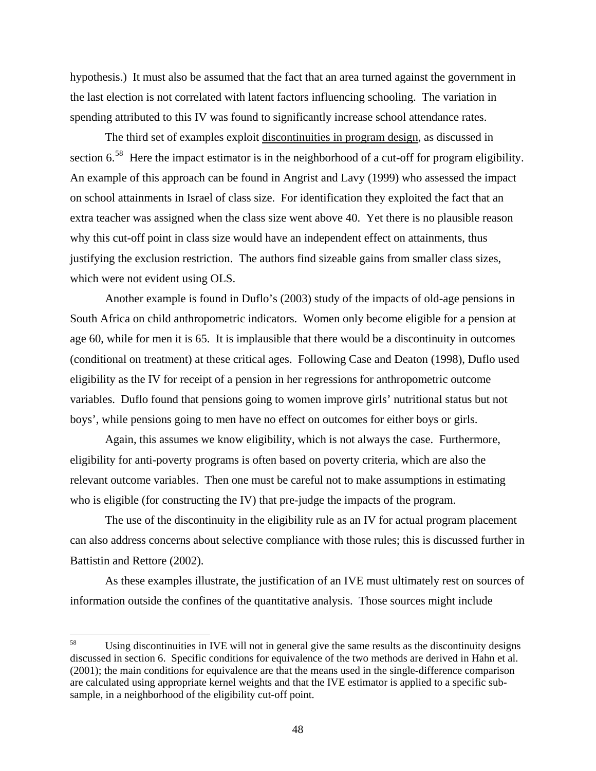hypothesis.) It must also be assumed that the fact that an area turned against the government in the last election is not correlated with latent factors influencing schooling. The variation in spending attributed to this IV was found to significantly increase school attendance rates.

 The third set of examples exploit discontinuities in program design, as discussed in section 6.<sup>[58](#page-47-0)</sup> Here the impact estimator is in the neighborhood of a cut-off for program eligibility. An example of this approach can be found in Angrist and Lavy (1999) who assessed the impact on school attainments in Israel of class size. For identification they exploited the fact that an extra teacher was assigned when the class size went above 40. Yet there is no plausible reason why this cut-off point in class size would have an independent effect on attainments, thus justifying the exclusion restriction. The authors find sizeable gains from smaller class sizes, which were not evident using OLS.

Another example is found in Duflo's (2003) study of the impacts of old-age pensions in South Africa on child anthropometric indicators. Women only become eligible for a pension at age 60, while for men it is 65. It is implausible that there would be a discontinuity in outcomes (conditional on treatment) at these critical ages. Following Case and Deaton (1998), Duflo used eligibility as the IV for receipt of a pension in her regressions for anthropometric outcome variables. Duflo found that pensions going to women improve girls' nutritional status but not boys', while pensions going to men have no effect on outcomes for either boys or girls.

Again, this assumes we know eligibility, which is not always the case. Furthermore, eligibility for anti-poverty programs is often based on poverty criteria, which are also the relevant outcome variables. Then one must be careful not to make assumptions in estimating who is eligible (for constructing the IV) that pre-judge the impacts of the program.

The use of the discontinuity in the eligibility rule as an IV for actual program placement can also address concerns about selective compliance with those rules; this is discussed further in Battistin and Rettore (2002).

As these examples illustrate, the justification of an IVE must ultimately rest on sources of information outside the confines of the quantitative analysis. Those sources might include

<span id="page-47-0"></span><sup>58</sup> Using discontinuities in IVE will not in general give the same results as the discontinuity designs discussed in section 6. Specific conditions for equivalence of the two methods are derived in Hahn et al. (2001); the main conditions for equivalence are that the means used in the single-difference comparison are calculated using appropriate kernel weights and that the IVE estimator is applied to a specific subsample, in a neighborhood of the eligibility cut-off point.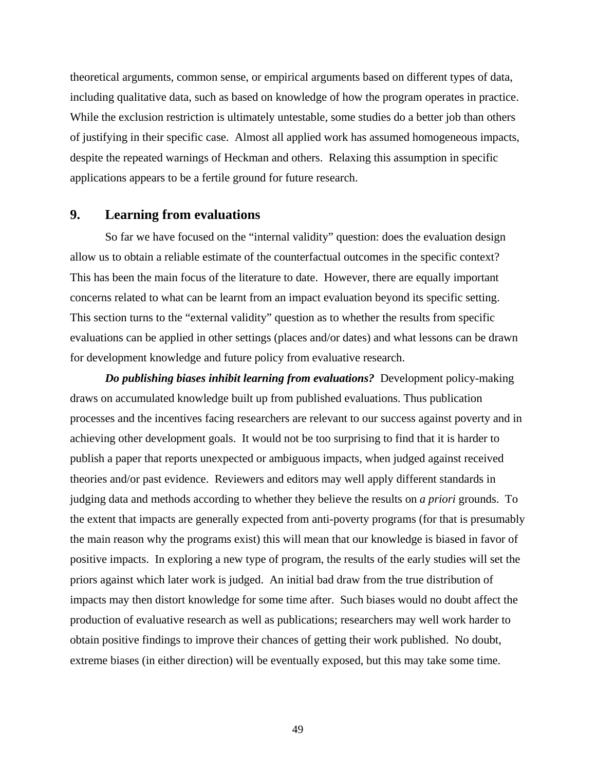theoretical arguments, common sense, or empirical arguments based on different types of data, including qualitative data, such as based on knowledge of how the program operates in practice. While the exclusion restriction is ultimately untestable, some studies do a better job than others of justifying in their specific case. Almost all applied work has assumed homogeneous impacts, despite the repeated warnings of Heckman and others. Relaxing this assumption in specific applications appears to be a fertile ground for future research.

## **9. Learning from evaluations**

So far we have focused on the "internal validity" question: does the evaluation design allow us to obtain a reliable estimate of the counterfactual outcomes in the specific context? This has been the main focus of the literature to date. However, there are equally important concerns related to what can be learnt from an impact evaluation beyond its specific setting. This section turns to the "external validity" question as to whether the results from specific evaluations can be applied in other settings (places and/or dates) and what lessons can be drawn for development knowledge and future policy from evaluative research.

*Do publishing biases inhibit learning from evaluations?* Development policy-making draws on accumulated knowledge built up from published evaluations. Thus publication processes and the incentives facing researchers are relevant to our success against poverty and in achieving other development goals. It would not be too surprising to find that it is harder to publish a paper that reports unexpected or ambiguous impacts, when judged against received theories and/or past evidence. Reviewers and editors may well apply different standards in judging data and methods according to whether they believe the results on *a priori* grounds. To the extent that impacts are generally expected from anti-poverty programs (for that is presumably the main reason why the programs exist) this will mean that our knowledge is biased in favor of positive impacts. In exploring a new type of program, the results of the early studies will set the priors against which later work is judged. An initial bad draw from the true distribution of impacts may then distort knowledge for some time after. Such biases would no doubt affect the production of evaluative research as well as publications; researchers may well work harder to obtain positive findings to improve their chances of getting their work published. No doubt, extreme biases (in either direction) will be eventually exposed, but this may take some time.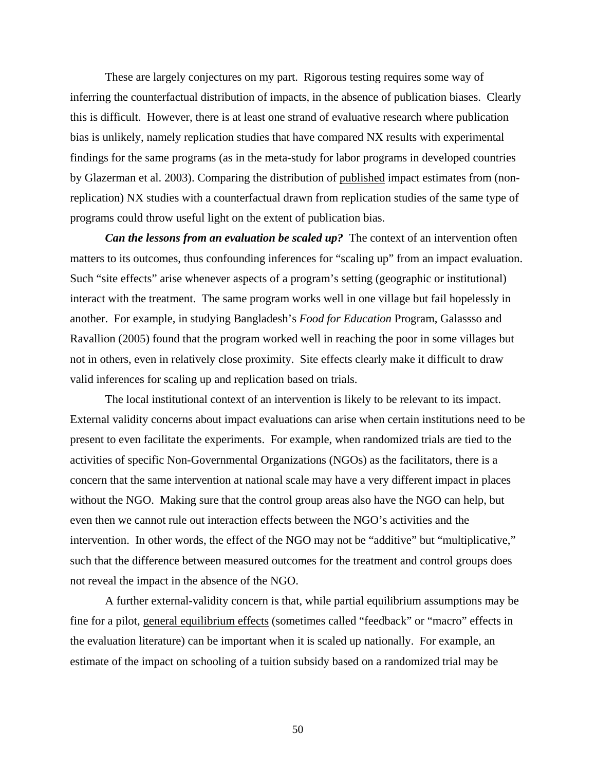These are largely conjectures on my part. Rigorous testing requires some way of inferring the counterfactual distribution of impacts, in the absence of publication biases. Clearly this is difficult. However, there is at least one strand of evaluative research where publication bias is unlikely, namely replication studies that have compared NX results with experimental findings for the same programs (as in the meta-study for labor programs in developed countries by Glazerman et al. 2003). Comparing the distribution of published impact estimates from (nonreplication) NX studies with a counterfactual drawn from replication studies of the same type of programs could throw useful light on the extent of publication bias.

*Can the lessons from an evaluation be scaled up?* The context of an intervention often matters to its outcomes, thus confounding inferences for "scaling up" from an impact evaluation. Such "site effects" arise whenever aspects of a program's setting (geographic or institutional) interact with the treatment. The same program works well in one village but fail hopelessly in another. For example, in studying Bangladesh's *Food for Education* Program, Galassso and Ravallion (2005) found that the program worked well in reaching the poor in some villages but not in others, even in relatively close proximity. Site effects clearly make it difficult to draw valid inferences for scaling up and replication based on trials.

The local institutional context of an intervention is likely to be relevant to its impact. External validity concerns about impact evaluations can arise when certain institutions need to be present to even facilitate the experiments. For example, when randomized trials are tied to the activities of specific Non-Governmental Organizations (NGOs) as the facilitators, there is a concern that the same intervention at national scale may have a very different impact in places without the NGO. Making sure that the control group areas also have the NGO can help, but even then we cannot rule out interaction effects between the NGO's activities and the intervention. In other words, the effect of the NGO may not be "additive" but "multiplicative," such that the difference between measured outcomes for the treatment and control groups does not reveal the impact in the absence of the NGO.

A further external-validity concern is that, while partial equilibrium assumptions may be fine for a pilot, general equilibrium effects (sometimes called "feedback" or "macro" effects in the evaluation literature) can be important when it is scaled up nationally. For example, an estimate of the impact on schooling of a tuition subsidy based on a randomized trial may be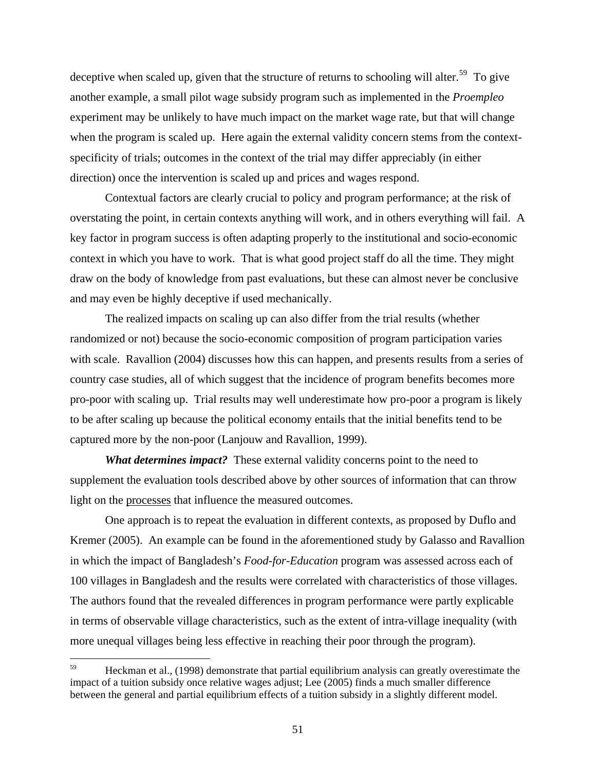deceptive when scaled up, given that the structure of returns to schooling will alter.<sup>[59](#page-50-0)</sup> To give another example, a small pilot wage subsidy program such as implemented in the *Proempleo* experiment may be unlikely to have much impact on the market wage rate, but that will change when the program is scaled up. Here again the external validity concern stems from the contextspecificity of trials; outcomes in the context of the trial may differ appreciably (in either direction) once the intervention is scaled up and prices and wages respond.

Contextual factors are clearly crucial to policy and program performance; at the risk of overstating the point, in certain contexts anything will work, and in others everything will fail. A key factor in program success is often adapting properly to the institutional and socio-economic context in which you have to work. That is what good project staff do all the time. They might draw on the body of knowledge from past evaluations, but these can almost never be conclusive and may even be highly deceptive if used mechanically.

The realized impacts on scaling up can also differ from the trial results (whether randomized or not) because the socio-economic composition of program participation varies with scale. Ravallion (2004) discusses how this can happen, and presents results from a series of country case studies, all of which suggest that the incidence of program benefits becomes more pro-poor with scaling up. Trial results may well underestimate how pro-poor a program is likely to be after scaling up because the political economy entails that the initial benefits tend to be captured more by the non-poor (Lanjouw and Ravallion, 1999).

*What determines impact?* These external validity concerns point to the need to supplement the evaluation tools described above by other sources of information that can throw light on the processes that influence the measured outcomes.

One approach is to repeat the evaluation in different contexts, as proposed by Duflo and Kremer (2005). An example can be found in the aforementioned study by Galasso and Ravallion in which the impact of Bangladesh's *Food-for-Education* program was assessed across each of 100 villages in Bangladesh and the results were correlated with characteristics of those villages. The authors found that the revealed differences in program performance were partly explicable in terms of observable village characteristics, such as the extent of intra-village inequality (with more unequal villages being less effective in reaching their poor through the program).

 $\overline{a}$ 

<span id="page-50-0"></span><sup>&</sup>lt;sup>59</sup> Heckman et al., (1998) demonstrate that partial equilibrium analysis can greatly overestimate the impact of a tuition subsidy once relative wages adjust; Lee (2005) finds a much smaller difference between the general and partial equilibrium effects of a tuition subsidy in a slightly different model.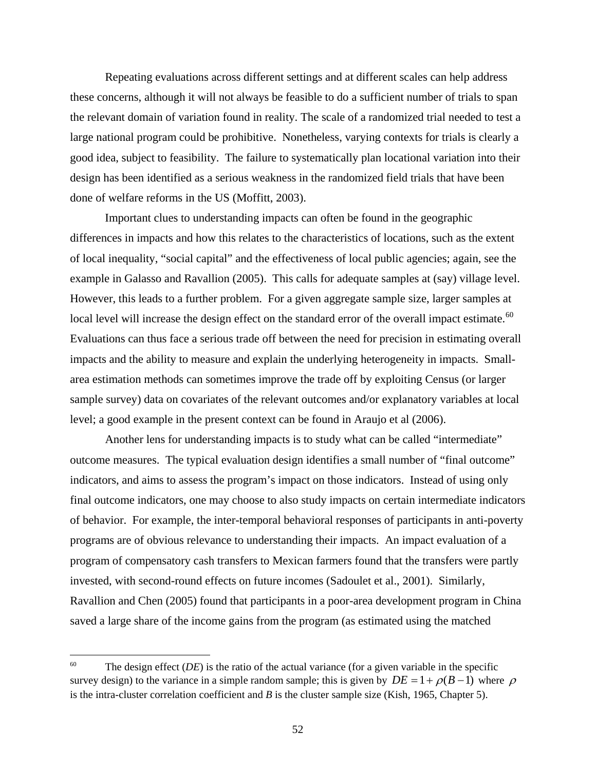Repeating evaluations across different settings and at different scales can help address these concerns, although it will not always be feasible to do a sufficient number of trials to span the relevant domain of variation found in reality. The scale of a randomized trial needed to test a large national program could be prohibitive. Nonetheless, varying contexts for trials is clearly a good idea, subject to feasibility. The failure to systematically plan locational variation into their design has been identified as a serious weakness in the randomized field trials that have been done of welfare reforms in the US (Moffitt, 2003).

Important clues to understanding impacts can often be found in the geographic differences in impacts and how this relates to the characteristics of locations, such as the extent of local inequality, "social capital" and the effectiveness of local public agencies; again, see the example in Galasso and Ravallion (2005). This calls for adequate samples at (say) village level. However, this leads to a further problem. For a given aggregate sample size, larger samples at local level will increase the design effect on the standard error of the overall impact estimate.<sup>[60](#page-51-0)</sup> Evaluations can thus face a serious trade off between the need for precision in estimating overall impacts and the ability to measure and explain the underlying heterogeneity in impacts. Smallarea estimation methods can sometimes improve the trade off by exploiting Census (or larger sample survey) data on covariates of the relevant outcomes and/or explanatory variables at local level; a good example in the present context can be found in Araujo et al (2006).

 Another lens for understanding impacts is to study what can be called "intermediate" outcome measures. The typical evaluation design identifies a small number of "final outcome" indicators, and aims to assess the program's impact on those indicators. Instead of using only final outcome indicators, one may choose to also study impacts on certain intermediate indicators of behavior. For example, the inter-temporal behavioral responses of participants in anti-poverty programs are of obvious relevance to understanding their impacts. An impact evaluation of a program of compensatory cash transfers to Mexican farmers found that the transfers were partly invested, with second-round effects on future incomes (Sadoulet et al., 2001). Similarly, Ravallion and Chen (2005) found that participants in a poor-area development program in China saved a large share of the income gains from the program (as estimated using the matched

<span id="page-51-0"></span><sup>60</sup> survey design) to the variance in a simple random sample; this is given by  $DE = 1 + \rho(B-1)$  where  $\rho$ The design effect (*DE*) is the ratio of the actual variance (for a given variable in the specific is the intra-cluster correlation coefficient and *B* is the cluster sample size (Kish, 1965, Chapter 5).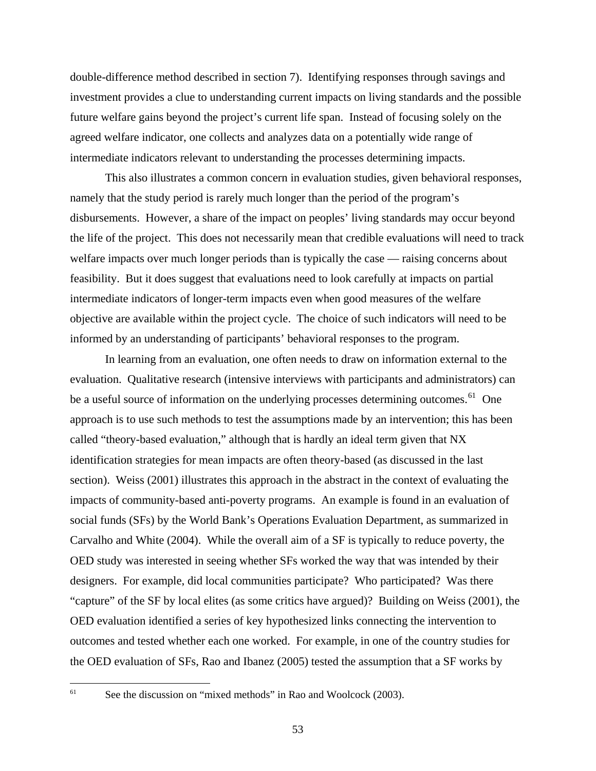double-difference method described in section 7). Identifying responses through savings and investment provides a clue to understanding current impacts on living standards and the possible future welfare gains beyond the project's current life span. Instead of focusing solely on the agreed welfare indicator, one collects and analyzes data on a potentially wide range of intermediate indicators relevant to understanding the processes determining impacts.

 This also illustrates a common concern in evaluation studies, given behavioral responses, namely that the study period is rarely much longer than the period of the program's disbursements. However, a share of the impact on peoples' living standards may occur beyond the life of the project. This does not necessarily mean that credible evaluations will need to track welfare impacts over much longer periods than is typically the case — raising concerns about feasibility. But it does suggest that evaluations need to look carefully at impacts on partial intermediate indicators of longer-term impacts even when good measures of the welfare objective are available within the project cycle. The choice of such indicators will need to be informed by an understanding of participants' behavioral responses to the program.

 In learning from an evaluation, one often needs to draw on information external to the evaluation. Qualitative research (intensive interviews with participants and administrators) can be a useful source of information on the underlying processes determining outcomes.<sup>[61](#page-52-0)</sup> One approach is to use such methods to test the assumptions made by an intervention; this has been called "theory-based evaluation," although that is hardly an ideal term given that NX identification strategies for mean impacts are often theory-based (as discussed in the last section). Weiss (2001) illustrates this approach in the abstract in the context of evaluating the impacts of community-based anti-poverty programs. An example is found in an evaluation of social funds (SFs) by the World Bank's Operations Evaluation Department, as summarized in Carvalho and White (2004). While the overall aim of a SF is typically to reduce poverty, the OED study was interested in seeing whether SFs worked the way that was intended by their designers. For example, did local communities participate? Who participated? Was there "capture" of the SF by local elites (as some critics have argued)? Building on Weiss (2001), the OED evaluation identified a series of key hypothesized links connecting the intervention to outcomes and tested whether each one worked. For example, in one of the country studies for the OED evaluation of SFs, Rao and Ibanez (2005) tested the assumption that a SF works by

<span id="page-52-0"></span>See the discussion on "mixed methods" in Rao and Woolcock (2003).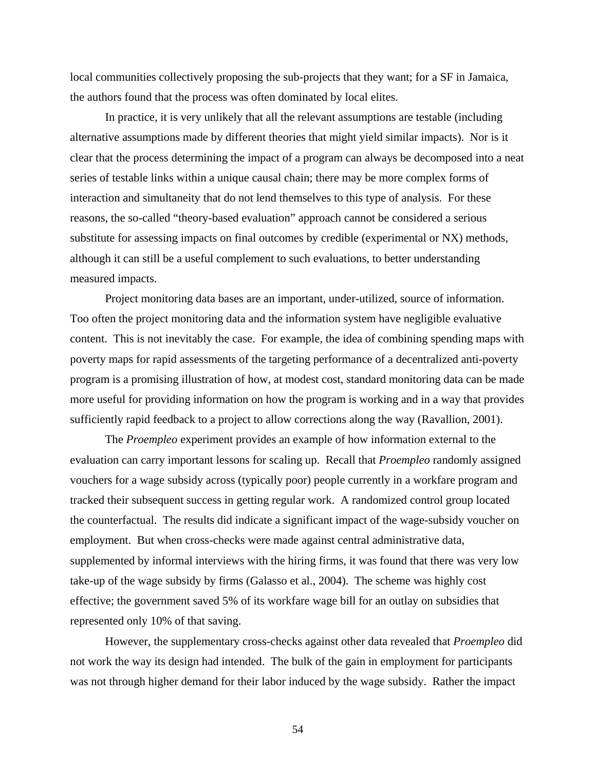local communities collectively proposing the sub-projects that they want; for a SF in Jamaica, the authors found that the process was often dominated by local elites.

In practice, it is very unlikely that all the relevant assumptions are testable (including alternative assumptions made by different theories that might yield similar impacts). Nor is it clear that the process determining the impact of a program can always be decomposed into a neat series of testable links within a unique causal chain; there may be more complex forms of interaction and simultaneity that do not lend themselves to this type of analysis. For these reasons, the so-called "theory-based evaluation" approach cannot be considered a serious substitute for assessing impacts on final outcomes by credible (experimental or NX) methods, although it can still be a useful complement to such evaluations, to better understanding measured impacts.

Project monitoring data bases are an important, under-utilized, source of information. Too often the project monitoring data and the information system have negligible evaluative content. This is not inevitably the case. For example, the idea of combining spending maps with poverty maps for rapid assessments of the targeting performance of a decentralized anti-poverty program is a promising illustration of how, at modest cost, standard monitoring data can be made more useful for providing information on how the program is working and in a way that provides sufficiently rapid feedback to a project to allow corrections along the way (Ravallion, 2001).

The *Proempleo* experiment provides an example of how information external to the evaluation can carry important lessons for scaling up. Recall that *Proempleo* randomly assigned vouchers for a wage subsidy across (typically poor) people currently in a workfare program and tracked their subsequent success in getting regular work. A randomized control group located the counterfactual. The results did indicate a significant impact of the wage-subsidy voucher on employment. But when cross-checks were made against central administrative data, supplemented by informal interviews with the hiring firms, it was found that there was very low take-up of the wage subsidy by firms (Galasso et al., 2004). The scheme was highly cost effective; the government saved 5% of its workfare wage bill for an outlay on subsidies that represented only 10% of that saving.

However, the supplementary cross-checks against other data revealed that *Proempleo* did not work the way its design had intended. The bulk of the gain in employment for participants was not through higher demand for their labor induced by the wage subsidy. Rather the impact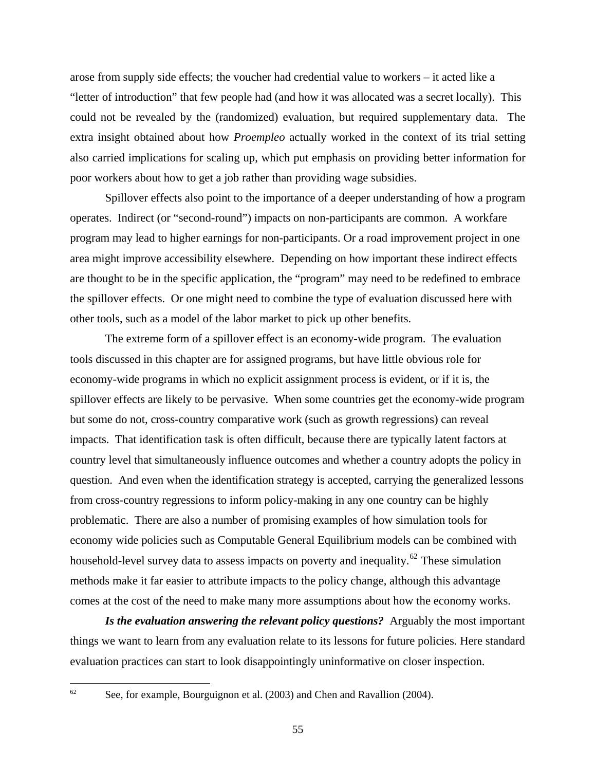arose from supply side effects; the voucher had credential value to workers – it acted like a "letter of introduction" that few people had (and how it was allocated was a secret locally). This could not be revealed by the (randomized) evaluation, but required supplementary data. The extra insight obtained about how *Proempleo* actually worked in the context of its trial setting also carried implications for scaling up, which put emphasis on providing better information for poor workers about how to get a job rather than providing wage subsidies.

Spillover effects also point to the importance of a deeper understanding of how a program operates. Indirect (or "second-round") impacts on non-participants are common. A workfare program may lead to higher earnings for non-participants. Or a road improvement project in one area might improve accessibility elsewhere. Depending on how important these indirect effects are thought to be in the specific application, the "program" may need to be redefined to embrace the spillover effects. Or one might need to combine the type of evaluation discussed here with other tools, such as a model of the labor market to pick up other benefits.

The extreme form of a spillover effect is an economy-wide program. The evaluation tools discussed in this chapter are for assigned programs, but have little obvious role for economy-wide programs in which no explicit assignment process is evident, or if it is, the spillover effects are likely to be pervasive. When some countries get the economy-wide program but some do not, cross-country comparative work (such as growth regressions) can reveal impacts. That identification task is often difficult, because there are typically latent factors at country level that simultaneously influence outcomes and whether a country adopts the policy in question. And even when the identification strategy is accepted, carrying the generalized lessons from cross-country regressions to inform policy-making in any one country can be highly problematic. There are also a number of promising examples of how simulation tools for economy wide policies such as Computable General Equilibrium models can be combined with household-level survey data to assess impacts on poverty and inequality.<sup>[62](#page-54-0)</sup> These simulation methods make it far easier to attribute impacts to the policy change, although this advantage comes at the cost of the need to make many more assumptions about how the economy works.

<span id="page-54-0"></span>*Is the evaluation answering the relevant policy questions?* Arguably the most important things we want to learn from any evaluation relate to its lessons for future policies. Here standard evaluation practices can start to look disappointingly uninformative on closer inspection.

See, for example, Bourguignon et al. (2003) and Chen and Ravallion (2004).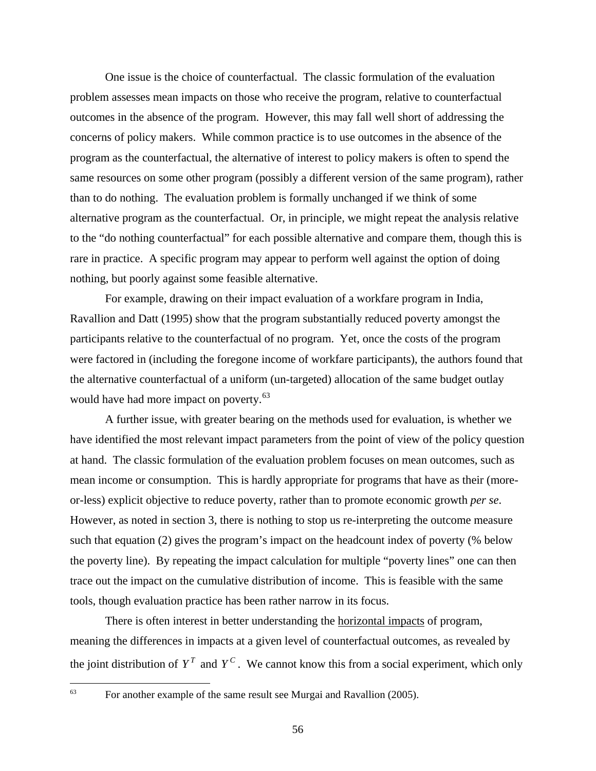One issue is the choice of counterfactual. The classic formulation of the evaluation problem assesses mean impacts on those who receive the program, relative to counterfactual outcomes in the absence of the program. However, this may fall well short of addressing the concerns of policy makers. While common practice is to use outcomes in the absence of the program as the counterfactual, the alternative of interest to policy makers is often to spend the same resources on some other program (possibly a different version of the same program), rather than to do nothing. The evaluation problem is formally unchanged if we think of some alternative program as the counterfactual. Or, in principle, we might repeat the analysis relative to the "do nothing counterfactual" for each possible alternative and compare them, though this is rare in practice. A specific program may appear to perform well against the option of doing nothing, but poorly against some feasible alternative.

 For example, drawing on their impact evaluation of a workfare program in India, Ravallion and Datt (1995) show that the program substantially reduced poverty amongst the participants relative to the counterfactual of no program. Yet, once the costs of the program were factored in (including the foregone income of workfare participants), the authors found that the alternative counterfactual of a uniform (un-targeted) allocation of the same budget outlay would have had more impact on poverty.<sup>[63](#page-55-0)</sup>

A further issue, with greater bearing on the methods used for evaluation, is whether we have identified the most relevant impact parameters from the point of view of the policy question at hand. The classic formulation of the evaluation problem focuses on mean outcomes, such as mean income or consumption. This is hardly appropriate for programs that have as their (moreor-less) explicit objective to reduce poverty, rather than to promote economic growth *per se*. However, as noted in section 3, there is nothing to stop us re-interpreting the outcome measure such that equation (2) gives the program's impact on the headcount index of poverty (% below the poverty line). By repeating the impact calculation for multiple "poverty lines" one can then trace out the impact on the cumulative distribution of income. This is feasible with the same tools, though evaluation practice has been rather narrow in its focus.

There is often interest in better understanding the horizontal impacts of program, meaning the differences in impacts at a given level of counterfactual outcomes, as revealed by the joint distribution of  $Y^T$  and  $Y^C$ . We cannot know this from a social experiment, which only

<span id="page-55-0"></span>For another example of the same result see Murgai and Ravallion (2005).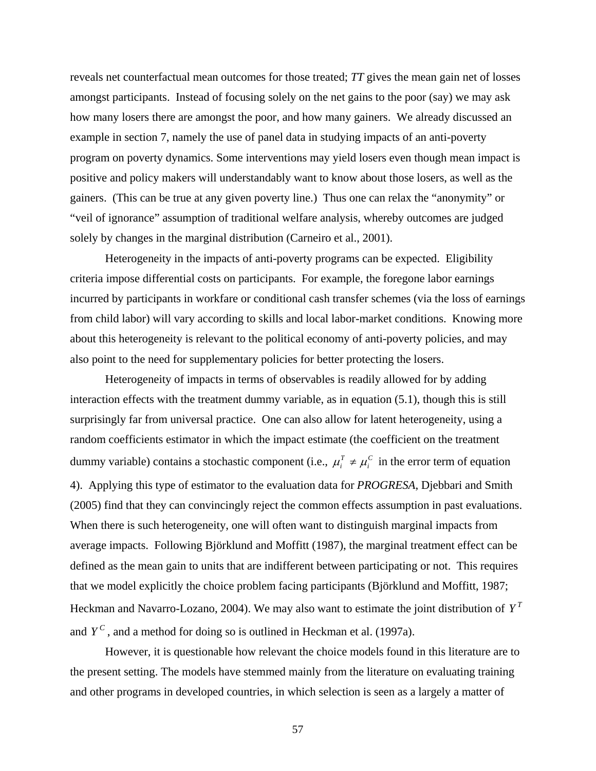reveals net counterfactual mean outcomes for those treated; *TT* gives the mean gain net of losses amongst participants. Instead of focusing solely on the net gains to the poor (say) we may ask how many losers there are amongst the poor, and how many gainers. We already discussed an example in section 7, namely the use of panel data in studying impacts of an anti-poverty program on poverty dynamics. Some interventions may yield losers even though mean impact is positive and policy makers will understandably want to know about those losers, as well as the gainers. (This can be true at any given poverty line.) Thus one can relax the "anonymity" or "veil of ignorance" assumption of traditional welfare analysis, whereby outcomes are judged solely by changes in the marginal distribution (Carneiro et al., 2001).

Heterogeneity in the impacts of anti-poverty programs can be expected. Eligibility criteria impose differential costs on participants. For example, the foregone labor earnings incurred by participants in workfare or conditional cash transfer schemes (via the loss of earnings from child labor) will vary according to skills and local labor-market conditions. Knowing more about this heterogeneity is relevant to the political economy of anti-poverty policies, and may also point to the need for supplementary policies for better protecting the losers.

Heterogeneity of impacts in terms of observables is readily allowed for by adding interaction effects with the treatment dummy variable, as in equation (5.1), though this is still surprisingly far from universal practice. One can also allow for latent heterogeneity, using a random coefficients estimator in which the impact estimate (the coefficient on the treatment dummy variable) contains a stochastic component (i.e.,  $\mu_i^T \neq \mu_i^C$  in the error term of equation 4). Applying this type of estimator to the evaluation data for *PROGRESA*, Djebbari and Smith (2005) find that they can convincingly reject the common effects assumption in past evaluations. When there is such heterogeneity, one will often want to distinguish marginal impacts from average impacts. Following Björklund and Moffitt (1987), the marginal treatment effect can be defined as the mean gain to units that are indifferent between participating or not. This requires that we model explicitly the choice problem facing participants (Björklund and Moffitt, 1987; Heckman and Navarro-Lozano, 2004). We may also want to estimate the joint distribution of  $Y^T$ *i*  $\mu_i^T \neq \mu_i$ and  $Y^C$ , and a method for doing so is outlined in Heckman et al. (1997a).

However, it is questionable how relevant the choice models found in this literature are to the present setting. The models have stemmed mainly from the literature on evaluating training and other programs in developed countries, in which selection is seen as a largely a matter of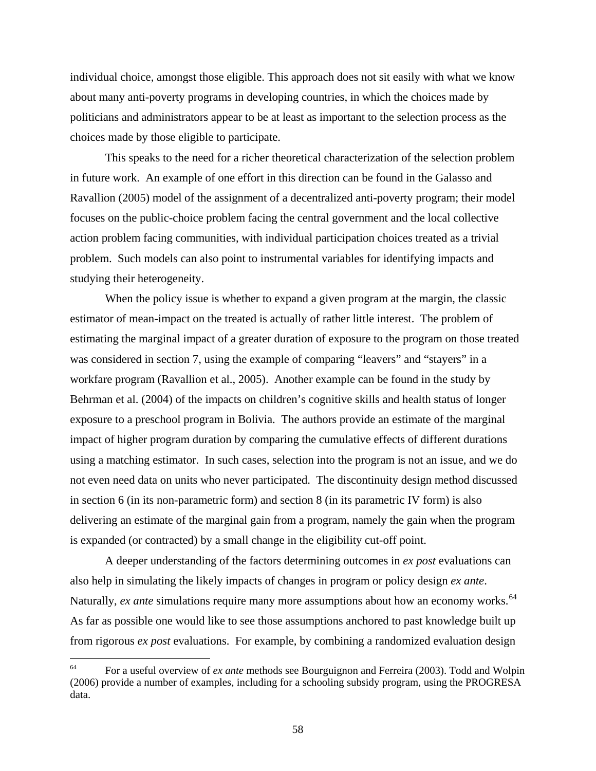individual choice, amongst those eligible. This approach does not sit easily with what we know about many anti-poverty programs in developing countries, in which the choices made by politicians and administrators appear to be at least as important to the selection process as the choices made by those eligible to participate.

This speaks to the need for a richer theoretical characterization of the selection problem in future work. An example of one effort in this direction can be found in the Galasso and Ravallion (2005) model of the assignment of a decentralized anti-poverty program; their model focuses on the public-choice problem facing the central government and the local collective action problem facing communities, with individual participation choices treated as a trivial problem. Such models can also point to instrumental variables for identifying impacts and studying their heterogeneity.

When the policy issue is whether to expand a given program at the margin, the classic estimator of mean-impact on the treated is actually of rather little interest. The problem of estimating the marginal impact of a greater duration of exposure to the program on those treated was considered in section 7, using the example of comparing "leavers" and "stayers" in a workfare program (Ravallion et al., 2005). Another example can be found in the study by Behrman et al. (2004) of the impacts on children's cognitive skills and health status of longer exposure to a preschool program in Bolivia. The authors provide an estimate of the marginal impact of higher program duration by comparing the cumulative effects of different durations using a matching estimator. In such cases, selection into the program is not an issue, and we do not even need data on units who never participated. The discontinuity design method discussed in section 6 (in its non-parametric form) and section 8 (in its parametric IV form) is also delivering an estimate of the marginal gain from a program, namely the gain when the program is expanded (or contracted) by a small change in the eligibility cut-off point.

A deeper understanding of the factors determining outcomes in *ex post* evaluations can also help in simulating the likely impacts of changes in program or policy design *ex ante*. Naturally, *ex ante* simulations require many more assumptions about how an economy works.<sup>[64](#page-58-0)</sup> As far as possible one would like to see those assumptions anchored to past knowledge built up from rigorous *ex post* evaluations. For example, by combining a randomized evaluation design

<sup>64</sup> 64 For a useful overview of *ex ante* methods see Bourguignon and Ferreira (2003). Todd and Wolpin (2006) provide a number of examples, including for a schooling subsidy program, using the PROGRESA data.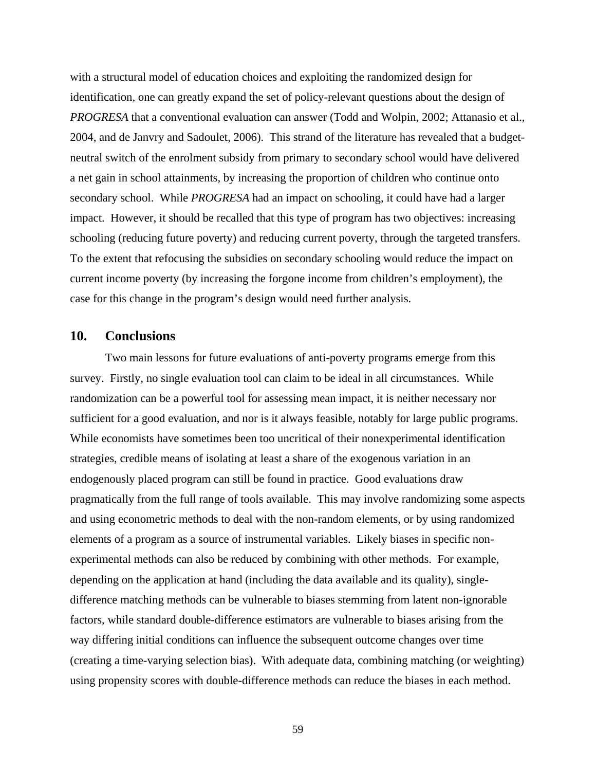with a structural model of education choices and exploiting the randomized design for identification, one can greatly expand the set of policy-relevant questions about the design of *PROGRESA* that a conventional evaluation can answer (Todd and Wolpin, 2002; Attanasio et al., 2004, and de Janvry and Sadoulet, 2006). This strand of the literature has revealed that a budgetneutral switch of the enrolment subsidy from primary to secondary school would have delivered a net gain in school attainments, by increasing the proportion of children who continue onto secondary school. While *PROGRESA* had an impact on schooling, it could have had a larger impact. However, it should be recalled that this type of program has two objectives: increasing schooling (reducing future poverty) and reducing current poverty, through the targeted transfers. To the extent that refocusing the subsidies on secondary schooling would reduce the impact on current income poverty (by increasing the forgone income from children's employment), the case for this change in the program's design would need further analysis.

## **10. Conclusions**

<span id="page-58-0"></span>Two main lessons for future evaluations of anti-poverty programs emerge from this survey. Firstly, no single evaluation tool can claim to be ideal in all circumstances. While randomization can be a powerful tool for assessing mean impact, it is neither necessary nor sufficient for a good evaluation, and nor is it always feasible, notably for large public programs. While economists have sometimes been too uncritical of their nonexperimental identification strategies, credible means of isolating at least a share of the exogenous variation in an endogenously placed program can still be found in practice. Good evaluations draw pragmatically from the full range of tools available. This may involve randomizing some aspects and using econometric methods to deal with the non-random elements, or by using randomized elements of a program as a source of instrumental variables. Likely biases in specific nonexperimental methods can also be reduced by combining with other methods. For example, depending on the application at hand (including the data available and its quality), singledifference matching methods can be vulnerable to biases stemming from latent non-ignorable factors, while standard double-difference estimators are vulnerable to biases arising from the way differing initial conditions can influence the subsequent outcome changes over time (creating a time-varying selection bias). With adequate data, combining matching (or weighting) using propensity scores with double-difference methods can reduce the biases in each method.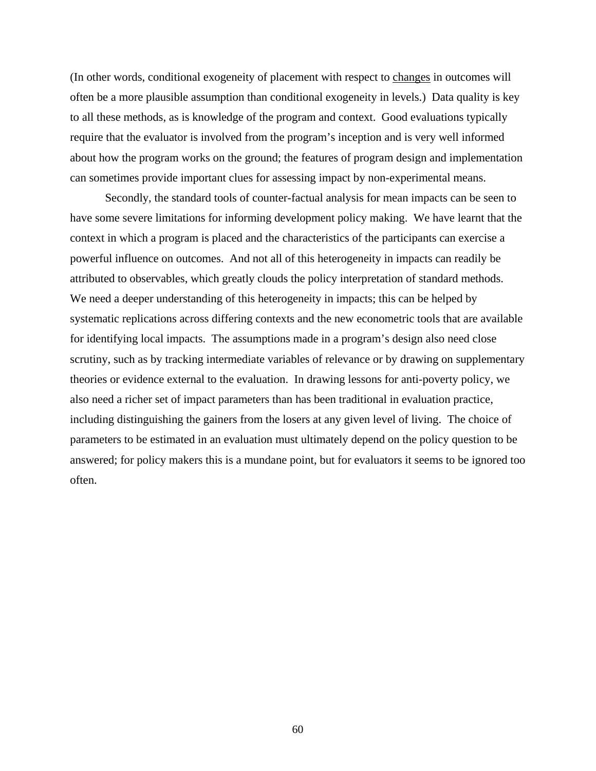(In other words, conditional exogeneity of placement with respect to changes in outcomes will often be a more plausible assumption than conditional exogeneity in levels.) Data quality is key to all these methods, as is knowledge of the program and context. Good evaluations typically require that the evaluator is involved from the program's inception and is very well informed about how the program works on the ground; the features of program design and implementation can sometimes provide important clues for assessing impact by non-experimental means.

 Secondly, the standard tools of counter-factual analysis for mean impacts can be seen to have some severe limitations for informing development policy making. We have learnt that the context in which a program is placed and the characteristics of the participants can exercise a powerful influence on outcomes. And not all of this heterogeneity in impacts can readily be attributed to observables, which greatly clouds the policy interpretation of standard methods. We need a deeper understanding of this heterogeneity in impacts; this can be helped by systematic replications across differing contexts and the new econometric tools that are available for identifying local impacts. The assumptions made in a program's design also need close scrutiny, such as by tracking intermediate variables of relevance or by drawing on supplementary theories or evidence external to the evaluation. In drawing lessons for anti-poverty policy, we also need a richer set of impact parameters than has been traditional in evaluation practice, including distinguishing the gainers from the losers at any given level of living. The choice of parameters to be estimated in an evaluation must ultimately depend on the policy question to be answered; for policy makers this is a mundane point, but for evaluators it seems to be ignored too often.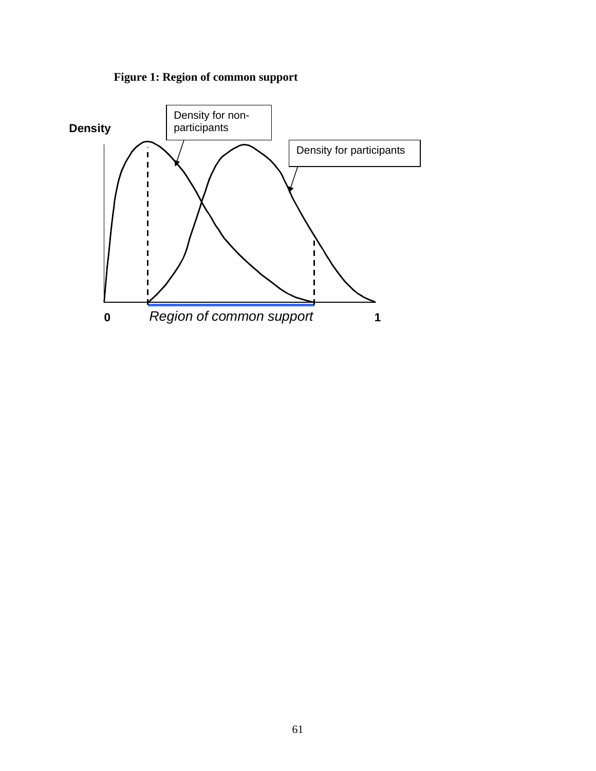

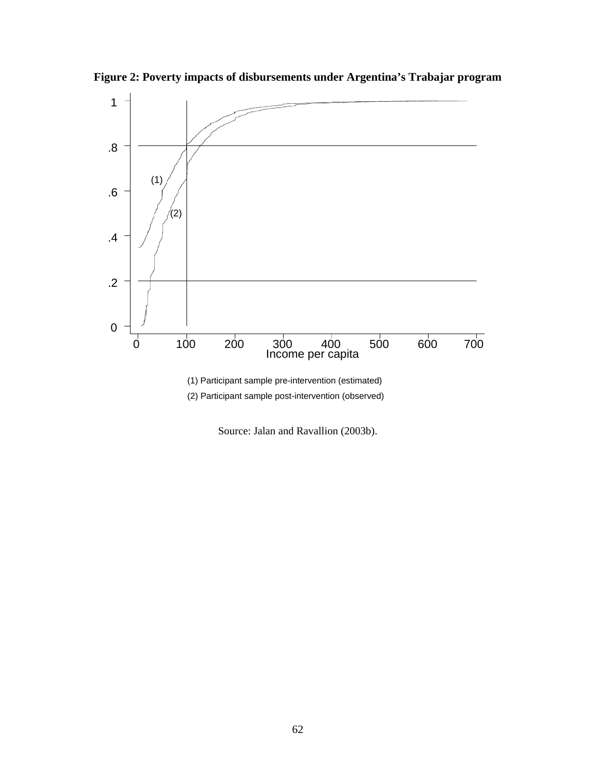



Source: Jalan and Ravallion (2003b).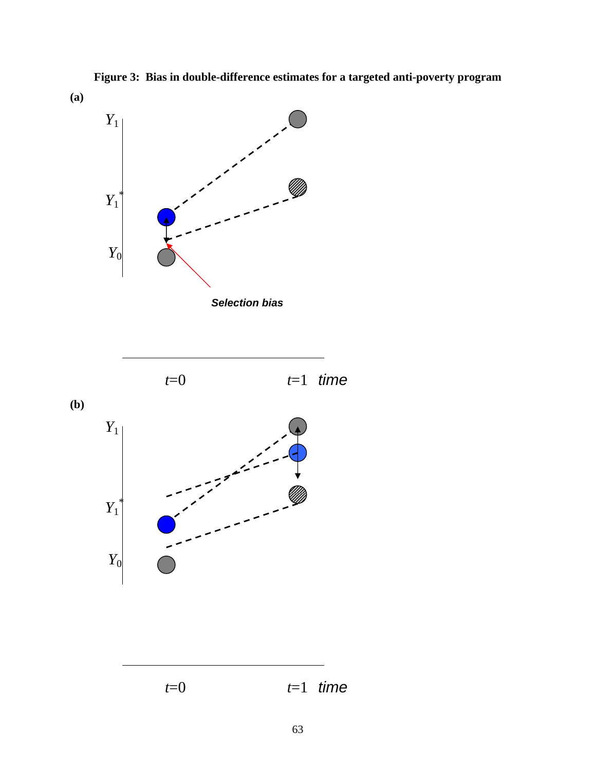

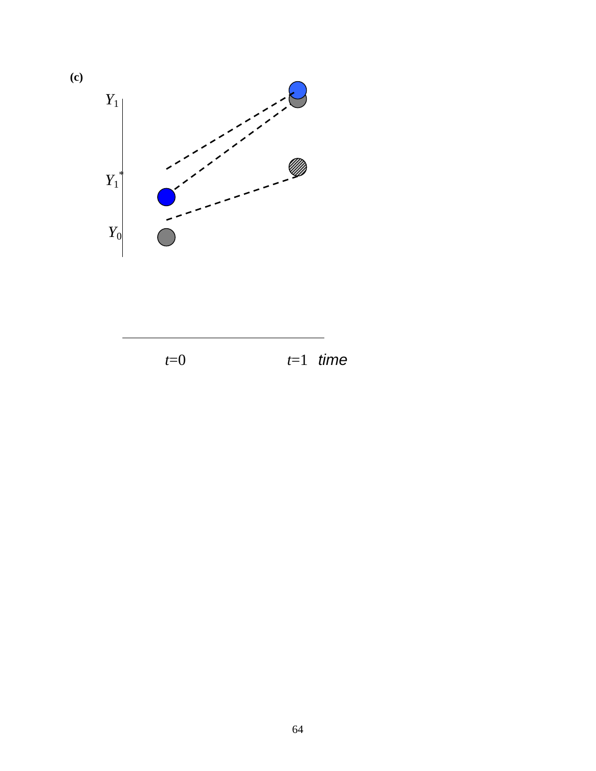

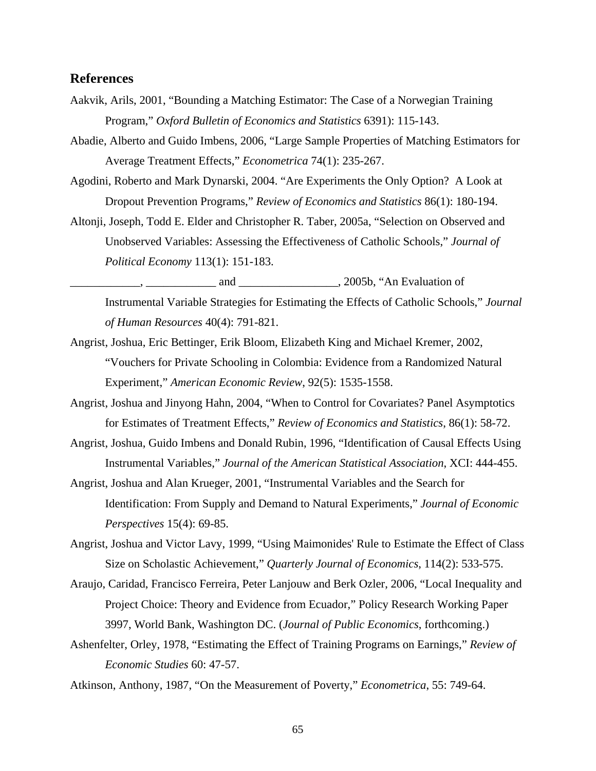## **References**

- Aakvik, Arils, 2001, "Bounding a Matching Estimator: The Case of a Norwegian Training Program," *Oxford Bulletin of Economics and Statistics* 6391): 115-143.
- Abadie, Alberto and Guido Imbens, 2006, "Large Sample Properties of Matching Estimators for Average Treatment Effects," *Econometrica* 74(1): 235-267.
- Agodini, Roberto and Mark Dynarski, 2004. "Are Experiments the Only Option? A Look at Dropout Prevention Programs," *Review of Economics and Statistics* 86(1): 180-194.
- Altonji, Joseph, Todd E. Elder and Christopher R. Taber, 2005a, "Selection on Observed and Unobserved Variables: Assessing the Effectiveness of Catholic Schools," *Journal of Political Economy* 113(1): 151-183.

and 2005b, "An Evaluation of Instrumental Variable Strategies for Estimating the Effects of Catholic Schools," *Journal* 

*of Human Resources* 40(4): 791-821.

- Angrist, Joshua, Eric Bettinger, Erik Bloom, Elizabeth King and Michael Kremer, 2002, "Vouchers for Private Schooling in Colombia: Evidence from a Randomized Natural Experiment," *American Economic Review*, 92(5): 1535-1558.
- Angrist, Joshua and Jinyong Hahn, 2004, "When to Control for Covariates? Panel Asymptotics for Estimates of Treatment Effects," *Review of Economics and Statistics*, 86(1): 58-72.
- Angrist, Joshua, Guido Imbens and Donald Rubin, 1996, "Identification of Causal Effects Using Instrumental Variables," *Journal of the American Statistical Association*, XCI: 444-455.
- Angrist, Joshua and Alan Krueger, 2001, "Instrumental Variables and the Search for Identification: From Supply and Demand to Natural Experiments," *Journal of Economic Perspectives* 15(4): 69-85.
- Angrist, Joshua and Victor Lavy, 1999, "Using Maimonides' Rule to Estimate the Effect of Class Size on Scholastic Achievement," *Quarterly Journal of Economics*, 114(2): 533-575.
- Araujo, Caridad, Francisco Ferreira, Peter Lanjouw and Berk Ozler, 2006, "Local Inequality and Project Choice: Theory and Evidence from Ecuador," Policy Research Working Paper 3997, World Bank, Washington DC. (*Journal of Public Economics*, forthcoming.)
- Ashenfelter, Orley, 1978, "Estimating the Effect of Training Programs on Earnings," *Review of Economic Studies* 60: 47-57.
- Atkinson, Anthony, 1987, "On the Measurement of Poverty," *Econometrica*, 55: 749-64.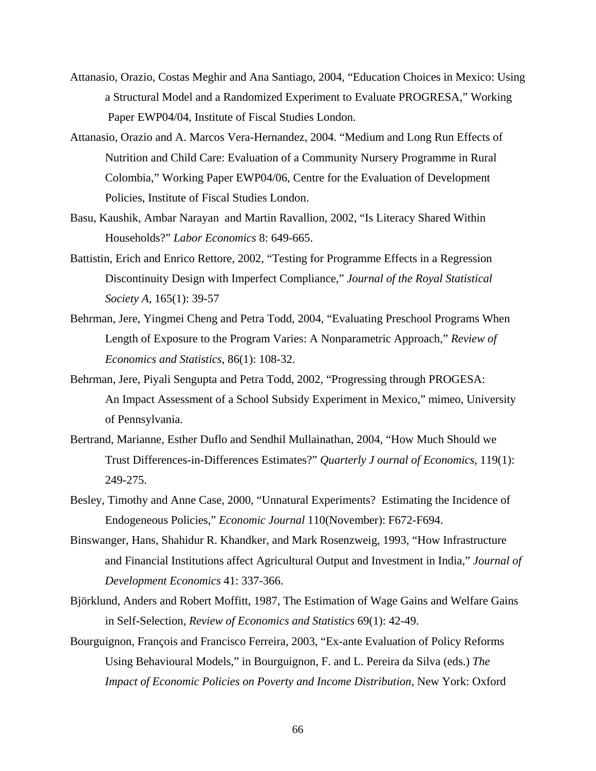- Attanasio, Orazio, Costas Meghir and Ana Santiago, 2004, "Education Choices in Mexico: Using a Structural Model and a Randomized Experiment to Evaluate PROGRESA," Working Paper EWP04/04, Institute of Fiscal Studies London.
- Attanasio, Orazio and A. Marcos Vera-Hernandez, 2004. "Medium and Long Run Effects of Nutrition and Child Care: Evaluation of a Community Nursery Programme in Rural Colombia," Working Paper EWP04/06, Centre for the Evaluation of Development Policies, Institute of Fiscal Studies London.
- Basu, Kaushik, Ambar Narayan and Martin Ravallion, 2002, "Is Literacy Shared Within Households?" *Labor Economics* 8: 649-665.
- Battistin, Erich and Enrico Rettore, 2002, "Testing for Programme Effects in a Regression Discontinuity Design with Imperfect Compliance," *Journal of the Royal Statistical Society A*, 165(1): 39-57
- Behrman, Jere, Yingmei Cheng and Petra Todd, 2004, "Evaluating Preschool Programs When Length of Exposure to the Program Varies: A Nonparametric Approach," *Review of Economics and Statistics*, 86(1): 108-32.
- Behrman, Jere, Piyali Sengupta and Petra Todd, 2002, "Progressing through PROGESA: An Impact Assessment of a School Subsidy Experiment in Mexico," mimeo, University of Pennsylvania.
- Bertrand, Marianne, Esther Duflo and Sendhil Mullainathan, 2004, "How Much Should we Trust Differences-in-Differences Estimates?" *Quarterly J ournal of Economics*, 119(1): 249-275.
- Besley, Timothy and Anne Case, 2000, "Unnatural Experiments? Estimating the Incidence of Endogeneous Policies," *Economic Journal* 110(November): F672-F694.
- Binswanger, Hans, Shahidur R. Khandker, and Mark Rosenzweig, 1993, "How Infrastructure and Financial Institutions affect Agricultural Output and Investment in India," *Journal of Development Economics* 41: 337-366.
- Björklund, Anders and Robert Moffitt, 1987, The Estimation of Wage Gains and Welfare Gains in Self-Selection, *Review of Economics and Statistics* 69(1): 42-49.
- Bourguignon, François and Francisco Ferreira, 2003, "Ex-ante Evaluation of Policy Reforms Using Behavioural Models," in Bourguignon, F. and L. Pereira da Silva (eds.) *The Impact of Economic Policies on Poverty and Income Distribution*, New York: Oxford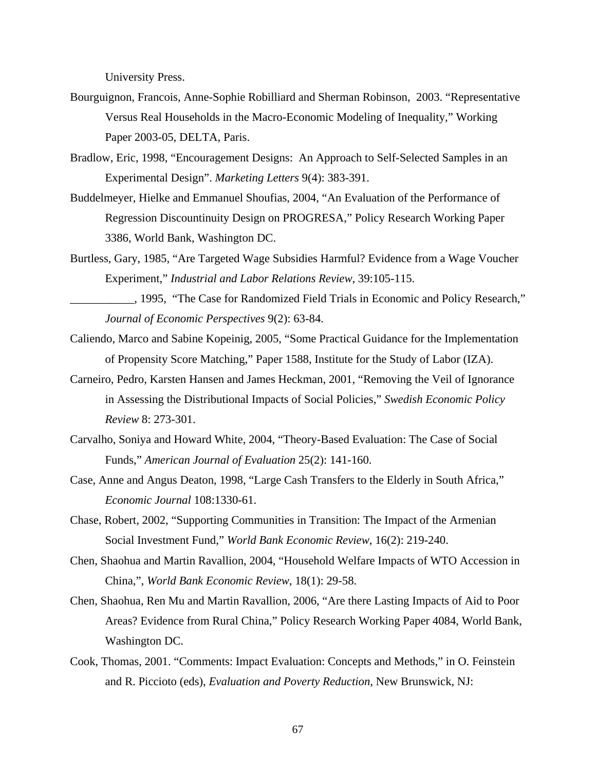University Press.

- Bourguignon, Francois, Anne-Sophie Robilliard and Sherman Robinson, 2003. "Representative Versus Real Households in the Macro-Economic Modeling of Inequality," Working Paper 2003-05, DELTA, Paris.
- Bradlow, Eric, 1998, "Encouragement Designs: An Approach to Self-Selected Samples in an Experimental Design". *Marketing Letters* 9(4): 383-391.
- Buddelmeyer, Hielke and Emmanuel Shoufias, 2004, "An Evaluation of the Performance of Regression Discountinuity Design on PROGRESA," Policy Research Working Paper 3386, World Bank, Washington DC.
- Burtless, Gary, 1985, "Are Targeted Wage Subsidies Harmful? Evidence from a Wage Voucher Experiment," *Industrial and Labor Relations Review*, 39:105-115.
	- \_\_\_\_\_\_\_\_\_\_\_, 1995, ["The Case for Randomized Field Trials in Economic and Policy Research,](http://www.jstor.org/view/08953309/di980583/98p0236d/0?frame=noframe&userID=8adc8613@worldbank.org/01cce4403724b1c1023fc05662&dpi=3&config=jstor)" *Journal of Economic Perspectives* 9(2): 63-84.
- Caliendo, Marco and Sabine Kopeinig, 2005, "Some Practical Guidance for the Implementation of Propensity Score Matching," Paper 1588, Institute for the Study of Labor (IZA).
- Carneiro, Pedro, Karsten Hansen and James Heckman, 2001, "Removing the Veil of Ignorance in Assessing the Distributional Impacts of Social Policies," *Swedish Economic Policy Review* 8: 273-301.
- Carvalho, Soniya and Howard White, 2004, "Theory-Based Evaluation: The Case of Social Funds," *American Journal of Evaluation* 25(2): 141-160.
- Case, Anne and Angus Deaton, 1998, "Large Cash Transfers to the Elderly in South Africa," *Economic Journal* 108:1330-61.
- Chase, Robert, 2002, "Supporting Communities in Transition: The Impact of the Armenian Social Investment Fund," *World Bank Economic Review*, 16(2): 219-240.
- Chen, Shaohua and Martin Ravallion, 2004, "Household Welfare Impacts of WTO Accession in China,", *World Bank Economic Review*, 18(1): 29-58.
- Chen, Shaohua, Ren Mu and Martin Ravallion, 2006, "Are there Lasting Impacts of Aid to Poor Areas? Evidence from Rural China," Policy Research Working Paper 4084, World Bank, Washington DC.
- Cook, Thomas, 2001. "Comments: Impact Evaluation: Concepts and Methods," in O. Feinstein and R. Piccioto (eds), *Evaluation and Poverty Reduction*, New Brunswick, NJ: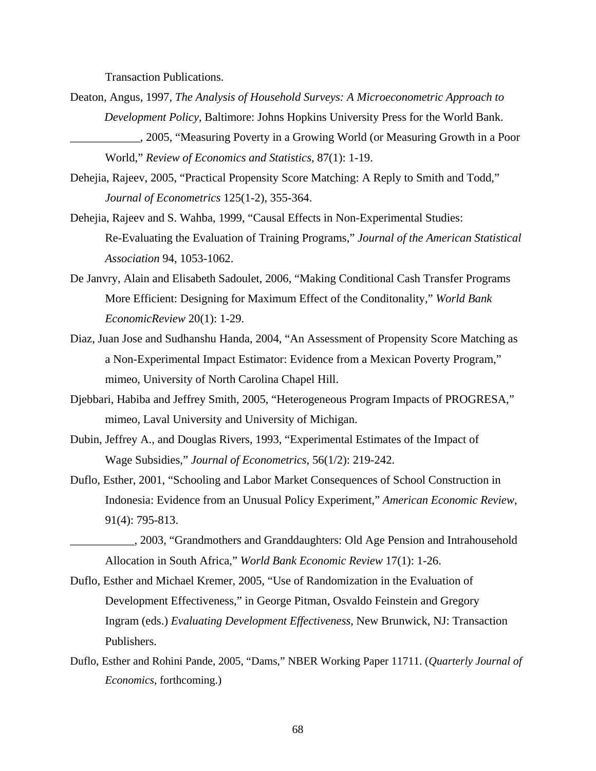Transaction Publications.

- Deaton, Angus, 1997, *The Analysis of Household Surveys: A Microeconometric Approach to Development Policy*, Baltimore: Johns Hopkins University Press for the World Bank. \_\_\_\_\_\_\_\_\_\_\_\_, 2005, "Measuring Poverty in a Growing World (or Measuring Growth in a Poor
	- World," *Review of Economics and Statistics*, 87(1): 1-19.
- Dehejia, Rajeev, 2005, "Practical Propensity Score Matching: A Reply to Smith and Todd," *Journal of Econometrics* 125(1-2), 355-364.
- Dehejia, Rajeev and S. Wahba, 1999, "Causal Effects in Non-Experimental Studies: Re-Evaluating the Evaluation of Training Programs," *Journal of the American Statistical Association* 94, 1053-1062.
- De Janvry, Alain and Elisabeth Sadoulet, 2006, "Making Conditional Cash Transfer Programs More Efficient: Designing for Maximum Effect of the Conditonality," *World Bank EconomicReview* 20(1): 1-29.
- Diaz, Juan Jose and Sudhanshu Handa, 2004, "An Assessment of Propensity Score Matching as a Non-Experimental Impact Estimator: Evidence from a Mexican Poverty Program," mimeo, University of North Carolina Chapel Hill.
- Djebbari, Habiba and Jeffrey Smith, 2005, "Heterogeneous Program Impacts of PROGRESA," mimeo, Laval University and University of Michigan.
- Dubin, Jeffrey A., and Douglas Rivers, 1993, "Experimental Estimates of the Impact of Wage Subsidies," *Journal of Econometrics*, 56(1/2): 219-242.
- Duflo, Esther, 2001, "Schooling and Labor Market Consequences of School Construction in Indonesia: Evidence from an Unusual Policy Experiment," *American Economic Review*, 91(4): 795-813.
	- \_\_\_\_\_\_\_\_\_\_\_, 2003, "Grandmothers and Granddaughters: Old Age Pension and Intrahousehold Allocation in South Africa," *World Bank Economic Review* 17(1): 1-26.
- Duflo, Esther and Michael Kremer, 2005, "Use of Randomization in the Evaluation of Development Effectiveness," in George Pitman, Osvaldo Feinstein and Gregory Ingram (eds.) *Evaluating Development Effectiveness*, New Brunwick, NJ: Transaction Publishers.
- Duflo, Esther and Rohini Pande, 2005, "Dams," NBER Working Paper 11711. (*Quarterly Journal of Economics*, forthcoming.)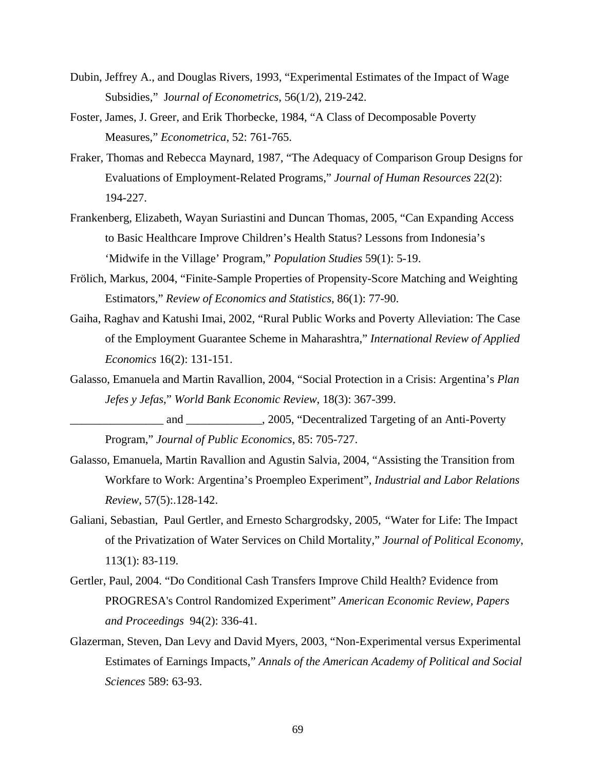- Dubin, Jeffrey A., and Douglas Rivers, 1993, "Experimental Estimates of the Impact of Wage Subsidies," J*ournal of Econometrics*, 56(1/2), 219-242.
- Foster, James, J. Greer, and Erik Thorbecke, 1984, "A Class of Decomposable Poverty Measures," *Econometrica*, 52: 761-765.
- Fraker, Thomas and Rebecca Maynard, 1987, "The Adequacy of Comparison Group Designs for Evaluations of Employment-Related Programs," *Journal of Human Resources* 22(2): 194-227.
- Frankenberg, Elizabeth, Wayan Suriastini and Duncan Thomas, 2005, "Can Expanding Access to Basic Healthcare Improve Children's Health Status? Lessons from Indonesia's 'Midwife in the Village' Program," *Population Studies* 59(1): 5-19.
- Frölich, Markus, 2004, "Finite-Sample Properties of Propensity-Score Matching and Weighting Estimators," *Review of Economics and Statistics*, 86(1): 77-90.
- Gaiha, Raghav and Katushi Imai, 2002, "Rural Public Works and Poverty Alleviation: The Case of the Employment Guarantee Scheme in Maharashtra," *International Review of Applied Economics* 16(2): 131-151.
- Galasso, Emanuela and Martin Ravallion, 2004, "Social Protection in a Crisis: Argentina's *Plan Jefes y Jefas*," *World Bank Economic Review*, 18(3): 367-399.
	- \_\_\_\_\_\_\_\_\_\_\_\_\_\_\_\_ and \_\_\_\_\_\_\_\_\_\_\_\_\_, 2005, "Decentralized Targeting of an Anti-Poverty Program," *Journal of Public Economics*, 85: 705-727.
- Galasso, Emanuela, Martin Ravallion and Agustin Salvia, 2004, "Assisting the Transition from Workfare to Work: Argentina's Proempleo Experiment", *Industrial and Labor Relations Review*, 57(5):.128-142.
- Galiani, Sebastian, Paul Gertler, and Ernesto Schargrodsky, 2005, *"*Water for Life: The Impact of the Privatization of Water Services on Child Mortality," *Journal of Political Economy*, 113(1): 83-119.
- Gertler, Paul, 2004. "Do Conditional Cash Transfers Improve Child Health? Evidence from PROGRESA's Control Randomized Experiment" *American Economic Review, Papers and Proceedings* 94(2): 336-41.
- Glazerman, Steven, Dan Levy and David Myers, 2003, "Non-Experimental versus Experimental Estimates of Earnings Impacts," *Annals of the American Academy of Political and Social Sciences* 589: 63-93.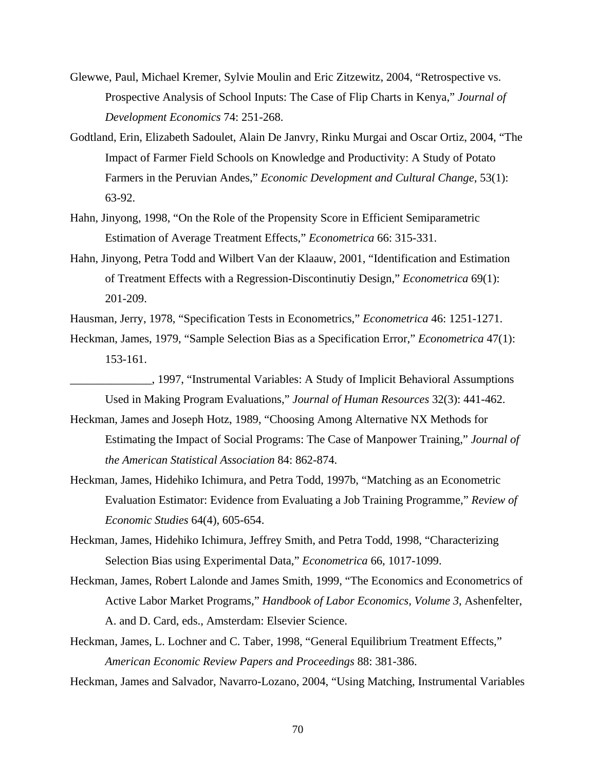- Glewwe, Paul, Michael Kremer, Sylvie Moulin and Eric Zitzewitz, 2004, "Retrospective vs. Prospective Analysis of School Inputs: The Case of Flip Charts in Kenya," *Journal of Development Economics* 74: 251-268.
- Godtland, Erin, Elizabeth Sadoulet, Alain De Janvry, Rinku Murgai and Oscar Ortiz, 2004, "The Impact of Farmer Field Schools on Knowledge and Productivity: A Study of Potato Farmers in the Peruvian Andes," *Economic Development and Cultural Change*, 53(1): 63-92.
- Hahn, Jinyong, 1998, "On the Role of the Propensity Score in Efficient Semiparametric Estimation of Average Treatment Effects," *Econometrica* 66: 315-331.
- Hahn, Jinyong, Petra Todd and Wilbert Van der Klaauw, 2001, "Identification and Estimation of Treatment Effects with a Regression-Discontinutiy Design," *Econometrica* 69(1): 201-209.

Hausman, Jerry, 1978, "Specification Tests in Econometrics," *Econometrica* 46: 1251-1271.

- Heckman, James, 1979, "Sample Selection Bias as a Specification Error," *Econometrica* 47(1): 153-161.
- \_\_\_\_\_\_\_\_\_\_\_\_\_\_, 1997, "Instrumental Variables: A Study of Implicit Behavioral Assumptions Used in Making Program Evaluations," *Journal of Human Resources* 32(3): 441-462.
- Heckman, James and Joseph Hotz, 1989, "Choosing Among Alternative NX Methods for Estimating the Impact of Social Programs: The Case of Manpower Training," *Journal of the American Statistical Association* 84: 862-874.
- Heckman, James, Hidehiko Ichimura, and Petra Todd, 1997b, "Matching as an Econometric Evaluation Estimator: Evidence from Evaluating a Job Training Programme," *Review of Economic Studies* 64(4), 605-654.
- Heckman, James, Hidehiko Ichimura, Jeffrey Smith, and Petra Todd, 1998, "Characterizing Selection Bias using Experimental Data," *Econometrica* 66, 1017-1099.
- Heckman, James, Robert Lalonde and James Smith, 1999, "The Economics and Econometrics of Active Labor Market Programs," *Handbook of Labor Economics, Volume 3*, Ashenfelter, A. and D. Card, eds., Amsterdam: Elsevier Science.
- Heckman, James, L. Lochner and C. Taber, 1998, "General Equilibrium Treatment Effects," *American Economic Review Papers and Proceedings* 88: 381-386.
- Heckman, James and Salvador, Navarro-Lozano, 2004, "Using Matching, Instrumental Variables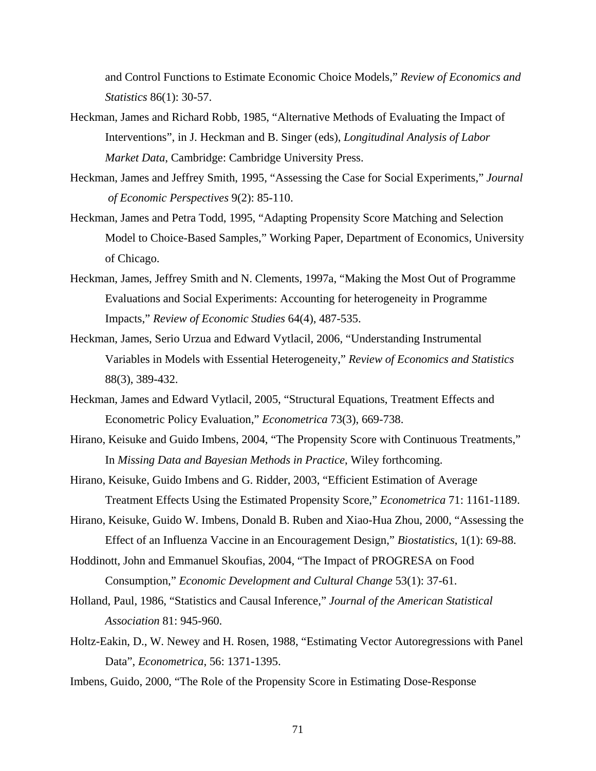and Control Functions to Estimate Economic Choice Models," *Review of Economics and Statistics* 86(1): 30-57.

- Heckman, James and Richard Robb, 1985, "Alternative Methods of Evaluating the Impact of Interventions", in J. Heckman and B. Singer (eds), *Longitudinal Analysis of Labor Market Data*, Cambridge: Cambridge University Press.
- Heckman, James and Jeffrey Smith, 1995, "Assessing the Case for Social Experiments," *Journal of Economic Perspectives* 9(2): 85-110.
- Heckman, James and Petra Todd, 1995, "Adapting Propensity Score Matching and Selection Model to Choice-Based Samples," Working Paper, Department of Economics, University of Chicago.
- Heckman, James, Jeffrey Smith and N. Clements, 1997a, "Making the Most Out of Programme Evaluations and Social Experiments: Accounting for heterogeneity in Programme Impacts," *Review of Economic Studies* 64(4), 487-535.
- Heckman, James, Serio Urzua and Edward Vytlacil, 2006, "Understanding Instrumental Variables in Models with Essential Heterogeneity," *Review of Economics and Statistics* 88(3), 389-432.
- Heckman, James and Edward Vytlacil, 2005, "Structural Equations, Treatment Effects and Econometric Policy Evaluation," *Econometrica* 73(3), 669-738.
- Hirano, Keisuke and Guido Imbens, 2004, "The Propensity Score with Continuous Treatments," In *Missing Data and Bayesian Methods in Practice*, Wiley forthcoming.
- Hirano, Keisuke, Guido Imbens and G. Ridder, 2003, "Efficient Estimation of Average Treatment Effects Using the Estimated Propensity Score," *Econometrica* 71: 1161-1189.
- Hirano, Keisuke, Guido W. Imbens, Donald B. Ruben and Xiao-Hua Zhou, 2000, "Assessing the Effect of an Influenza Vaccine in an Encouragement Design," *Biostatistics*, 1(1): 69-88.
- Hoddinott, John and Emmanuel Skoufias, 2004, "The Impact of PROGRESA on Food Consumption," *Economic Development and Cultural Change* 53(1): 37-61.
- Holland, Paul, 1986, "Statistics and Causal Inference," *Journal of the American Statistical Association* 81: 945-960.
- Holtz-Eakin, D., W. Newey and H. Rosen, 1988, "Estimating Vector Autoregressions with Panel Data", *Econometrica*, 56: 1371-1395.
- Imbens, Guido, 2000, "The Role of the Propensity Score in Estimating Dose-Response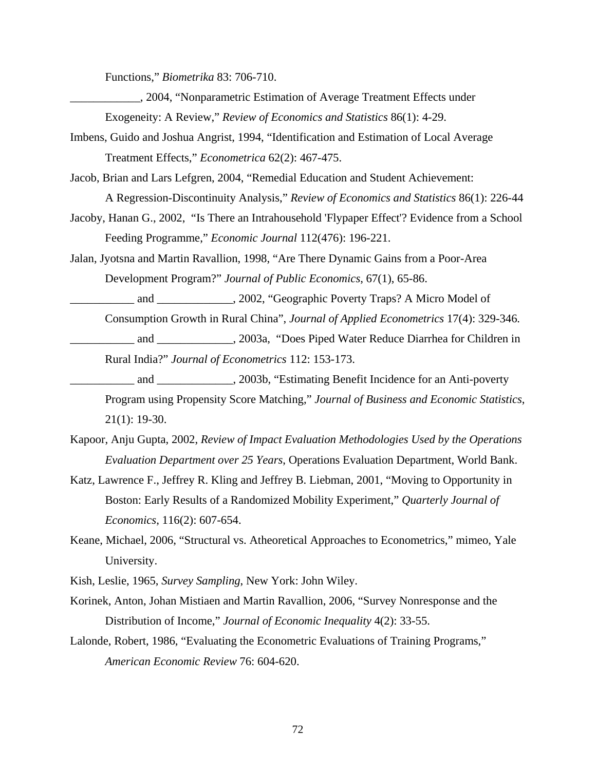Functions," *Biometrika* 83: 706-710.

- \_\_\_\_\_\_\_\_\_\_\_\_, 2004, "Nonparametric Estimation of Average Treatment Effects under
	- Exogeneity: A Review," *Review of Economics and Statistics* 86(1): 4-29.
- Imbens, Guido and Joshua Angrist, 1994, "Identification and Estimation of Local Average Treatment Effects," *Econometrica* 62(2): 467-475.
- Jacob, Brian and Lars Lefgren, 2004, "Remedial Education and Student Achievement: A Regression-Discontinuity Analysis," *Review of Economics and Statistics* 86(1): 226-44
- Jacoby, Hanan G., 2002, "Is There an Intrahousehold 'Flypaper Effect'? Evidence from a School Feeding Programme," *Economic Journal* 112(476): 196-221.
- Jalan, Jyotsna and Martin Ravallion, 1998, "Are There Dynamic Gains from a Poor-Area Development Program?" *Journal of Public Economics*, 67(1), 65-86.
- \_\_\_\_\_\_\_\_\_\_\_ and \_\_\_\_\_\_\_\_\_\_\_\_\_, 2002, "Geographic Poverty Traps? A Micro Model of Consumption Growth in Rural China", *Journal of Applied Econometrics* 17(4): 329-346*.* and \_\_\_\_\_\_\_\_\_\_\_\_\_\_\_\_, 2003a, "Does Piped Water Reduce Diarrhea for Children in Rural India?" *Journal of Econometrics* 112: 153-173.
	- and \_\_\_\_\_\_\_\_\_\_\_\_\_\_, 2003b, "Estimating Benefit Incidence for an Anti-poverty Program using Propensity Score Matching," *Journal of Business and Economic Statistics*, 21(1): 19-30.
- Kapoor, Anju Gupta, 2002, *Review of Impact Evaluation Methodologies Used by the Operations Evaluation Department over 25 Years*, Operations Evaluation Department, World Bank.
- Katz, Lawrence F., Jeffrey R. Kling and Jeffrey B. Liebman, 2001, "Moving to Opportunity in Boston: Early Results of a Randomized Mobility Experiment," *Quarterly Journal of Economics*, 116(2): 607-654.
- Keane, Michael, 2006, "Structural vs. Atheoretical Approaches to Econometrics," mimeo, Yale University.
- Kish, Leslie, 1965, *Survey Sampling*, New York: John Wiley.
- Korinek, Anton, Johan Mistiaen and Martin Ravallion, 2006, "Survey Nonresponse and the Distribution of Income," *Journal of Economic Inequality* 4(2): 33-55.
- Lalonde, Robert, 1986, "Evaluating the Econometric Evaluations of Training Programs," *American Economic Review* 76: 604-620.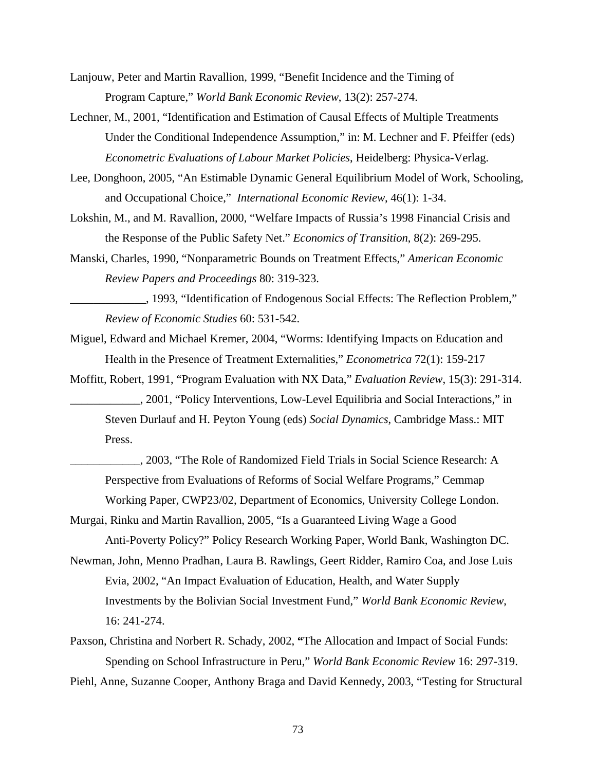Lanjouw, Peter and Martin Ravallion, 1999, "Benefit Incidence and the Timing of Program Capture," *World Bank Economic Review*, 13(2): 257-274.

- Lechner, M., 2001, "Identification and Estimation of Causal Effects of Multiple Treatments Under the Conditional Independence Assumption," in: M. Lechner and F. Pfeiffer (eds) *Econometric Evaluations of Labour Market Policies*, Heidelberg: Physica-Verlag.
- Lee, Donghoon, 2005, "An Estimable Dynamic General Equilibrium Model of Work, Schooling, and Occupational Choice," *International Economic Review*, 46(1): 1-34.
- Lokshin, M., and M. Ravallion, 2000, "Welfare Impacts of Russia's 1998 Financial Crisis and the Response of the Public Safety Net." *Economics of Transition*, 8(2): 269-295.
- Manski, Charles, 1990, "Nonparametric Bounds on Treatment Effects," *American Economic Review Papers and Proceedings* 80: 319-323.

\_\_\_\_\_\_\_\_\_\_\_\_\_, 1993, "Identification of Endogenous Social Effects: The Reflection Problem," *Review of Economic Studies* 60: 531-542.

- Miguel, Edward and Michael Kremer, 2004, "Worms: Identifying Impacts on Education and Health in the Presence of Treatment Externalities," *Econometrica* 72(1): 159-217
- Moffitt, Robert, 1991, "Program Evaluation with NX Data," *Evaluation Review*, 15(3): 291-314. \_\_\_\_\_\_\_\_\_\_\_\_, 2001, "Policy Interventions, Low-Level Equilibria and Social Interactions," in

Steven Durlauf and H. Peyton Young (eds) *Social Dynamics*, Cambridge Mass.: MIT Press.

\_\_\_\_\_\_\_\_\_\_\_\_, 2003, "The Role of Randomized Field Trials in Social Science Research: A Perspective from Evaluations of Reforms of Social Welfare Programs," Cemmap Working Paper, CWP23/02, Department of Economics, University College London.

Murgai, Rinku and Martin Ravallion, 2005, "Is a Guaranteed Living Wage a Good

Anti-Poverty Policy?" Policy Research Working Paper, World Bank, Washington DC. Newman, John, Menno Pradhan, Laura B. Rawlings, Geert Ridder, Ramiro Coa, and Jose Luis

Evia, 2002, "An Impact Evaluation of Education, Health, and Water Supply Investments by the Bolivian Social Investment Fund," *World Bank Economic Review*, 16: 241-274.

Paxson, Christina and Norbert R. Schady, 2002, **"**The Allocation and Impact of Social Funds: Spending on School Infrastructure in Peru," *World Bank Economic Review* 16: 297-319.

Piehl, Anne, Suzanne Cooper, Anthony Braga and David Kennedy, 2003, "Testing for Structural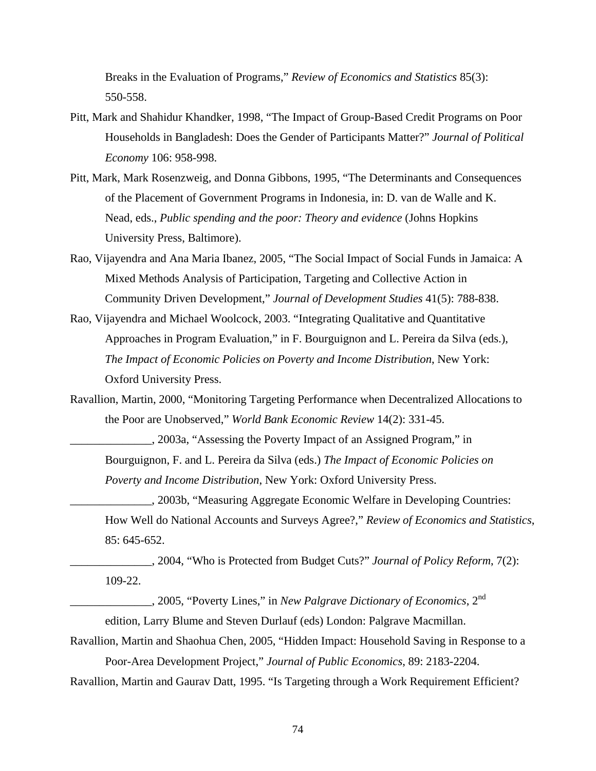Breaks in the Evaluation of Programs," *Review of Economics and Statistics* 85(3): 550-558.

- Pitt, Mark and Shahidur Khandker, 1998, "The Impact of Group-Based Credit Programs on Poor Households in Bangladesh: Does the Gender of Participants Matter?" *Journal of Political Economy* 106: 958-998.
- Pitt, Mark, Mark Rosenzweig, and Donna Gibbons, 1995, "The Determinants and Consequences of the Placement of Government Programs in Indonesia, in: D. van de Walle and K. Nead, eds., *Public spending and the poor: Theory and evidence* (Johns Hopkins University Press, Baltimore).
- Rao, Vijayendra and Ana Maria Ibanez, 2005, "The Social Impact of Social Funds in Jamaica: A Mixed Methods Analysis of Participation, Targeting and Collective Action in Community Driven Development," *Journal of Development Studies* 41(5): 788-838.
- Rao, Vijayendra and Michael Woolcock, 2003. "Integrating Qualitative and Quantitative Approaches in Program Evaluation," in F. Bourguignon and L. Pereira da Silva (eds.), *The Impact of Economic Policies on Poverty and Income Distribution*, New York: Oxford University Press.
- Ravallion, Martin, 2000, "Monitoring Targeting Performance when Decentralized Allocations to the Poor are Unobserved," *World Bank Economic Review* 14(2): 331-45.

\_\_\_\_\_\_\_\_\_\_\_\_\_\_, 2003a, "Assessing the Poverty Impact of an Assigned Program," in Bourguignon, F. and L. Pereira da Silva (eds.) *The Impact of Economic Policies on Poverty and Income Distribution*, New York: Oxford University Press.

\_\_\_\_\_\_\_\_\_\_\_\_\_\_, 2003b, "Measuring Aggregate Economic Welfare in Developing Countries: How Well do National Accounts and Surveys Agree?," *Review of Economics and Statistics*, 85: 645-652.

\_\_\_\_\_\_\_\_\_\_\_\_\_\_, 2004, "Who is Protected from Budget Cuts?" *Journal of Policy Reform*, 7(2): 109-22.

\_\_\_\_\_\_\_\_\_\_\_\_\_\_, 2005, "Poverty Lines," in *New Palgrave Dictionary of Economics*, 2nd

edition, Larry Blume and Steven Durlauf (eds) London: Palgrave Macmillan.

Ravallion, Martin and Shaohua Chen, 2005, "Hidden Impact: Household Saving in Response to a Poor-Area Development Project," *Journal of Public Economics*, 89: 2183-2204.

Ravallion, Martin and Gaurav Datt, 1995. "Is Targeting through a Work Requirement Efficient?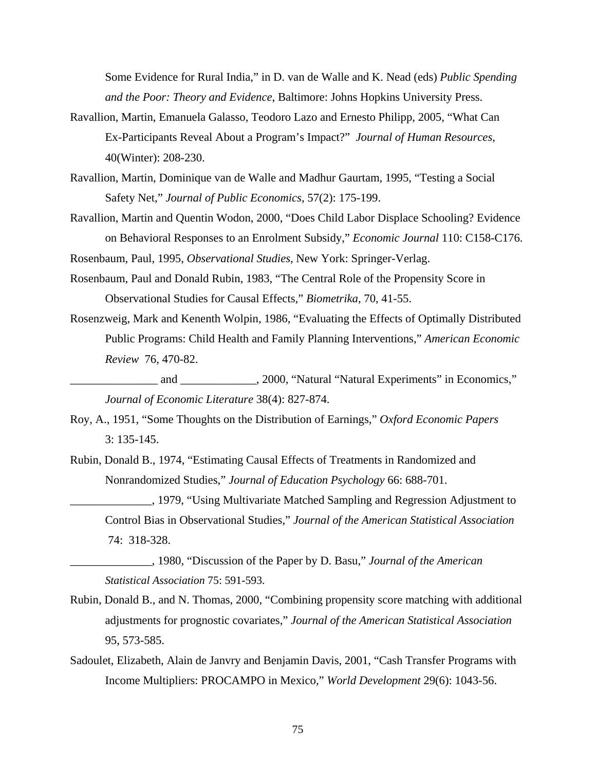Some Evidence for Rural India," in D. van de Walle and K. Nead (eds) *Public Spending and the Poor: Theory and Evidence*, Baltimore: Johns Hopkins University Press.

- Ravallion, Martin, Emanuela Galasso, Teodoro Lazo and Ernesto Philipp, 2005, "What Can Ex-Participants Reveal About a Program's Impact?" *Journal of Human Resources*, 40(Winter): 208-230.
- Ravallion, Martin, Dominique van de Walle and Madhur Gaurtam, 1995, "Testing a Social Safety Net," *Journal of Public Economics*, 57(2): 175-199.
- Ravallion, Martin and Quentin Wodon, 2000, "Does Child Labor Displace Schooling? Evidence on Behavioral Responses to an Enrolment Subsidy," *Economic Journal* 110: C158-C176.

Rosenbaum, Paul, 1995, *Observational Studies*, New York: Springer-Verlag.

- Rosenbaum, Paul and Donald Rubin, 1983, "The Central Role of the Propensity Score in Observational Studies for Causal Effects," *Biometrika*, 70, 41-55.
- Rosenzweig, Mark and Kenenth Wolpin, 1986, "Evaluating the Effects of Optimally Distributed Public Programs: Child Health and Family Planning Interventions," *American Economic Review* 76, 470-82.

\_\_\_\_\_\_\_\_\_\_\_\_\_\_\_ and \_\_\_\_\_\_\_\_\_\_\_\_\_, 2000, "Natural "Natural Experiments" in Economics," *Journal of Economic Literature* 38(4): 827-874.

- Roy, A., 1951, "Some Thoughts on the Distribution of Earnings," *Oxford Economic Papers* 3: 135-145.
- Rubin, Donald B., 1974, "Estimating Causal Effects of Treatments in Randomized and Nonrandomized Studies," *Journal of Education Psychology* 66: 688-701.
	- \_\_\_\_\_\_\_\_\_\_\_\_\_\_, 1979, "Using Multivariate Matched Sampling and Regression Adjustment to Control Bias in Observational Studies," *Journal of the American Statistical Association*  74: 318-328.
- \_\_\_\_\_\_\_\_\_\_\_\_\_\_, 1980, "Discussion of the Paper by D. Basu," *Journal of the American Statistical Association* 75: 591-593.
- Rubin, Donald B., and N. Thomas, 2000, "Combining propensity score matching with additional adjustments for prognostic covariates," *Journal of the American Statistical Association*  95, 573-585.
- Sadoulet, Elizabeth, Alain de Janvry and Benjamin Davis, 2001, "Cash Transfer Programs with Income Multipliers: PROCAMPO in Mexico," *World Development* 29(6): 1043-56.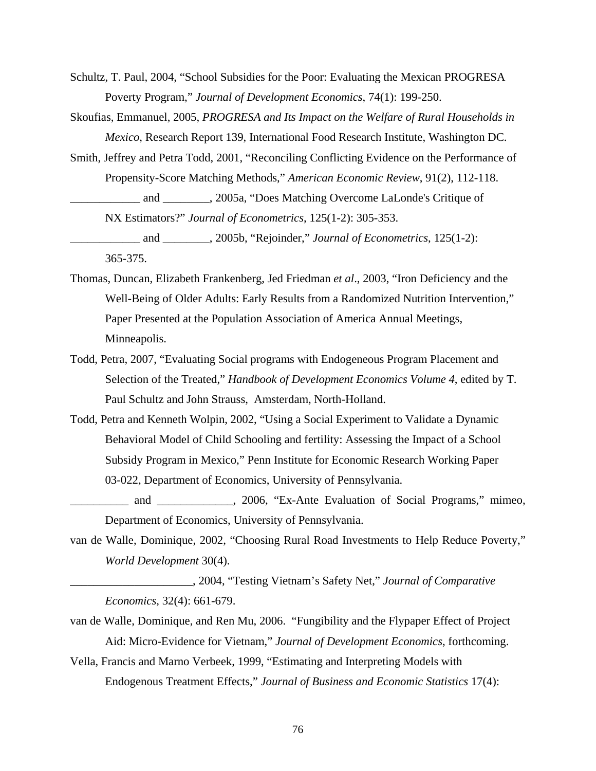Schultz, T. Paul, 2004, "School Subsidies for the Poor: Evaluating the Mexican PROGRESA Poverty Program," *Journal of Development Economics*, 74(1): 199-250.

Skoufias, Emmanuel, 2005, *PROGRESA and Its Impact on the Welfare of Rural Households in Mexico*, Research Report 139, International Food Research Institute, Washington DC.

Smith, Jeffrey and Petra Todd, 2001, "Reconciling Conflicting Evidence on the Performance of Propensity-Score Matching Methods," *American Economic Review*, 91(2), 112-118.

\_\_\_\_\_\_\_\_\_\_\_\_ and \_\_\_\_\_\_\_\_, 2005a, "Does Matching Overcome LaLonde's Critique of NX Estimators?" *Journal of Econometrics*, 125(1-2): 305-353.

\_\_\_\_\_\_\_\_\_\_\_\_ and \_\_\_\_\_\_\_\_, 2005b, "Rejoinder," *Journal of Econometrics*, 125(1-2): 365-375.

- Thomas, Duncan, Elizabeth Frankenberg, Jed Friedman *et al*., 2003, "Iron Deficiency and the Well-Being of Older Adults: Early Results from a Randomized Nutrition Intervention," Paper Presented at the Population Association of America Annual Meetings, Minneapolis.
- Todd, Petra, 2007, "Evaluating Social programs with Endogeneous Program Placement and Selection of the Treated," *Handbook of Development Economics Volume 4*, edited by T. Paul Schultz and John Strauss, Amsterdam, North-Holland.
- Todd, Petra and Kenneth Wolpin, 2002, "Using a Social Experiment to Validate a Dynamic Behavioral Model of Child Schooling and fertility: Assessing the Impact of a School Subsidy Program in Mexico," Penn Institute for Economic Research Working Paper 03-022, Department of Economics, University of Pennsylvania.

and \_\_\_\_\_\_\_\_\_\_\_\_, 2006, "Ex-Ante Evaluation of Social Programs," mimeo, Department of Economics, University of Pennsylvania.

- van de Walle, Dominique, 2002, "Choosing Rural Road Investments to Help Reduce Poverty," *World Development* 30(4).
	- \_\_\_\_\_\_\_\_\_\_\_\_\_\_\_\_\_\_\_\_\_, 2004, "Testing Vietnam's Safety Net," *Journal of Comparative Economics*, 32(4): 661-679.
- van de Walle, Dominique, and Ren Mu, 2006. "Fungibility and the Flypaper Effect of Project Aid: Micro-Evidence for Vietnam," *Journal of Development Economics*, forthcoming.
- Vella, Francis and Marno Verbeek, 1999, "Estimating and Interpreting Models with Endogenous Treatment Effects," *Journal of Business and Economic Statistics* 17(4):